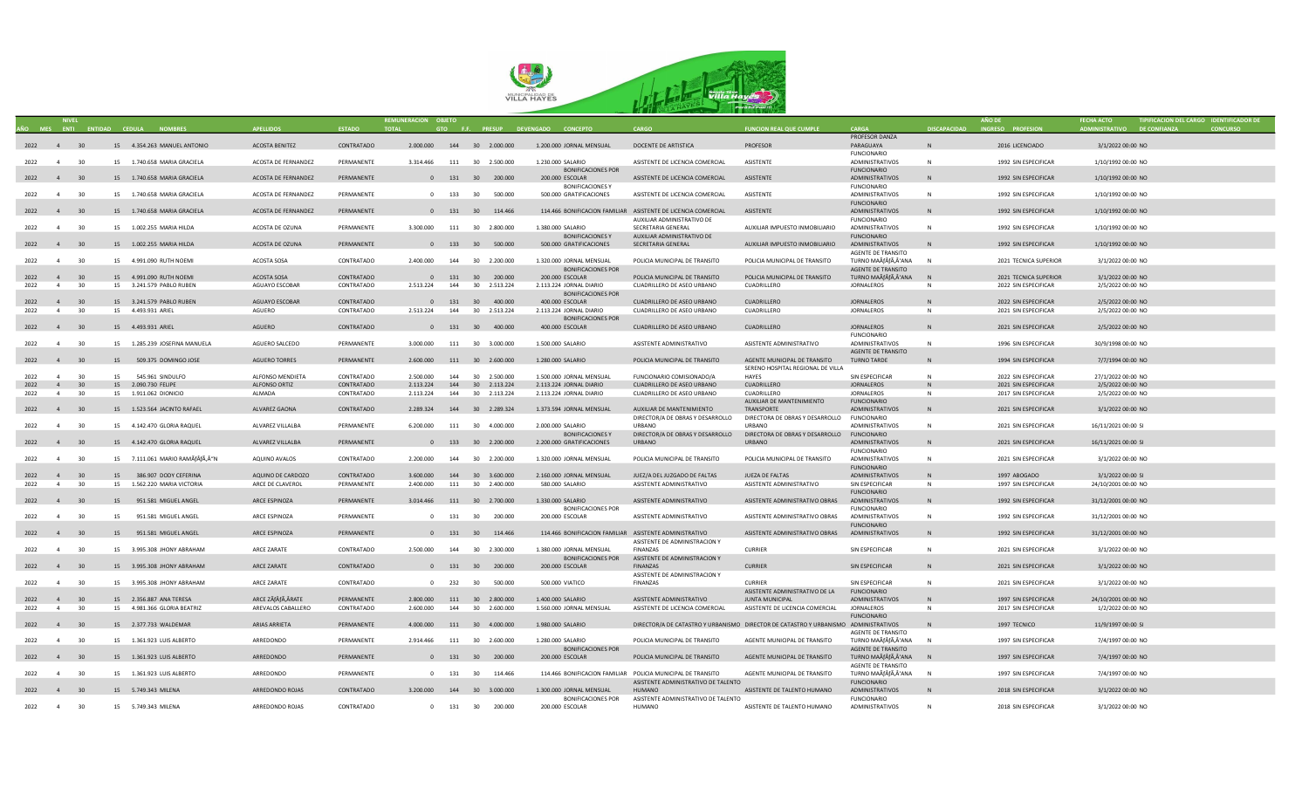

|           |                |    |                                     |                      |               | REMUNERACION OBJETO           |     |                    |                                                        |                                                                                     |                                             |                           |                     | <b>AÑO DE</b>         |                             | TIPIFICACION DEL CARGO IDENTIFICADOR DE |
|-----------|----------------|----|-------------------------------------|----------------------|---------------|-------------------------------|-----|--------------------|--------------------------------------------------------|-------------------------------------------------------------------------------------|---------------------------------------------|---------------------------|---------------------|-----------------------|-----------------------------|-----------------------------------------|
|           |                |    | AÑO MES ENTI ENTIDAD CEDULA NOMBRES | <b>APFILIDOS</b>     | <b>ESTADO</b> | <b>TOTAL</b>                  |     |                    | GTO F.F. PRESUP DEVENGADO CONCEPTO                     | CARGO                                                                               | <b>FUNCION REAL QUE CUMPLE</b>              | CARGA                     | <b>DISCAPACIDAD</b> | INGRESO PROFESION     | ADMINISTRATIVO DE CONFIANZA | <b>CONCURSO</b>                         |
|           |                |    |                                     |                      |               |                               |     |                    |                                                        |                                                                                     |                                             | PROFESOR DANZA            |                     |                       |                             |                                         |
| 2022 4 30 |                |    | 15 4.354.263 MANUEL ANTONIO         | ACOSTA BENITEZ       | CONTRATADO    | 2.000.000  144  30  2.000.000 |     |                    | 1.200.000 JORNAL MENSUAL                               | DOCENTE DE ARTISTICA                                                                | PROFESOR                                    | PARAGUAYA                 |                     | 2016 LICENCIADO       | 3/1/2022 00:00 NO           |                                         |
|           |                |    |                                     |                      |               |                               |     |                    |                                                        |                                                                                     |                                             | <b>FUNCIONARIO</b>        |                     |                       |                             |                                         |
| 2022 4 30 |                |    | 15 1.740.658 MARIA GRACIELA         | ACOSTA DE FERNANDEZ  | PERMANENTE    | 3.314.466 111 30 2.500.000    |     |                    | 1.230.000 SALARIO                                      | ASISTENTE DE LICENCIA COMERCIAL                                                     | ASISTENTE                                   | <b>ADMINISTRATIVOS</b>    | N                   | 1992 SIN ESPECIFICAR  | 1/10/1992 00:00 NO          |                                         |
|           |                |    |                                     |                      |               |                               |     |                    |                                                        |                                                                                     |                                             |                           |                     |                       |                             |                                         |
|           |                |    |                                     |                      |               |                               |     |                    | <b>BONIFICACIONES POR</b>                              |                                                                                     |                                             | <b>FUNCIONARIO</b>        |                     |                       |                             |                                         |
| 2022 4 30 |                |    | 15 1.740.658 MARIA GRACIELA         | ACOSTA DE FERNANDEZ  | PERMANENTE    |                               |     | 0 131 30 200.000   | 200.000 ESCOLAR                                        | ASISTENTE DE LICENCIA COMERCIAL                                                     | ASISTENTE                                   | ADMINISTRATIVOS           | N                   | 1992 SIN ESPECIFICAR  | 1/10/1992 00:00 NO          |                                         |
|           |                |    |                                     |                      |               |                               |     |                    | <b>BONIFICACIONES Y</b>                                |                                                                                     |                                             | <b>FUNCIONARIO</b>        |                     |                       |                             |                                         |
| 2022 4    |                | 30 | 15 1.740.658 MARIA GRACIELA         | ACOSTA DE FERNANDEZ  | PERMANENTE    |                               |     | 0 133 30 500.000   | 500.000 GRATIFICACIONES                                | ASISTENTE DE LICENCIA COMERCIAL                                                     | ASISTENTE                                   | ADMINISTRATIVOS           | N                   | 1992 SIN ESPECIFICAR  | 1/10/1992 00:00 NO          |                                         |
|           |                |    |                                     |                      |               |                               |     |                    |                                                        |                                                                                     |                                             | <b>FUNCIONARIO</b>        |                     |                       |                             |                                         |
| 2022 4 30 |                |    | 15 1.740.658 MARIA GRACIELA         | ACOSTA DE FERNANDEZ  | PERMANENTE    |                               |     | 0 131 30 114.466   |                                                        | 114.466 BONIFICACION FAMILIAR ASISTENTE DE LICENCIA COMERCIAL                       | <b>ASISTENTE</b>                            | ADMINISTRATIVOS           | N.                  | 1992 SIN ESPECIFICAR  | 1/10/1992 00:00 NO          |                                         |
|           |                |    |                                     |                      |               |                               |     |                    |                                                        | AUXILIAR ADMINISTRATIVO DE                                                          |                                             | <b>FUNCIONARIO</b>        |                     |                       |                             |                                         |
|           |                |    |                                     |                      |               |                               |     |                    |                                                        |                                                                                     |                                             |                           |                     |                       |                             |                                         |
| 2022 4    |                | 30 | 15 1.002.255 MARIA HILDA            | ACOSTA DE OZUNA      | PERMANENTE    | 3.300.000                     |     | 111 30 2.800.000   | 1.380.000 SALARIO                                      | SECRETARIA GENERAL                                                                  | AUXILIAR IMPUESTO INMOBILIARIO              | ADMINISTRATIVOS           | $\mathbb N$         | 1992 SIN ESPECIFICAR  | 1/10/1992 00:00 NO          |                                         |
|           |                |    |                                     |                      |               |                               |     |                    | <b>BONIFICACIONES Y</b>                                | AUXILIAR ADMINISTRATIVO DE                                                          |                                             | <b>FUNCIONARIO</b>        |                     |                       |                             |                                         |
| 2022 4 30 |                |    | 15 1.002.255 MARIA HILDA            | ACOSTA DE OZUNA      | PERMANENTE    |                               |     | 0 133 30 500.000   | 500.000 GRATIFICACIONES                                | SECRETARIA GENERAL                                                                  | AUXILIAR IMPUESTO INMOBILIARIO              | ADMINISTRATIVOS           |                     | 1992 SIN ESPECIFICAR  | 1/10/1992 00:00 NO          |                                         |
|           |                |    |                                     |                      |               |                               |     |                    |                                                        |                                                                                     |                                             | AGENTE DE TRANSITO        |                     |                       |                             |                                         |
| 2022      | $\overline{4}$ | 30 | 15 4.991.090 RUTH NOEMI             | ACOSTA SOSA          | CONTRATADO    | 2.400.000                     | 144 | 30 2.200.000       | 1.320.000 JORNAL MENSUAL                               | POLICIA MUNICIPAL DE TRANSITO                                                       | POLICIA MUNICIPAL DE TRANSITO               | TURNO MAÃfÂfÃ,Â'ANA       | N                   | 2021 TECNICA SUPERIOR | 3/1/2022 00:00 NO           |                                         |
|           |                |    |                                     |                      |               |                               |     |                    | <b>BONIFICACIONES POR</b>                              |                                                                                     |                                             | AGENTE DE TRANSITO        |                     |                       |                             |                                         |
|           |                |    |                                     |                      |               |                               |     |                    |                                                        |                                                                                     |                                             |                           |                     |                       |                             |                                         |
| 2022 4 30 |                |    | 15 4.991.090 RUTH NOEMI             | ACOSTA SOSA          | CONTRATADO    |                               |     | 0 131 30 200.000   | 200.000 ESCOLAR                                        | POLICIA MUNICIPAL DE TRANSITO                                                       | POLICIA MUNICIPAL DE TRANSITO               | TURNO MAÃÃ,'ANA           | N                   | 2021 TECNICA SUPERIOR | 3/1/2022 00:00 NO           |                                         |
| 2022      | $\overline{a}$ | 30 | 15 3.241.579 PABLO RUBEN            | AGUAYO ESCOBAR       | CONTRATADO    | 2.513.224  144  30  2.513.224 |     |                    | 2.113.224 JORNAL DIARIO                                | CUADRILLERO DE ASEO URBANO                                                          | CUADRILLERO                                 | <b>JORNALEROS</b>         | $\mathbb N$         | 2022 SIN ESPECIFICAR  | 2/5/2022 00:00 NO           |                                         |
|           |                |    |                                     |                      |               |                               |     |                    | <b>BONIFICACIONES POR</b>                              |                                                                                     |                                             |                           |                     |                       |                             |                                         |
| 2022      | $\overline{4}$ | 30 | 15 3.241.579 PABLO RUBEN            | AGUAYO ESCOBAR       | CONTRATADO    |                               |     | 0 131 30 400.000   | 400.000 ESCOLAR                                        | CUADRILLERO DE ASEO URBANO                                                          | CUADRILLERO                                 | <b>JORNALEROS</b>         |                     | 2022 SIN ESPECIFICAR  | 2/5/2022 00:00 NO           |                                         |
| 2022      | $\overline{4}$ | 30 | 15  4.493.931 ARIEL                 | AGUERO               | CONTRATADO    | 2.513.224                     | 144 | 30 2.513.224       | 2.113.224 JORNAL DIARIO                                | CUADRILLERO DE ASEO URBANO                                                          | CUADRILLERO                                 | <b>JORNALEROS</b>         | N                   | 2021 SIN ESPECIFICAR  | 2/5/2022 00:00 NO           |                                         |
|           |                |    |                                     |                      |               |                               |     |                    | BONIFICACIONES POR                                     |                                                                                     |                                             |                           |                     |                       |                             |                                         |
| 2022 4 30 |                |    | 15  4.493.931 ARIEL                 | AGUERO               | CONTRATADO    |                               |     | 0 131 30 400.000   | 400.000 ESCOLAR                                        | CUADRILLERO DE ASEO URBANO                                                          | CUADRILLERO                                 | <b>JORNALEROS</b>         | N                   | 2021 SIN ESPECIFICAR  | 2/5/2022 00:00 NO           |                                         |
|           |                |    |                                     |                      |               |                               |     |                    |                                                        |                                                                                     |                                             |                           |                     |                       |                             |                                         |
|           |                |    |                                     |                      |               |                               |     |                    |                                                        |                                                                                     |                                             | <b>FUNCIONARIO</b>        |                     |                       |                             |                                         |
| 2022 4 30 |                |    | 15 1.285.239 JOSEFINA MANUELA       | AGUERO SALCEDO       | PERMANENTE    | 3.000.000                     |     | 111 30 3.000.000   | 1.500.000 SALARIO                                      | ASISTENTE ADMINISTRATIVO                                                            | ASISTENTE ADMINISTRATIVO                    | ADMINISTRATIVOS           | N                   | 1996 SIN ESPECIFICAR  | 30/9/1998 00:00 NO          |                                         |
|           |                |    |                                     |                      |               |                               |     |                    |                                                        |                                                                                     |                                             | <b>AGENTE DE TRANSITO</b> |                     |                       |                             |                                         |
| 2022 4 30 |                |    | 15 509.375 DOMINGO JOSE             | <b>AGUERO TORRES</b> | PERMANENTE    | 2.600.000 111 30 2.600.000    |     |                    | 1.280.000 SALARIO                                      | POLICIA MUNICIPAL DE TRANSITO                                                       | AGENTE MUNICIPAL DE TRANSITO                | <b>TURNO TARDE</b>        | N                   | 1994 SIN ESPECIFICAR  | 7/7/1994 00:00 NO           |                                         |
|           |                |    |                                     |                      |               |                               |     |                    |                                                        |                                                                                     | SERENO HOSPITAL REGIONAL DE VILLA           |                           |                     |                       |                             |                                         |
| 2022      | $\overline{4}$ | 30 | 15 545,961 SINDULFO                 | ALFONSO MENDIETA     | CONTRATADO    | 2.500.000                     |     | 144 30 2.500.000   | 1.500.000 JORNAL MENSUAL                               | FUNCIONARIO COMISIONADO/A                                                           | <b>HAYES</b>                                | SIN ESPECIFICAR           | N                   | 2022 SIN ESPECIFICAR  | 27/1/2022 00:00 NO          |                                         |
|           |                |    |                                     |                      |               |                               |     |                    |                                                        |                                                                                     |                                             |                           |                     |                       |                             |                                         |
| 2022      | 4 <sup>1</sup> | 30 | 15 2.090.730 FELIPE                 | ALFONSO ORTIZ        | CONTRATADO    | 2.113.224                     |     | 144 30 2.113.224   | 2.113.224 JORNAL DIARIO                                | CUADRILLERO DE ASEO URBANO                                                          | CUADRILLERO                                 | JORNALEROS                | N                   | 2021 SIN ESPECIFICAR  | 2/5/2022 00:00 NO           |                                         |
| 2022      | 4              | 30 | 15  1.911.062  DIONICIO             | ALMADA               | CONTRATADO    | 2.113.224                     |     | 144 30 2.113.224   | 2.113.224 JORNAL DIARIO                                | CUADRILLERO DE ASEO URBANO                                                          | CUADRILLERO                                 | <b>JORNALEROS</b>         | N                   | 2017 SIN ESPECIFICAR  | 2/5/2022 00:00 NO           |                                         |
|           |                |    |                                     |                      |               |                               |     |                    |                                                        |                                                                                     | AUXILIAR DE MANTENIMIENTO                   | <b>FUNCIONARIO</b>        |                     |                       |                             |                                         |
| 2022 4 30 |                |    | 15 1.523.564 JACINTO RAFAEL         | ALVAREZ GAONA        | CONTRATADO    | 2.289.324 144 30 2.289.324    |     |                    | 1.373.594 JORNAL MENSUAL                               | AUXILIAR DE MANTENIMIENTO                                                           | TRANSPORTE                                  | ADMINISTRATIVOS           | N                   | 2021 SIN ESPECIFICAR  | 3/1/2022 00:00 NO           |                                         |
|           |                |    |                                     |                      |               |                               |     |                    |                                                        | DIRECTOR/A DE OBRAS Y DESARROLLO                                                    | DIRECTORA DE OBRAS Y DESARROLLO FUNCIONARIO |                           |                     |                       |                             |                                         |
| 2022 4    |                | 30 | 15 4.142.470 GLORIA RAOUFL          | ALVAREZ VILLALBA     | PERMANENTE    | 6.200.000                     |     | 111 30 4.000.000   | 2.000.000 SALARIO                                      | <b>LIRRANO</b>                                                                      | <b>LIRRANO</b>                              | <b>ADMINISTRATIVOS</b>    | N                   | 2021 SIN ESPECIFICAR  | 16/11/2021 00:00 SI         |                                         |
|           |                |    |                                     |                      |               |                               |     |                    |                                                        |                                                                                     |                                             |                           |                     |                       |                             |                                         |
|           |                |    |                                     |                      |               |                               |     |                    | <b>BONIFICACIONES Y</b>                                | DIRECTOR/A DE OBRAS Y DESARROLLO                                                    | DIRECTORA DE OBRAS Y DESARROLLO             | <b>FUNCIONARIO</b>        |                     |                       |                             |                                         |
| 2022 4 30 |                |    | 15 4.142.470 GLORIA RAQUEL          | ALVAREZ VILLALBA     | PERMANENTE    |                               |     | 0 133 30 2.200.000 | 2.200.000 GRATIFICACIONES                              | <b>URBANO</b>                                                                       | <b>URBANO</b>                               | ADMINISTRATIVOS           | N                   | 2021 SIN ESPECIFICAR  | 16/11/2021 00:00 SI         |                                         |
|           |                |    |                                     |                      |               |                               |     |                    |                                                        |                                                                                     |                                             | <b>FUNCIONARIO</b>        |                     |                       |                             |                                         |
| 2022      | $\overline{4}$ | 30 | 15 7.111.061 MARIO RAMÃfÂfÃ,Â"N     | AQUINO AVALOS        | CONTRATADO    | 2.200.000                     |     | 144 30 2.200.000   | 1.320.000 JORNAL MENSUAL                               | POLICIA MUNICIPAL DE TRANSITO                                                       | POLICIA MUNICIPAL DE TRANSITO               | <b>ADMINISTRATIVOS</b>    | $\mathbb N$         | 2021 SIN ESPECIFICAR  | 3/1/2022 00:00 NO           |                                         |
|           |                |    |                                     |                      |               |                               |     |                    |                                                        |                                                                                     |                                             | <b>FUNCIONARIO</b>        |                     |                       |                             |                                         |
| 2022      | $\overline{4}$ | 30 | 15 386.907 DODY CEFERINA            | AQUINO DE CARDOZO    | CONTRATADO    | 3.600.000  144  30  3.600.000 |     |                    | 2.160.000 JORNAL MENSUAL                               | JUEZ/A DEL JUZGADO DE FALTAS                                                        | JUEZA DE FALTAS                             | ADMINISTRATIVOS           | N                   | 1997 ABOGADO          | 3/1/2022 00:00 SI           |                                         |
|           |                |    |                                     |                      |               |                               |     |                    |                                                        |                                                                                     |                                             |                           |                     |                       |                             |                                         |
| 2022      | $\overline{4}$ | 30 | 15 1.562.220 MARIA VICTORIA         | ARCE DE CLAVEROL     | PERMANENTE    | 2.400.000                     |     | 111 30 2.400.000   | 580,000 SALARIO                                        | ASISTENTE ADMINISTRATIVO                                                            | ASISTENTE ADMINISTRATIVO                    | SIN ESPECIFICAR           | N                   | 1997 SIN ESPECIFICAR  | 24/10/2001 00:00 NO         |                                         |
|           |                |    |                                     |                      |               |                               |     |                    |                                                        |                                                                                     |                                             | <b>FUNCIONARIO</b>        |                     |                       |                             |                                         |
| 2022 4 30 |                |    | 15 951.581 MIGUEL ANGEL             | ARCE ESPINOZA        | PERMANENTE    | 3.014.466 111 30 2.700.000    |     |                    | 1.330.000 SALARIO                                      | ASISTENTE ADMINISTRATIVO                                                            | ASISTENTE ADMINISTRATIVO OBRAS              | ADMINISTRATIVOS           | N                   | 1992 SIN ESPECIFICAR  | 31/12/2001 00:00 NO         |                                         |
|           |                |    |                                     |                      |               |                               |     |                    | <b>BONIFICACIONES POR</b>                              |                                                                                     |                                             | <b>FUNCIONARIO</b>        |                     |                       |                             |                                         |
| 2022      | $\overline{4}$ | 30 | 15 951.581 MIGUEL ANGEL             | ARCE ESPINOZA        | PERMANENTE    |                               |     | 0 131 30 200.000   | 200.000 ESCOLAR                                        | ASISTENTE ADMINISTRATIVO                                                            | ASISTENTE ADMINISTRATIVO OBRAS              | <b>ADMINISTRATIVOS</b>    | N                   | 1992 SIN ESPECIFICAR  | 31/12/2001 00:00 NO         |                                         |
|           |                |    |                                     |                      |               |                               |     |                    |                                                        |                                                                                     |                                             | <b>FUNCIONARIO</b>        |                     |                       |                             |                                         |
|           |                |    | 15 951.581 MIGUEL ANGEL             | ARCE ESPINOZA        | PERMANENTE    |                               |     |                    |                                                        |                                                                                     | ASISTENTE ADMINISTRATIVO OBRAS              | ADMINISTRATIVOS           | N                   |                       | 31/12/2001 00:00 NO         |                                         |
| 2022 4 30 |                |    |                                     |                      |               |                               |     | 0 131 30 114.466   | 114.466 BONIFICACION FAMILIAR ASISTENTE ADMINISTRATIVO |                                                                                     |                                             |                           |                     | 1992 SIN ESPECIFICAR  |                             |                                         |
|           |                |    |                                     |                      |               |                               |     |                    |                                                        | ASISTENTE DE ADMINISTRACION Y                                                       |                                             |                           |                     |                       |                             |                                         |
| 2022 4 30 |                |    | 15 3.995.308 JHONY ABRAHAM          | ARCE ZARATE          | CONTRATADO    | 2.500.000 144 30 2.300.000    |     |                    | 1.380.000 JORNAL MENSUAL                               | FINANZAS                                                                            | <b>CURRIER</b>                              | SIN ESPECIFICAR           | $\mathsf{N}$        | 2021 SIN ESPECIFICAR  | 3/1/2022 00:00 NO           |                                         |
|           |                |    |                                     |                      |               |                               |     |                    | <b>BONIFICACIONES POR</b>                              | ASISTENTE DE ADMINISTRACION Y                                                       |                                             |                           |                     |                       |                             |                                         |
| 2022 4 30 |                |    | 15 3.995.308 JHONY ABRAHAM          | ARCE ZARATE          | CONTRATADO    |                               |     | 0 131 30 200.000   | 200.000 ESCOLAR                                        | FINANZAS                                                                            | <b>CURRIER</b>                              | SIN ESPECIFICAR           | $\mathsf{N}$        | 2021 SIN ESPECIFICAR  | 3/1/2022 00:00 NO           |                                         |
|           |                |    |                                     |                      |               |                               |     |                    |                                                        | ASISTENTE DE ADMINISTRACION Y                                                       |                                             |                           |                     |                       |                             |                                         |
| 2022 4 30 |                |    | 15 3.995.308 JHONY ABRAHAM          | ARCE ZARATE          | CONTRATADO    |                               |     | 0 232 30 500,000   | 500.000 VIATICO                                        | <b>FINANZAS</b>                                                                     | <b>CURRIER</b>                              | SIN ESPECIFICAR           | N                   | 2021 SIN ESPECIFICAR  | 3/1/2022 00:00 NO           |                                         |
|           |                |    |                                     |                      |               |                               |     |                    |                                                        |                                                                                     |                                             |                           |                     |                       |                             |                                         |
|           |                |    |                                     |                      |               |                               |     |                    |                                                        |                                                                                     | ASISTENTE ADMINISTRATIVO DE LA              | <b>FUNCIONARIO</b>        |                     |                       |                             |                                         |
| 2022 4 30 |                |    | 15 2.356.887 ANA TERESA             | ARCE ZÃfÂfÃ, ÂRATE   | PERMANENTE    | 2.800.000 111 30 2.800.000    |     |                    | 1.400.000 SALARIO                                      | ASISTENTE ADMINISTRATIVO                                                            | JUNTA MUNICIPAL                             | ADMINISTRATIVOS           | N                   | 1997 SIN ESPECIFICAR  | 24/10/2001 00:00 NO         |                                         |
| 2022      | 4              | 30 | 15 4.981.366 GLORIA BEATRIZ         | AREVALOS CABALLERO   | CONTRATADO    | 2.600.000                     |     | 144 30 2.600.000   | 1.560.000 JORNAL MENSUAL                               | ASISTENTE DE LICENCIA COMERCIAL                                                     | ASISTENTE DE LICENCIA COMERCIAL             | <b>JORNALEROS</b>         | $\mathsf{N}$        | 2017 SIN ESPECIFICAR  | 1/2/2022 00:00 NO           |                                         |
|           |                |    |                                     |                      |               |                               |     |                    |                                                        |                                                                                     |                                             | <b>FUNCIONARIO</b>        |                     |                       |                             |                                         |
| 2022 4 30 |                |    | 15 2.377.733 WALDEMAR               | ARIAS ARRIETA        | PERMANENTE    | 4.000.000 111 30 4.000.000    |     |                    | 1.980.000 SALARIO                                      | DIRECTOR/A DE CATASTRO Y URBANISMO DIRECTOR DE CATASTRO Y URBANISMO ADMINISTRATIVOS |                                             |                           | N.                  | 1997 TECNICO          | 11/9/1997 00:00 SI          |                                         |
|           |                |    |                                     |                      |               |                               |     |                    |                                                        |                                                                                     |                                             | <b>AGENTE DE TRANSITO</b> |                     |                       |                             |                                         |
|           |                |    |                                     |                      |               |                               |     |                    |                                                        |                                                                                     |                                             |                           |                     |                       |                             |                                         |
| 2022 4    |                | 30 | 15  1.361.923 LUIS ALBERTO          | ARREDONDO            | PERMANENTE    | 2.914.466                     |     | 111 30 2.600.000   | 1.280.000 SALARIO                                      | POLICIA MUNICIPAL DE TRANSITO                                                       | AGENTE MUNICIPAL DE TRANSITO                | TURNO MAÃÃ,'ANA           | N                   | 1997 SIN ESPECIFICAR  | 7/4/1997 00:00 NO           |                                         |
|           |                |    |                                     |                      |               |                               |     |                    | <b>BONIFICACIONES POR</b>                              |                                                                                     |                                             | AGENTE DE TRANSITO        |                     |                       |                             |                                         |
| 2022 4 30 |                |    | 15 1.361.923 LUIS ALBERTO           | ARREDONDO            | PERMANENTE    |                               |     | 0 131 30 200.000   | 200.000 ESCOLAR                                        | POLICIA MUNICIPAL DE TRANSITO                                                       | AGENTE MUNICIPAL DE TRANSITO                | TURNO MAÃfÂfÃ,Â'ANA       | N                   | 1997 SIN ESPECIFICAR  | 7/4/1997 00:00 NO           |                                         |
|           |                |    |                                     |                      |               |                               |     |                    |                                                        |                                                                                     |                                             | AGENTE DE TRANSITO        |                     |                       |                             |                                         |
| 2022      | $\overline{4}$ | 30 | 15  1.361.923 LUIS ALBERTO          | ARREDONDO            | PERMANENTE    |                               |     | 0 131 30 114.466   |                                                        | 114.466 BONIFICACION FAMILIAR POLICIA MUNICIPAL DE TRANSITO                         | AGENTE MUNICIPAL DE TRANSITO                | TURNO MAÃfÂfÃ,Â'ANA       | N                   | 1997 SIN ESPECIFICAR  | 7/4/1997 00:00 NO           |                                         |
|           |                |    |                                     |                      |               |                               |     |                    |                                                        | ASISTENTE ADMINISTRATIVO DE TALENTO                                                 |                                             | <b>FUNCIONARIO</b>        |                     |                       |                             |                                         |
|           |                |    |                                     |                      |               |                               |     |                    |                                                        | <b>HUMANO</b>                                                                       |                                             |                           |                     |                       |                             |                                         |
| 2022 4 30 |                |    | 15 5.749.343 MILENA                 | ARREDONDO ROJAS      | CONTRATADO    | 3.200.000 144 30 3.000.000    |     |                    | 1.300.000 JORNAL MENSUAL                               |                                                                                     | ASISTENTE DE TALENTO HUMANO                 | ADMINISTRATIVOS           | N.                  | 2018 SIN ESPECIFICAR  | 3/1/2022 00:00 NO           |                                         |
|           |                |    |                                     |                      |               |                               |     |                    | <b>BONIFICACIONES POR</b>                              | ASISTENTE ADMINISTRATIVO DE TALENTO                                                 |                                             | <b>FUNCIONARIO</b>        |                     |                       |                             |                                         |
| 2022 4    |                | 30 | 15 5.749.343 MILENA                 | ARREDONDO ROJAS      | CONTRATADO    |                               |     | 0 131 30 200.000   | 200.000 ESCOLAR                                        | HUMANO                                                                              | ASISTENTE DE TALENTO HUMANO                 | <b>ADMINISTRATIVOS</b>    |                     | 2018 SIN ESPECIFICAR  | 3/1/2022 00:00 NO           |                                         |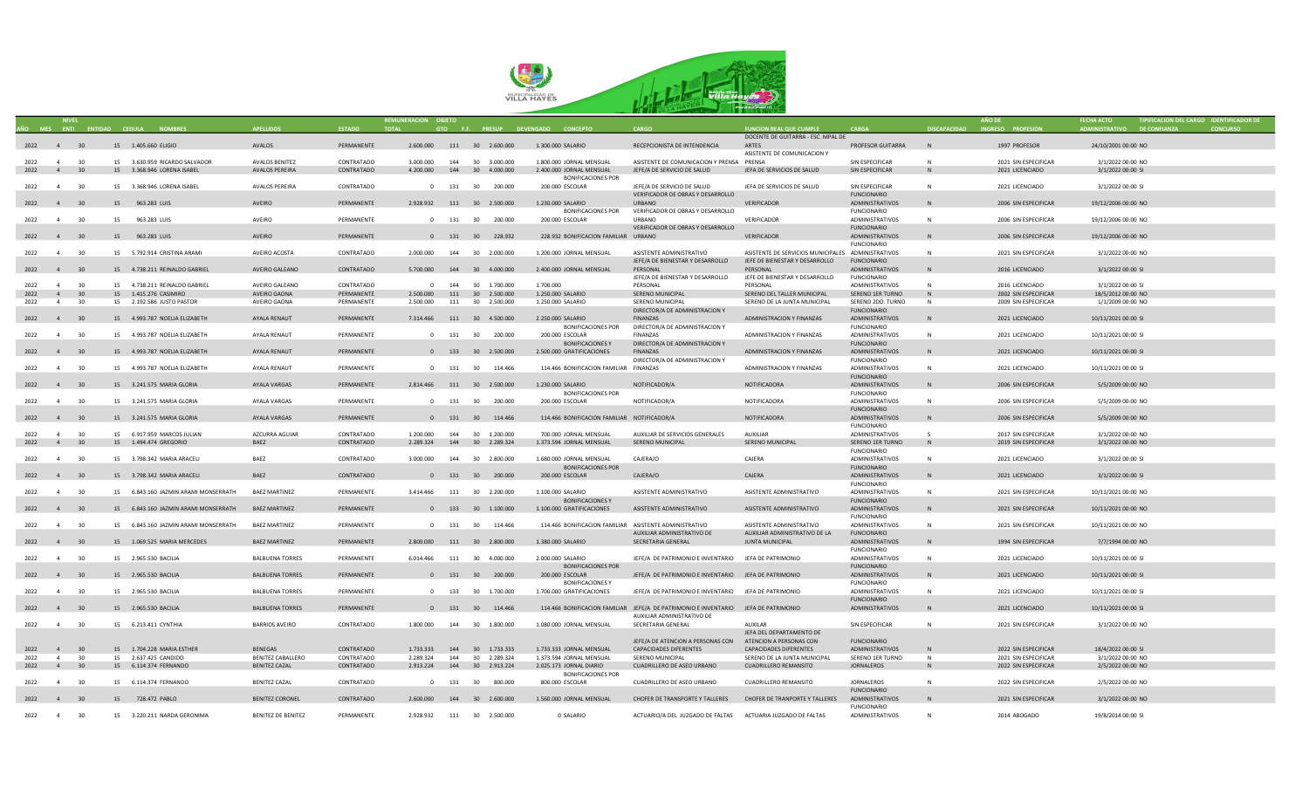

|           | <b>NIVEL</b>   |    |                                      |                           |               | REMUNERACION OBJETO |     |                               |                                                        |                                                                                                                  |                                                    |                                              |                     | AÑO DE               | <b>FECHA ACTO</b>           | TIPIFICACION DEL CARGO IDENTIFICADOR DE |
|-----------|----------------|----|--------------------------------------|---------------------------|---------------|---------------------|-----|-------------------------------|--------------------------------------------------------|------------------------------------------------------------------------------------------------------------------|----------------------------------------------------|----------------------------------------------|---------------------|----------------------|-----------------------------|-----------------------------------------|
|           |                |    | AÑO MES ENTI ENTIDAD CEDULA NOMBRES  | <b>APELLIDOS</b>          | <b>ESTADO</b> | <b>TOTAL</b>        |     |                               | GTO F.F. PRESUP DEVENGADO CONCEPTO                     | CARGO                                                                                                            | <b>FUNCION REAL QUE CUMPLE</b>                     | <b>CARGA</b>                                 | <b>DISCAPACIDAD</b> | INGRESO PROFESION    | ADMINISTRATIVO DE CONFIANZA | <b>CONCURSO</b>                         |
|           |                |    |                                      |                           |               |                     |     |                               |                                                        |                                                                                                                  | DOCENTE DE GUITARRA - ESC. MPAL DE                 |                                              |                     |                      |                             |                                         |
| 2022 4 30 |                |    | 15 1.405.660 ELIGIO                  | AVALOS                    | PERMANENTE    |                     |     | 2.600.000 111 30 2.600.000    | 1.300.000 SALARIO                                      | RECEPCIONISTA DE INTENDENCIA                                                                                     | ARTES                                              | PROFESOR GUITARRA                            | N                   | 1997 PROFESOR        | 24/10/2001 00:00 NO         |                                         |
| 2022 4    |                | 30 | 15 3.630.959 RICARDO SALVADOR        | <b>AVALOS BENITEZ</b>     | CONTRATADO    | 3.000.000           |     | 144 30 3.000.000              | 1.800.000 JORNAL MENSUAL                               | ASISTENTE DE COMUNICACION Y PRENSA PRENSA                                                                        | ASISTENTE DE COMUNICACION Y                        | SIN ESPECIFICAR                              | N                   | 2021 SIN ESPECIFICAR | 3/1/2022 00:00 NO           |                                         |
| 2022 4 30 |                |    | 15 3.368.946 LORENA ISABEL           | AVALOS PEREIRA            | CONTRATADO    |                     |     | 4.200.000  144  30  4.000.000 | 2.400.000 JORNAL MENSUAL                               | JEFE/A DE SERVICIO DE SALUD                                                                                      | JEFA DE SERVICIOS DE SALUD                         | SIN ESPECIFICAR                              | N                   | 2021 LICENCIADO      | 3/1/2022 00:00 SI           |                                         |
|           |                |    |                                      |                           |               |                     |     |                               | <b>BONIFICACIONES POR</b>                              |                                                                                                                  |                                                    |                                              |                     |                      |                             |                                         |
| 2022      | $\overline{4}$ | 30 | 15 3.368.946 LORENA ISABEL           | <b>AVALOS PEREIRA</b>     | CONTRATADO    |                     |     | 0 131 30 200.000              | 200.000 ESCOLAR                                        | JEFE/A DE SERVICIO DE SALUD                                                                                      | JEFA DE SERVICIOS DE SALUD                         | SIN ESPECIFICAR                              | N                   | 2021 LICENCIADO      | 3/1/2022 00:00 SI           |                                         |
|           |                |    |                                      |                           |               |                     |     |                               |                                                        | VERIFICADOR DE OBRAS Y DESARROLLO                                                                                |                                                    | <b>FUNCIONARIO</b>                           |                     |                      |                             |                                         |
|           | 2022 4 30      |    | 15 963.283 LUIS                      | AVEIRO                    | PERMANENTE    |                     |     | 2.928.932 111 30 2.500.000    | 1,230,000 SALARIO                                      | <b>URBANO</b>                                                                                                    | <b>VERIFICADOR</b>                                 | ADMINISTRATIVOS                              | <b>N</b>            | 2006 SIN ESPECIFICAR | 19/12/2006 00:00 NO         |                                         |
|           |                |    |                                      |                           |               |                     |     |                               | <b>BONIFICACIONES POR</b>                              | VERIFICADOR DE OBRAS Y DESARROLLO                                                                                |                                                    | <b>FUNCIONARIO</b>                           |                     |                      |                             |                                         |
| 2022      | $\overline{4}$ | 30 | 15 963.283 LUIS                      | AVEIRO                    | PERMANENTE    |                     |     | 0 131 30 200.000              | 200,000 ESCOLAR                                        | <b>LIRRANO</b>                                                                                                   | <b>VERIFICADOR</b>                                 | ADMINISTRATIVOS                              | <b>N</b>            | 2006 SIN ESPECIFICAR | 19/12/2006 00:00 NO         |                                         |
|           |                |    |                                      |                           |               |                     |     |                               |                                                        | VERIFICADOR DE OBRAS Y DESARROLLO                                                                                |                                                    | <b>FUNCIONARIO</b>                           |                     |                      |                             |                                         |
|           | 2022 4 30      |    | 15 963.283 LUIS                      | AVEIRO                    | PERMANENTE    |                     |     | 0 131 30 228.932              | 228.932 BONIFICACION FAMILIAR URBANO                   |                                                                                                                  | VERIFICADOR                                        | ADMINISTRATIVOS                              | N                   | 2006 SIN ESPECIFICAR | 19/12/2006 00:00 NO         |                                         |
|           |                |    |                                      |                           |               |                     |     |                               |                                                        |                                                                                                                  |                                                    | <b>FUNCIONARIO</b>                           |                     |                      |                             |                                         |
| 2022      | 4              | 30 | 15 5.792.914 CRISTINA ARAMI          | AVEIRO ACOSTA             | CONTRATADO    | 2.000.000           |     | 144 30 2.000.000              | 1.200.000 JORNAL MENSUAL                               | ASISTENTE ADMINISTRATIVO                                                                                         | ASISTENTE DE SERVICIOS MUNICIPALES ADMINISTRATIVOS |                                              | N                   | 2021 SIN ESPECIFICAR | 3/1/2022 00:00 NO           |                                         |
|           | 2022 4 30      |    | 15 4.738.211 REINALDO GABRIEL        | AVEIRO GALEANO            | CONTRATADO    | 5.700.000           |     | 144 30 4.000.000              | 2.400.000 JORNAL MENSUAL                               | JEFE/A DE BIENESTAR Y DESARROLLO<br>PERSONAL                                                                     | JEFE DE BIENESTAR Y DESARROLLO<br>PERSONAL         | <b>FUNCIONARIO</b><br><b>ADMINISTRATIVOS</b> |                     | 2016 LICENCIADO      | 3/1/2022 00:00 SI           |                                         |
|           |                |    |                                      |                           |               |                     |     |                               |                                                        | JEFE/A DE BIENESTAR Y DESARROLLO                                                                                 | JEFE DE BIENESTAR Y DESARROLLO                     | <b>FUNCIONARIO</b>                           |                     |                      |                             |                                         |
| 2022      | $\overline{4}$ | 30 | 15 4.738.211 REINALDO GABRIEL        | AVEIRO GALEANO            | CONTRATADO    | $\overline{0}$      |     | 144 30 1.700.000              | 1.700.000                                              | PERSONAL                                                                                                         | PERSONAL                                           | ADMINISTRATIVOS                              |                     | 2016 LICENCIADO      | 3/1/2022 00:00 SI           |                                         |
| 2022      | 4              | 30 | 15  1.415.276  CASIMIRO              | AVEIRO GAONA              | PERMANENTE    | 2.500.000           |     | 111 30 2.500.000              | 1.250.000 SALARIO                                      | SERENO MUNICIPAL                                                                                                 | SERENO DEL TALLER MUNICIPAL                        | SERENO 1ER TURNO                             | N                   | 2002 SIN ESPECIFICAR | 18/5/2012 00:00 NO          |                                         |
| 2022      | 4              | 30 | 15 2.192.586 JUSTO PASTOR            | AVEIRO GAONA              | PERMANENTE    | 2.500.000           |     | 111 30 2.500.000              | 1.250.000 SALARIO                                      | SERENO MUNICIPAL                                                                                                 | SERENO DE LA JUNTA MUNICIPAL                       | SERENO 2DO. TURNO                            | N                   | 2009 SIN ESPECIFICAR | 1/1/2009 00:00 NO           |                                         |
|           |                |    |                                      |                           |               |                     |     |                               |                                                        | DIRECTOR/A DE ADMINISTRACION Y                                                                                   |                                                    | <b>FUNCIONARIO</b>                           |                     |                      |                             |                                         |
| 2022 4 30 |                |    | 15 4.993.787 NOELIA ELIZABETH        | AYALA RENAUT              | PERMANENTE    |                     |     | 7.314.466 111 30 4.500.000    | 2.250.000 SALARIO                                      | <b>FINANZAS</b>                                                                                                  | ADMINISTRACION Y FINANZAS                          | <b>ADMINISTRATIVOS</b>                       | <b>N</b>            | 2021 LICENCIADO      | 10/11/2021 00:00 SI         |                                         |
|           |                |    |                                      |                           |               |                     |     |                               | <b>BONIFICACIONES POR</b>                              | DIRECTOR/A DE ADMINISTRACION Y                                                                                   |                                                    | <b>FUNCIONARIO</b>                           |                     |                      |                             |                                         |
| 2022      | $\overline{4}$ | 30 | 15 4.993.787 NOELIA ELIZABETH        | AYALA RENAUT              | PERMANENTE    |                     |     | 0 131 30 200,000              | 200.000 ESCOLAR                                        | <b>FINANZAS</b>                                                                                                  | ADMINISTRACION Y FINANZAS                          | <b>ADMINISTRATIVOS</b>                       | N                   | 2021 LICENCIADO      | 10/11/2021 00:00 SI         |                                         |
|           |                |    |                                      |                           |               |                     |     |                               | <b>BONIFICACIONES Y</b>                                | DIRECTOR/A DE ADMINISTRACION Y                                                                                   |                                                    | <b>FUNCIONARIO</b>                           |                     |                      |                             |                                         |
| 2022 4    |                | 30 | 15 4.993.787 NOELIA ELIZABETH        | AYALA RENAUT              | PERMANENTE    |                     |     | 0 133 30 2.500.000            | 2.500.000 GRATIFICACIONES                              | <b>FINANZAS</b>                                                                                                  | ADMINISTRACION Y FINANZAS                          | ADMINISTRATIVOS                              | N                   | 2021 LICENCIADO      | 10/11/2021 00:00 SI         |                                         |
|           | $\overline{a}$ |    |                                      |                           |               |                     |     |                               |                                                        | DIRECTOR/A DE ADMINISTRACION Y                                                                                   |                                                    | <b>FUNCIONARIO</b>                           |                     |                      |                             |                                         |
| 2022      |                | 30 | 15 4.993.787 NOELIA ELIZABETH        | AYALA RENAUT              | PERMANENTE    |                     |     | 0 131 30 114.466              | 114.466 BONIFICACION FAMILIAR FINANZAS                 |                                                                                                                  | ADMINISTRACION Y FINANZAS                          | ADMINISTRATIVOS<br><b>FUNCIONARIO</b>        | <b>N</b>            | 2021 LICENCIADO      | 10/11/2021 00:00 SI         |                                         |
|           | 2022 4 30      |    | 15 3.241.575 MARIA GLORIA            | AYALA VARGAS              | PERMANENTE    |                     |     | 2.814.466 111 30 2.500.000    | 1.230.000 SALARIO                                      | NOTIFICADOR/A                                                                                                    | NOTIFICADORA                                       | ADMINISTRATIVOS                              |                     | 2006 SIN ESPECIFICAR | 5/5/2009 00:00 NO           |                                         |
|           |                |    |                                      |                           |               |                     |     |                               | <b>BONIFICACIONES POR</b>                              |                                                                                                                  |                                                    | <b>FUNCIONARIO</b>                           |                     |                      |                             |                                         |
| 2022      | $\overline{4}$ | 30 | 15 3.241.575 MARIA GLORIA            | AYALA VARGAS              | PERMANENTE    |                     |     | 0 131 30 200.000              | 200.000 ESCOLAR                                        | NOTIFICADOR/A                                                                                                    | NOTIFICADORA                                       | ADMINISTRATIVOS                              |                     | 2006 SIN ESPECIFICAR | 5/5/2009 00:00 NO           |                                         |
|           |                |    |                                      |                           |               |                     |     |                               |                                                        |                                                                                                                  |                                                    | <b>FUNCIONARIO</b>                           |                     |                      |                             |                                         |
|           | 2022 4 30      |    | 15 3.241.575 MARIA GLORIA            | AYALA VARGAS              | PERMANENTE    |                     |     | 0 131 30 114.466              | 114.466 BONIFICACION FAMILIAR NOTIFICADOR/A            |                                                                                                                  | NOTIFICADORA                                       | ADMINISTRATIVOS                              |                     | 2006 SIN ESPECIFICAR | 5/5/2009 00:00 NO           |                                         |
|           |                |    |                                      |                           |               |                     |     |                               |                                                        |                                                                                                                  |                                                    | <b>FUNCIONARIO</b>                           |                     |                      |                             |                                         |
| 2022      | $\overline{4}$ | 30 | 15 6.917.959 MARCOS JULIAN           | AZCURRA AGUIAR            | CONTRATADO    | 1.200.000           |     | 144 30 1.200.000              | 700.000 IORNAL MENSUAL                                 | AUXILIAR DE SERVICIOS GENERALES                                                                                  | AUXILIAR                                           | ADMINISTRATIVOS                              | $\leq$              | 2017 SIN ESPECIFICAR | 3/1/2022 00:00 NO           |                                         |
| 2022 4 30 |                |    | 15  1.494.474  GREGORIO              | BAEZ                      | CONTRATADO    | 2.289.324           |     | 144 30 2.289.324              | 1.373.594 JORNAL MENSUAL                               | SERENO MUNICIPAL                                                                                                 | SERENO MUNICIPAL                                   | SERENO 1ER TURNO                             | N                   | 2019 SIN ESPECIFICAR | 3/1/2022 00:00 NO           |                                         |
|           |                |    |                                      |                           |               |                     |     |                               |                                                        |                                                                                                                  |                                                    | <b>FUNCIONARIO</b>                           |                     |                      |                             |                                         |
|           | 2022 4 30      |    | 15 3.798.342 MARIA ARACELI           | BAEZ                      | CONTRATADO    | 3,000,000           |     | 144 30 2.800.000              | 1.680.000 JORNAL MENSUAL                               | CAJERA/O                                                                                                         | CAJERA                                             | ADMINISTRATIVOS                              | <b>N</b>            | 2021 LICENCIADO      | 3/1/2022 00:00 SI           |                                         |
|           |                |    |                                      |                           |               |                     |     |                               | <b>BONIFICACIONES POR</b>                              |                                                                                                                  |                                                    | <b>FUNCIONARIO</b>                           |                     |                      |                             |                                         |
|           | 2022 4 30      |    | 15 3.798.342 MARIA ARACELI           | BAF7                      | CONTRATADO    |                     |     | 0 131 30 200.000              | 200.000 ESCOLAR                                        | CAJERA/O                                                                                                         | CAIFRA                                             | ADMINISTRATIVOS                              |                     | 2021 LICENCIADO      | 3/1/2022 00:00 SI           |                                         |
|           | 2022 4 30      |    | 15 6.843.160 JAZMIN ARAMI MONSERRATH | <b>BAEZ MARTINEZ</b>      | PERMANENTE    |                     |     | 3.414.466 111 30 2.200.000    | 1.100.000 SALARIO                                      | ASISTENTE ADMINISTRATIVO                                                                                         | ASISTENTE ADMINISTRATIVO                           | <b>FUNCIONARIO</b><br>ADMINISTRATIVOS        | N                   | 2021 SIN ESPECIFICAR | 10/11/2021 00:00 NO         |                                         |
|           |                |    |                                      |                           |               |                     |     |                               | <b>BONIFICACIONES Y</b>                                |                                                                                                                  |                                                    | <b>FUNCIONARIO</b>                           |                     |                      |                             |                                         |
|           | 2022 4 30      |    | 15 6.843.160 JAZMIN ARAMI MONSERRATH | <b>BAEZ MARTINEZ</b>      | PERMANENTE    |                     |     | 0 133 30 1.100.000            | 1.100.000 GRATIFICACIONES                              | ASISTENTE ADMINISTRATIVO                                                                                         | ASISTENTE ADMINISTRATIVO                           | <b>ADMINISTRATIVOS</b>                       |                     | 2021 SIN ESPECIFICAR | 10/11/2021 00:00 NO         |                                         |
|           |                |    |                                      |                           |               |                     |     |                               |                                                        |                                                                                                                  |                                                    | <b>FUNCIONARIO</b>                           |                     |                      |                             |                                         |
| 2022      | 4 30           |    | 15 6.843.160 JAZMIN ARAMI MONSERRATH | <b>BAEZ MARTINEZ</b>      | PERMANENTE    |                     |     | 0 131 30 114.466              | 114.466 BONIFICACION FAMILIAR ASISTENTE ADMINISTRATIVO |                                                                                                                  | ASISTENTE ADMINISTRATIVO                           | ADMINISTRATIVOS                              | N                   | 2021 SIN ESPECIFICAR | 10/11/2021 00:00 NO         |                                         |
|           |                |    |                                      |                           |               |                     |     |                               |                                                        | AUXILIAR ADMINISTRATIVO DE                                                                                       | AUXILIAR ADMINISTRATIVO DE LA                      | <b>FUNCIONARIO</b>                           |                     |                      |                             |                                         |
|           | 2022 4 30      |    | 15 1.069.525 MARIA MERCEDES          | <b>BAEZ MARTINEZ</b>      | PERMANENTE    |                     |     | 2.800.000 111 30 2.800.000    | 1.380.000 SALARIO                                      | SECRETARIA GENERAL                                                                                               | JUNTA MUNICIPAL                                    | ADMINISTRATIVOS                              |                     | 1994 SIN ESPECIFICAR | 7/7/1994 00:00 NO           |                                         |
|           |                |    |                                      |                           |               |                     |     |                               |                                                        |                                                                                                                  |                                                    | <b>FUNCIONARIO</b>                           |                     |                      |                             |                                         |
|           | 2022 4 30      |    | 15 2.965.530 BACILIA                 | <b>BALBUENA TORRES</b>    | PERMANENTE    |                     |     | 6.014.466 111 30 4.000.000    | 2,000,000 SALARIO                                      | JEFE/A DE PATRIMONIO E INVENTARIO JEFA DE PATRIMONIO                                                             |                                                    | ADMINISTRATIVOS                              | <b>N</b>            | 2021 LICENCIADO      | 10/11/2021 00:00 SI         |                                         |
|           |                |    |                                      |                           |               |                     |     |                               | <b>BONIFICACIONES POR</b>                              |                                                                                                                  |                                                    | <b>FUNCIONARIO</b>                           |                     |                      |                             |                                         |
|           | 2022 4 30      |    | 15 2.965.530 BACILIA                 | <b>BALBUENA TORRES</b>    | PERMANENTE    |                     |     | 0 131 30 200.000              | 200.000 ESCOLAR                                        | JEFE/A DE PATRIMONIO E INVENTARIO JEFA DE PATRIMONIO                                                             |                                                    | ADMINISTRATIVOS                              | <b>N</b>            | 2021 LICENCIADO      | 10/11/2021 00:00 SI         |                                         |
|           |                |    |                                      |                           |               |                     |     |                               | <b>BONIFICACIONESY</b>                                 |                                                                                                                  |                                                    | <b>FUNCIONARIO</b>                           |                     |                      |                             |                                         |
| 2022 4    |                | 30 | 15 2.965.530 BACILIA                 | <b>BALBUENA TORRES</b>    | PERMANENTE    |                     |     | 0 133 30 1.700.000            | 1.700.000 GRATIFICACIONES                              | JEFE/A DE PATRIMONIO E INVENTARIO JEFA DE PATRIMONIO                                                             |                                                    | ADMINISTRATIVOS                              | N                   | 2021 LICENCIADO      | 10/11/2021 00:00 SI         |                                         |
|           |                |    |                                      |                           |               |                     |     |                               |                                                        |                                                                                                                  |                                                    | <b>FUNCIONARIO</b>                           |                     |                      |                             |                                         |
|           | 2022 4 30      |    | 15 2.965.530 BACILIA                 | <b>BALBUENA TORRES</b>    | PERMANENTE    |                     |     | 0 131 30 114.466              |                                                        | 114.466 BONIFICACION FAMILIAR JEFE/A DE PATRIMONIO E INVENTARIO JEFA DE PATRIMONIO<br>AUXILIAR ADMINISTRATIVO DE |                                                    | ADMINISTRATIVOS                              | N                   | 2021 LICENCIADO      | 10/11/2021 00:00 SI         |                                         |
| 2022      | $\overline{4}$ | 30 | 15 6.213.411 CYNTHIA                 | <b>BARRIOS AVEIRO</b>     | CONTRATADO    | 1.800.000           |     | 144 30 1.800.000              | 1.080.000 JORNAL MENSUAL                               | SECRETARIA GENERAL                                                                                               | AUXILAR                                            | SIN ESPECIFICAR                              | N                   | 2021 SIN ESPECIFICAR | 3/1/2022 00:00 NO           |                                         |
|           |                |    |                                      |                           |               |                     |     |                               |                                                        |                                                                                                                  | JEFA DEL DEPARTAMENTO DE                           |                                              |                     |                      |                             |                                         |
|           |                |    |                                      |                           |               |                     |     |                               |                                                        | JEFE/A DE ATENCION A PERSONAS CON ATENCION A PERSONAS CON                                                        |                                                    | <b>FUNCIONARIO</b>                           |                     |                      |                             |                                         |
| 2022      | $\overline{4}$ | 30 | 15 1.704.228 MARIA ESTHER            | BENEGAS                   | CONTRATADO    | 1,733,333           |     | 144 30 1.733.333              | 1.733.333 JORNAL MENSUAL                               | <b>CAPACIDADES DIFERENTES</b>                                                                                    | CAPACIDADES DIFERENTES                             | <b>ADMINISTRATIVOS</b>                       | N                   | 2022 SIN ESPECIFICAR | 18/4/2022 00:00 SI          |                                         |
| 2022      | $\overline{a}$ | 30 | 15 2.637.425 CANDIDO                 | BENITEZ CABALLERO         | CONTRATADO    | 2.289.324           | 144 | 30 2.289.324                  | 1.373.594 IORNAI MENSUAI                               | SERENO MUNICIPAL                                                                                                 | SERENO DE LA IUNTA MUNICIPAL                       | SERENO 1ER TURNO                             | <b>N</b>            | 2021 SIN ESPECIFICAR | 3/1/2022 00:00 NO           |                                         |
| 2022      | $\overline{4}$ | 30 | 15 6.114.374 FERNANDO                | <b>BENITEZ CAZAL</b>      | CONTRATADO    | 2.913.224           |     | 144 30 2.913.224              | 2.025.173 JORNAL DIARIO                                | CUADRILLERO DE ASEO URBANO                                                                                       | <b>CUADRILLERO REMANSITO</b>                       | JORNALEROS                                   | N                   | 2022 SIN ESPECIFICAR | 2/5/2022 00:00 NO           |                                         |
|           |                |    |                                      |                           |               |                     |     |                               | <b>BONIFICACIONES POR</b>                              |                                                                                                                  |                                                    |                                              |                     |                      |                             |                                         |
| 2022      | $\overline{a}$ | 30 | 15 6.114.374 FERNANDO                | <b>BENITEZ CAZAL</b>      | CONTRATADO    |                     |     | 0 131 30 800.000              | 800.000 ESCOLAR                                        | CUADRILLERO DE ASEO URBANO                                                                                       | CUADRILLERO REMANSITO                              | <b>IORNAL FROS</b>                           | <b>N</b>            | 2022 SIN ESPECIFICAR | 2/5/2022 00:00 NO           |                                         |
|           |                |    |                                      |                           |               |                     |     |                               |                                                        |                                                                                                                  |                                                    | <b>FUNCIONARIO</b>                           |                     |                      |                             |                                         |
|           | 2022 4 30      |    | 15 728.472 PABLO                     | <b>BENITEZ CORONEL</b>    | CONTRATADO    | 2.600.000           |     | 144 30 2.600.000              | 1.560.000 JORNAL MENSUAL                               | CHOFER DE TRANSPORTE Y TALLERES                                                                                  | CHOFER DE TRANPORTE Y TALLERES                     | ADMINISTRATIVOS                              | N                   | 2021 SIN ESPECIFICAR | 3/1/2022 00:00 NO           |                                         |
|           |                |    |                                      |                           |               |                     |     |                               |                                                        |                                                                                                                  |                                                    | <b>FUNCIONARIO</b>                           |                     |                      |                             |                                         |
| 2022      | 4 <sup>1</sup> | 30 | 15 3.220.211 NARDA GERONIMA          | <b>BENITEZ DE BENITEZ</b> | PERMANENTE    | 2.928.932           |     | 111 30 2.500.000              | 0 SALARIO                                              | ACTUARIO/A DEL JUZGADO DE FALTAS ACTUARIA JUZGADO DE FALTAS                                                      |                                                    | ADMINISTRATIVOS                              |                     | 2014 ABOGADO         | 19/8/2014 00:00 SI          |                                         |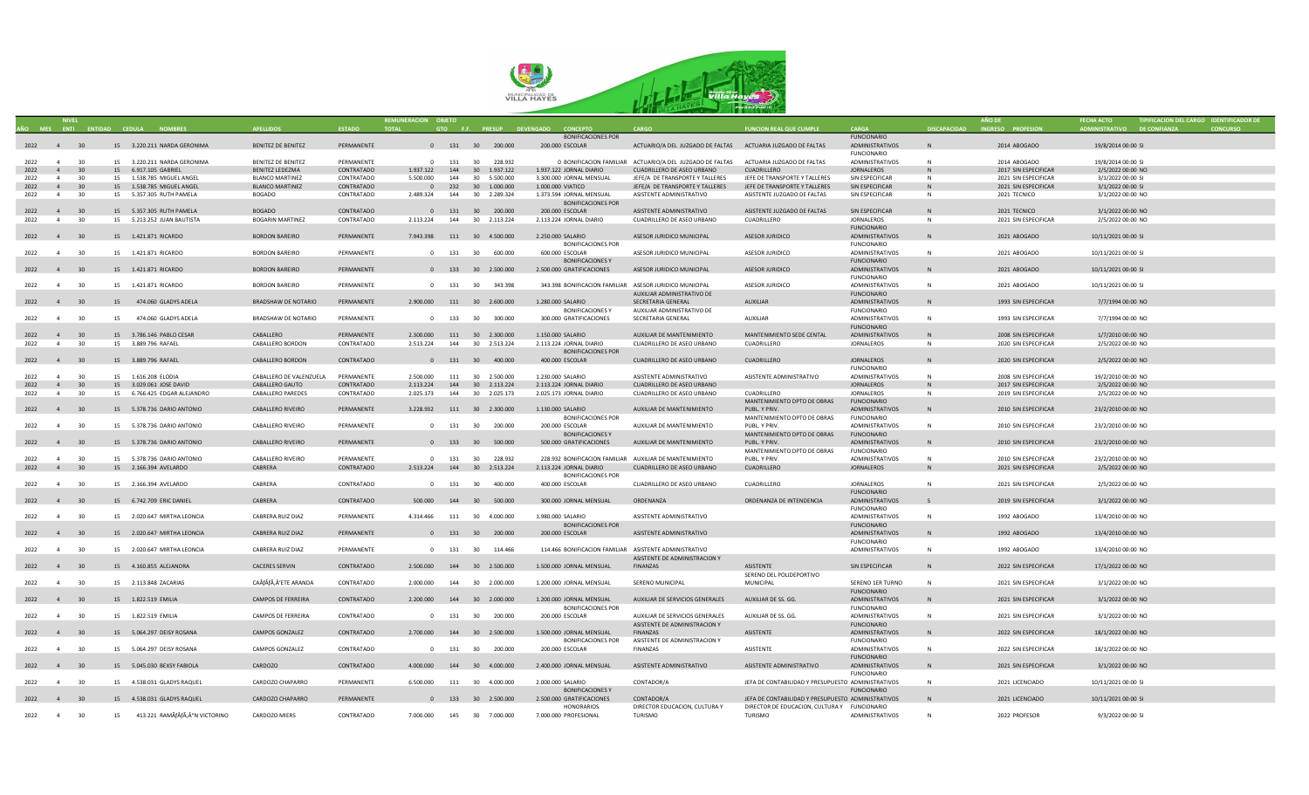

|           |                |                 |                                     |                            |               | REMUNERACION OBJETO           |         |                        |                                                         |                                                                                     |                                                    |                        |                     | <b>AÑO DE</b>        |                             | TIPIFICACION DEL CARGO IDENTIFICADOR DE |
|-----------|----------------|-----------------|-------------------------------------|----------------------------|---------------|-------------------------------|---------|------------------------|---------------------------------------------------------|-------------------------------------------------------------------------------------|----------------------------------------------------|------------------------|---------------------|----------------------|-----------------------------|-----------------------------------------|
|           |                |                 | AÑO MES ENTI ENTIDAD CEDULA NOMBRES | <b>APFILIDOS</b>           | <b>ESTADO</b> | <b>TOTAL</b>                  |         |                        | GTO F.F. PRESUP DEVENGADO CONCEPTO                      | CARGO                                                                               | <b>FUNCION REAL QUE CUMPLE</b>                     | CARGA                  | <b>DISCAPACIDAD</b> | INGRESO PROFESION    | ADMINISTRATIVO DE CONFIANZA | <b>CONCURSO</b>                         |
|           |                |                 |                                     |                            |               |                               |         |                        | <b>BONIFICACIONES POR</b>                               |                                                                                     |                                                    | <b>FUNCIONARIO</b>     |                     |                      |                             |                                         |
| 2022 4 30 |                |                 | 15 3.220.211 NARDA GERONIMA         | <b>BENITEZ DE BENITEZ</b>  | PERMANENTE    |                               |         | 0 131 30 200.000       | 200.000 ESCOLAR                                         | ACTUARIO/A DEL JUZGADO DE FALTAS ACTUARIA JUZGADO DE FALTAS                         |                                                    | ADMINISTRATIVOS        | N                   | 2014 ABOGADO         | 19/8/2014 00:00 SI          |                                         |
|           |                |                 |                                     |                            |               |                               |         |                        |                                                         |                                                                                     |                                                    | <b>FUNCIONARIO</b>     |                     |                      |                             |                                         |
| 2022      | 4              | 30              | 15 3.220.211 NARDA GERONIMA         | <b>BENITEZ DE BENITEZ</b>  | PERMANENTE    |                               |         | 0 131 30 228.932       |                                                         | 0 BONIFICACION FAMILIAR ACTUARIO/A DEL JUZGADO DE FALTAS ACTUARIA JUZGADO DE FALTAS |                                                    | ADMINISTRATIVOS        | $\mathsf{N}$        | 2014 ABOGADO         | 19/8/2014 00:00 SI          |                                         |
| 2022      | $\overline{4}$ | 30 <sup>°</sup> | 15 6.917.105 GABRIEL                | <b>BENITEZ LEDEZMA</b>     | CONTRATADO    | 1.937.122                     | 144     | 30 1.937.122           | 1.937.122 JORNAL DIARIO                                 | CUADRILLERO DE ASEO URBANO                                                          | <b>CUADRILLERO</b>                                 | <b>JORNALEROS</b>      | N                   | 2017 SIN ESPECIFICAR | 2/5/2022 00:00 NO           |                                         |
| 2022      | $\overline{4}$ | 30              | 15 1.538.785 MIGUEL ANGEL           | <b>BLANCO MARTINEZ</b>     | CONTRATADO    | 5.500.000                     | 144     | 30 5.500.000           | 3.300.000 JORNAL MENSUAL                                | JEFE/A DE TRANSPORTE Y TALLERES                                                     | JEFE DE TRANSPORTE Y TALLERES                      | SIN ESPECIFICAR        | N                   | 2021 SIN ESPECIFICAR | 3/1/2022 00:00 SI           |                                         |
| 2022      | 4              | $30^{\circ}$    | 15 1.538.785 MIGUEL ANGEL           | <b>BLANCO MARTINEZ</b>     | CONTRATADO    |                               |         | 0 232 30 1.000.000     | 1.000.000 VIATICO                                       | JEFE/A DE TRANSPORTE Y TALLERES                                                     | JEFE DE TRANSPORTE Y TALLERES                      | SIN ESPECIFICAR        | N                   | 2021 SIN ESPECIFICAR | 3/1/2022 00:00 SI           |                                         |
| 2022      | $\overline{4}$ | 30              | 15 5.357.305 RUTH PAMELA            | <b>BOGADO</b>              | CONTRATADO    | 2.489.324                     |         | 144 30 2.289.324       | 1.373.594 IORNAI MENSUAI                                | ASISTENTE ADMINISTRATIVO                                                            | ASISTENTE JUZGADO DE FALTAS                        | SIN ESPECIFICAR        | N                   | 2021 TECNICO         | 3/1/2022 00:00 NO           |                                         |
|           |                |                 |                                     |                            |               |                               |         |                        | <b>BONIFICACIONES POR</b>                               |                                                                                     |                                                    |                        |                     |                      |                             |                                         |
| 2022 4    |                | 30              | 15 5.357.305 RUTH PAMELA            | <b>BOGADO</b>              | CONTRATADO    |                               |         | 0 131 30 200.000       | 200.000 ESCOLAR                                         | ASISTENTE ADMINISTRATIVO                                                            | ASISTENTE JUZGADO DE FALTAS                        | SIN ESPECIFICAR        | N                   | 2021 TECNICO         | 3/1/2022 00:00 NO           |                                         |
| 2022      | 4 <sup>1</sup> | 30              | 15   5.213.252   JUAN BAUTISTA      | <b>BOGARIN MARTINEZ</b>    | CONTRATADO    | 2.113.224                     |         | 144 30 2.113.224       | 2.113.224 JORNAL DIARIO                                 | CUADRILLERO DE ASEO URBANO                                                          | CUADRILLERO                                        | <b>JORNALEROS</b>      | N                   | 2021 SIN ESPECIFICAR | 2/5/2022 00:00 NO           |                                         |
|           |                |                 |                                     |                            |               |                               |         |                        |                                                         |                                                                                     |                                                    | <b>FUNCIONARIO</b>     |                     |                      |                             |                                         |
| 2022 4 30 |                |                 | 15  1.421.871  RICARDO              | <b>BORDON BAREIRO</b>      | PERMANENTE    | 7.943.398 111 30 4.500.000    |         |                        | 2.250.000 SALARIO                                       | ASESOR JURIDICO MUNICIPAL                                                           | ASESOR JURIDICO                                    | ADMINISTRATIVOS        | N                   | 2021 ABOGADO         | 10/11/2021 00:00 SI         |                                         |
|           |                |                 |                                     |                            |               |                               |         |                        | <b>BONIFICACIONES POR</b>                               |                                                                                     |                                                    | <b>FUNCIONARIO</b>     |                     |                      |                             |                                         |
| 2022      | $\overline{4}$ | 30              | 15  1.421.871  RICARDO              | <b>BORDON BAREIRO</b>      | PERMANENTE    | $\Omega$                      | 131     | 30 600.000             | 600.000 ESCOLAR                                         | ASESOR JURIDICO MUNICIPAL                                                           | ASESOR JURIDICO                                    | ADMINISTRATIVOS        | $\mathsf{N}$        | 2021 ABOGADO         | 10/11/2021 00:00 SI         |                                         |
|           |                |                 |                                     |                            |               |                               |         |                        | <b>BONIFICACIONES Y</b>                                 |                                                                                     |                                                    | <b>FUNCIONARIO</b>     |                     |                      |                             |                                         |
| 2022 4 30 |                |                 | 15  1.421.871  RICARDO              | <b>BORDON BAREIRO</b>      | PERMANENTE    |                               |         | 0 133 30 2.500.000     | 2.500.000 GRATIFICACIONES                               | ASESOR JURIDICO MUNICIPAL                                                           | ASESOR JURIDICO                                    | ADMINISTRATIVOS        | N                   | 2021 ABOGADO         | 10/11/2021 00:00 SI         |                                         |
|           |                |                 |                                     |                            |               |                               |         |                        |                                                         |                                                                                     |                                                    | <b>FUNCIONARIO</b>     |                     |                      |                             |                                         |
|           |                | 30              |                                     | <b>BORDON BAREIRO</b>      | PERMANENTE    |                               |         |                        | 343.398 BONIFICACION FAMILIAR ASESOR JURIDICO MUNICIPAL |                                                                                     | ASESOR IURIDICO                                    |                        | N                   | 2021 ABOGADO         | 10/11/2021 00:00 SI         |                                         |
| 2022 4    |                |                 | 15  1.421.871  RICARDO              |                            |               |                               |         | 0 131 30 343.398       |                                                         | AUXILIAR ADMINISTRATIVO DE                                                          |                                                    | ADMINISTRATIVOS        |                     |                      |                             |                                         |
|           |                |                 |                                     |                            |               |                               |         |                        |                                                         |                                                                                     |                                                    | <b>FUNCIONARIO</b>     |                     |                      |                             |                                         |
| 2022 4 30 |                |                 | 15 474.060 GLADYS ADELA             | BRADSHAW DE NOTARIO        | PERMANENTE    | 2.900.000 111 30 2.600.000    |         |                        | 1.280.000 SALARIO                                       | SECRETARIA GENERAL                                                                  | <b>AUXILIAR</b>                                    | ADMINISTRATIVOS        | N                   | 1993 SIN ESPECIFICAR | 7/7/1994 00:00 NO           |                                         |
|           |                |                 |                                     |                            |               |                               |         |                        | <b>BONIFICACIONES Y</b>                                 | AUXILIAR ADMINISTRATIVO DE                                                          |                                                    | <b>FUNCIONARIO</b>     |                     |                      |                             |                                         |
| 2022      | $\overline{4}$ | 30              | 15 474.060 GLADYS ADELA             | <b>BRADSHAW DE NOTARIO</b> | PERMANENTE    |                               |         | 0 133 30 300.000       | 300.000 GRATIFICACIONES                                 | SECRETARIA GENERAL                                                                  | AUXILIAR                                           | ADMINISTRATIVOS        | N                   | 1993 SIN ESPECIFICAR | 7/7/1994 00:00 NO           |                                         |
|           |                |                 |                                     |                            |               |                               |         |                        |                                                         |                                                                                     |                                                    | <b>FUNCIONARIO</b>     |                     |                      |                             |                                         |
| 2022      | $\overline{4}$ | 30              | 15 3.786.146 PABLO CESAR            | CABALLERO                  | PERMANENTE    | 2.300.000 111 30 2.300.000    |         |                        | 1.150.000 SALARIO                                       | AUXILIAR DE MANTENIMIENTO                                                           | MANTENIMIENTO SEDE CENTAL                          | ADMINISTRATIVOS        | N                   | 2008 SIN ESPECIFICAR | 1/7/2010 00:00 NO           |                                         |
| 2022      | $\overline{4}$ | 30              | 15 3.889.796 RAFAEL                 | CABALLERO BORDON           | CONTRATADO    | 2.513.224                     | 144     | 30 2.513.224           | 2.113.224 JORNAL DIARIO                                 | CUADRILLERO DE ASEO URBANO                                                          | CUADRILLERO                                        | <b>JORNALEROS</b>      | N                   | 2020 SIN ESPECIFICAR | 2/5/2022 00:00 NO           |                                         |
|           |                |                 |                                     |                            |               |                               |         |                        | <b>BONIFICACIONES POR</b>                               |                                                                                     |                                                    |                        |                     |                      |                             |                                         |
| 2022 4 30 |                |                 | 15 3.889.796 RAFAEL                 | CABALLERO BORDON           | CONTRATADO    |                               |         | 0 131 30 400.000       | 400.000 ESCOLAR                                         | CUADRILLERO DE ASEO URBANO                                                          | CUADRILLERO                                        | <b>JORNALEROS</b>      | N                   | 2020 SIN ESPECIFICAR | 2/5/2022 00:00 NO           |                                         |
|           |                |                 |                                     |                            |               |                               |         |                        |                                                         |                                                                                     |                                                    | <b>FUNCIONARIO</b>     |                     |                      |                             |                                         |
| 2022      | $\overline{a}$ | 30              | 15 1.616.208 ELODIA                 | CABALLERO DE VALENZUELA    | PFRMANFNTF    | 2.500.000                     |         | 111 30 2.500.000       | 1.230.000 SALARIO                                       | ASISTENTE ADMINISTRATIVO                                                            | ASISTENTE ADMINISTRATIVO                           | ADMINISTRATIVOS        | N                   | 2008 SIN ESPECIFICAR | 19/2/2010 00:00 NO          |                                         |
| 2022      | 4              | 30              | 15 3.029.061 JOSE DAVID             | CABALLERO GAUTO            | CONTRATADO    | 2.113.224                     |         | 144 30 2.113.224       | 2.113.224 JORNAL DIARIO                                 | CUADRILLERO DE ASEO URBANO                                                          |                                                    | <b>JORNALEROS</b>      | N                   | 2017 SIN ESPECIFICAR | 2/5/2022 00:00 NO           |                                         |
| 2022      | $\overline{4}$ | 30              | 15 6.766.425 EDGAR ALEJANDRO        | CABALLERO PAREDES          | CONTRATADO    | 2.025.173                     |         | 144 30 2.025.173       | 2.025.173 JORNAL DIARIO                                 | CUADRILLERO DE ASEO URBANO                                                          | CUADRILLERO                                        | <b>JORNALEROS</b>      | N                   | 2019 SIN ESPECIFICAR | 2/5/2022 00:00 NO           |                                         |
|           |                |                 |                                     |                            |               |                               |         |                        |                                                         |                                                                                     | MANTENIMIENTO DPTO DE OBRAS                        | <b>FUNCIONARIO</b>     |                     |                      |                             |                                         |
| 2022 4 30 |                |                 | 15  5.378.736 DARIO ANTONIO         | CABALLERO RIVEIRO          | PERMANENTE    | 3.228.932  111  30  2.300.000 |         |                        | 1.130.000 SALARIO                                       | AUXILIAR DE MANTENIMIENTO                                                           | PUBL, Y PRIV.                                      | ADMINISTRATIVOS        | N                   | 2010 SIN ESPECIFICAR | 23/2/2010 00:00 NO          |                                         |
|           |                |                 |                                     |                            |               |                               |         |                        | <b>BONIFICACIONES POR</b>                               |                                                                                     | MANTENIMIENTO DPTO DE OBRAS                        | <b>FUNCIONARIO</b>     |                     |                      |                             |                                         |
| 2022 4    |                | 30              | 15  5.378.736 DARIO ANTONIO         | CABALLERO RIVEIRO          | PERMANENTE    |                               | $0$ 131 | 30 200.000             | 200.000 ESCOLAR                                         | AUXILIAR DE MANTENIMIENTO                                                           | PUBL. Y PRIV.                                      | ADMINISTRATIVOS        | $\mathbb N$         | 2010 SIN ESPECIFICAR | 23/2/2010 00:00 NO          |                                         |
|           |                |                 |                                     |                            |               |                               |         |                        | BONIFICACIONES Y                                        |                                                                                     | MANTENIMIENTO DPTO DE OBRAS                        | <b>FUNCIONARIO</b>     |                     |                      |                             |                                         |
| 2022 4 30 |                |                 | 15  5.378.736 DARIO ANTONIO         | CABALLERO RIVEIRO          | PERMANENTE    |                               |         | 0 133 30 500.000       | 500.000 GRATIFICACIONES                                 | AUXILIAR DE MANTENIMIENTO                                                           | PUBL. Y PRIV.                                      | ADMINISTRATIVOS        | N                   | 2010 SIN ESPECIFICAR | 23/2/2010 00:00 NO          |                                         |
|           |                |                 |                                     |                            |               |                               |         |                        |                                                         |                                                                                     | MANTENIMIENTO DPTO DE OBRAS                        | <b>FUNCIONARIO</b>     |                     |                      |                             |                                         |
| 2022      | 4 30           |                 | 15  5.378.736 DARIO ANTONIO         | CABALLERO RIVEIRO          | PERMANENTE    |                               |         | 0 131 30 228.932       | 228.932 BONIFICACION FAMILIAR AUXILIAR DE MANTENIMIENTO |                                                                                     | PUBL, Y PRIV.                                      | <b>ADMINISTRATIVOS</b> | N                   | 2010 SIN ESPECIFICAR | 23/2/2010 00:00 NO          |                                         |
| 2022      | 4              | 30              | 15 2.166.394 AVELARDO               | CABRERA                    | CONTRATADO    | 2.513.224  144  30  2.513.224 |         |                        | 2.113.224 IORNAI DIARIO                                 | CUADRILLERO DE ASEO URBANO                                                          | CUADRILLERO                                        | <b>JORNALEROS</b>      | N                   | 2021 SIN ESPECIFICAR | 2/5/2022 00:00 NO           |                                         |
|           |                |                 |                                     |                            |               |                               |         |                        | <b>BONIFICACIONES POR</b>                               |                                                                                     |                                                    |                        |                     |                      |                             |                                         |
| 2022 4 30 |                |                 | 15 2.166.394 AVELARDO               | CABRERA                    | CONTRATADO    |                               |         | 0 131 30 400.000       | 400.000 ESCOLAR                                         | CUADRILLERO DE ASEO URBANO                                                          | CUADRILLERO                                        | <b>JORNALEROS</b>      | N                   | 2021 SIN ESPECIFICAR | 2/5/2022 00:00 NO           |                                         |
|           |                |                 |                                     |                            |               |                               |         |                        |                                                         |                                                                                     |                                                    | <b>FUNCIONARIO</b>     |                     |                      |                             |                                         |
| 2022 4 30 |                |                 | 15 6.742.709 ERIC DANIEL            | CABRERA                    | CONTRATADO    |                               |         | 500.000 144 30 500.000 | 300.000 JORNAL MENSUAL                                  | ORDENANZA                                                                           | ORDENANZA DE INTENDENCIA                           | ADMINISTRATIVOS        |                     | 2019 SIN ESPECIFICAR | 3/1/2022 00:00 NO           |                                         |
|           |                |                 |                                     |                            |               |                               |         |                        |                                                         |                                                                                     |                                                    | <b>FUNCIONARIO</b>     |                     |                      |                             |                                         |
| 2022 4    |                | 30              | 15 2.020.647 MIRTHA LEONCIA         | CABRERA RUIZ DIAZ          | PERMANENTE    | 4.314.466                     |         | 111 30 4.000.000       | 1.980.000 SALARIO                                       | ASISTENTE ADMINISTRATIVO                                                            |                                                    | ADMINISTRATIVOS        | N                   | 1992 ABOGADO         | 13/4/2010 00:00 NO          |                                         |
|           |                |                 |                                     |                            |               |                               |         |                        | BONIFICACIONES POR                                      |                                                                                     |                                                    | <b>FUNCIONARIO</b>     |                     |                      |                             |                                         |
| 2022 4 30 |                |                 | 15 2.020.647 MIRTHA LEONCIA         | CABRERA RUIZ DIAZ          | PERMANENTE    |                               |         | 0 131 30 200.000       | 200.000 ESCOLAR                                         | ASISTENTE ADMINISTRATIVO                                                            |                                                    | ADMINISTRATIVOS        | N                   | 1992 ABOGADO         | 13/4/2010 00:00 NO          |                                         |
|           |                |                 |                                     |                            |               |                               |         |                        |                                                         |                                                                                     |                                                    | <b>FUNCIONARIO</b>     |                     |                      |                             |                                         |
| 2022 4    |                | 30              | 15 2.020.647 MIRTHA LEONCIA         | CABRERA RUIZ DIAZ          | PERMANENTE    |                               |         | 0 131 30 114.466       | 114.466 BONIFICACION FAMILIAR ASISTENTE ADMINISTRATIVO  |                                                                                     |                                                    | ADMINISTRATIVOS        | N                   | 1992 ABOGADO         | 13/4/2010 00:00 NO          |                                         |
|           |                |                 |                                     |                            |               |                               |         |                        |                                                         | ASISTENTE DE ADMINISTRACION Y                                                       |                                                    |                        |                     |                      |                             |                                         |
| 2022 4    |                | 30              | 15  4.160.855 ALEJANDRA             | <b>CACERES SERVIN</b>      | CONTRATADO    | 2.500.000 144 30 2.500.000    |         |                        | 1.500.000 JORNAL MENSUAL                                | FINANZAS                                                                            | ASISTENTE                                          | SIN ESPECIFICAR        | N                   | 2022 SIN ESPECIFICAR | 17/1/2022 00:00 NO          |                                         |
|           |                |                 |                                     |                            |               |                               |         |                        |                                                         |                                                                                     | SERENO DEL POLIDEPORTIVO                           |                        |                     |                      |                             |                                         |
| 2022 4    |                | 30              | 15 2.113.848 ZACARIAS               | CAÃfÂfÃ, Â'ETE ARANDA      | CONTRATADO    | 2.000.000                     |         | 144 30 2.000.000       | 1.200.000 JORNAL MENSUAL                                | SERENO MUNICIPAL                                                                    | <b>MUNICIPAL</b>                                   | SERENO 1ER TURNO       | N                   | 2021 SIN ESPECIFICAR | 3/1/2022 00:00 NO           |                                         |
|           |                |                 |                                     |                            |               |                               |         |                        |                                                         |                                                                                     |                                                    | <b>FUNCIONARIO</b>     |                     |                      |                             |                                         |
| 2022 4 30 |                |                 | 15 1.822.519 EMILIA                 | <b>CAMPOS DE FERREIRA</b>  | CONTRATADO    | 2.200.000  144  30  2.000.000 |         |                        | 1.200.000 JORNAL MENSUAL                                | AUXILIAR DE SERVICIOS GENERALES                                                     | AUXILIAR DE SS. GG.                                | ADMINISTRATIVOS        | N                   | 2021 SIN ESPECIFICAR | 3/1/2022 00:00 NO           |                                         |
|           |                |                 |                                     |                            |               |                               |         |                        | <b>BONIFICACIONES POR</b>                               |                                                                                     |                                                    | <b>FUNCIONARIO</b>     |                     |                      |                             |                                         |
| 2022 4    |                | 30              | 15 1.822.519 EMILIA                 | CAMPOS DE FERREIRA         | CONTRATADO    |                               |         | 0 131 30 200,000       | 200.000 ESCOLAR                                         | AUXILIAR DE SERVICIOS GENERALES                                                     | AUXILIAR DE SS. GG.                                | ADMINISTRATIVOS        | N                   | 2021 SIN ESPECIFICAR | 3/1/2022 00:00 NO           |                                         |
|           |                |                 |                                     |                            |               |                               |         |                        |                                                         | ASISTENTE DE ADMINISTRACION Y                                                       |                                                    | <b>FUNCIONARIO</b>     |                     |                      |                             |                                         |
| 2022 4    |                | 30              | 15 5.064.297 DEISY ROSANA           | CAMPOS GONZALEZ            | CONTRATADO    | 2.700.000 144 30 2.500.000    |         |                        | 1.500.000 JORNAL MENSUAL                                | FINANZAS                                                                            | ASISTENTE                                          | ADMINISTRATIVOS        | ${\sf N}$           | 2022 SIN ESPECIFICAR | 18/1/2022 00:00 NO          |                                         |
|           |                |                 |                                     |                            |               |                               |         |                        | <b>BONIFICACIONES POR</b>                               | ASISTENTE DE ADMINISTRACION Y                                                       |                                                    | <b>FUNCIONARIO</b>     |                     |                      |                             |                                         |
| 2022      | $\overline{4}$ | 30              | 15 5.064.297 DEISY ROSANA           | CAMPOS GONZALEZ            | CONTRATADO    |                               |         | 0 131 30 200.000       | 200.000 ESCOLAR                                         | FINANZAS                                                                            | ASISTENTE                                          | ADMINISTRATIVOS        | N                   | 2022 SIN ESPECIFICAR | 18/1/2022 00:00 NO          |                                         |
|           |                |                 |                                     |                            |               |                               |         |                        |                                                         |                                                                                     |                                                    | <b>FUNCIONARIO</b>     |                     |                      |                             |                                         |
| 2022 4 30 |                |                 | 15 5.045.030 BEXSY FABIOLA          | CARDOZO                    | CONTRATADO    | 4.000.000 144 30 4.000.000    |         |                        | 2.400.000 JORNAL MENSUAL                                | ASISTENTE ADMINISTRATIVO                                                            | ASISTENTE ADMINISTRATIVO                           | ADMINISTRATIVOS        | N                   | 2021 SIN ESPECIFICAR | 3/1/2022 00:00 NO           |                                         |
|           |                |                 |                                     |                            |               |                               |         |                        |                                                         |                                                                                     |                                                    | <b>FUNCIONARIO</b>     |                     |                      |                             |                                         |
| 2022      | 4              | 30              | 15 4.538.031 GLADYS RAQUEL          | CARDOZO CHAPARRO           | PERMANENTE    | 6.500.000                     |         | 111 30 4.000.000       | 2.000.000 SALARIO                                       | CONTADOR/A                                                                          | JEFA DE CONTABILIDAD Y PRESUPUESTO ADMINISTRATIVOS |                        | N                   | 2021 LICENCIADO      | 10/11/2021 00:00 SI         |                                         |
|           |                |                 |                                     |                            |               |                               |         |                        | <b>BONIFICACIONES Y</b>                                 |                                                                                     |                                                    | <b>FUNCIONARIO</b>     |                     |                      |                             |                                         |
| 2022 4 30 |                |                 | 15 4.538.031 GLADYS RAQUEL          | CARDOZO CHAPARRO           | PERMANENTE    |                               |         | 0 133 30 2.500.000     | 2.500.000 GRATIFICACIONES                               | CONTADOR/A                                                                          | JEFA DE CONTABILIDAD Y PRESUPUESTO ADMINISTRATIVOS |                        | N                   | 2021 LICENCIADO      | 10/11/2021 00:00 SI         |                                         |
|           |                |                 |                                     |                            |               |                               |         |                        | <b>HONORARIOS</b>                                       | DIRECTOR EDUCACION, CULTURA Y                                                       | DIRECTOR DE EDUCACION, CULTURA Y FUNCIONARIO       |                        |                     |                      |                             |                                         |
| 2022 4 30 |                |                 | 15 413.221 RAMÃÃ, "N VICTORINO      | CARDOZO MIERS              | CONTRATADO    | 7.000.000  145  30  7.000.000 |         |                        | 7.000.000 PROFESIONAL                                   | <b>TURISMO</b>                                                                      | <b>TURISMO</b>                                     | ADMINISTRATIVOS        | N                   | 2022 PROFESOR        | 9/3/2022 00:00 SI           |                                         |
|           |                |                 |                                     |                            |               |                               |         |                        |                                                         |                                                                                     |                                                    |                        |                     |                      |                             |                                         |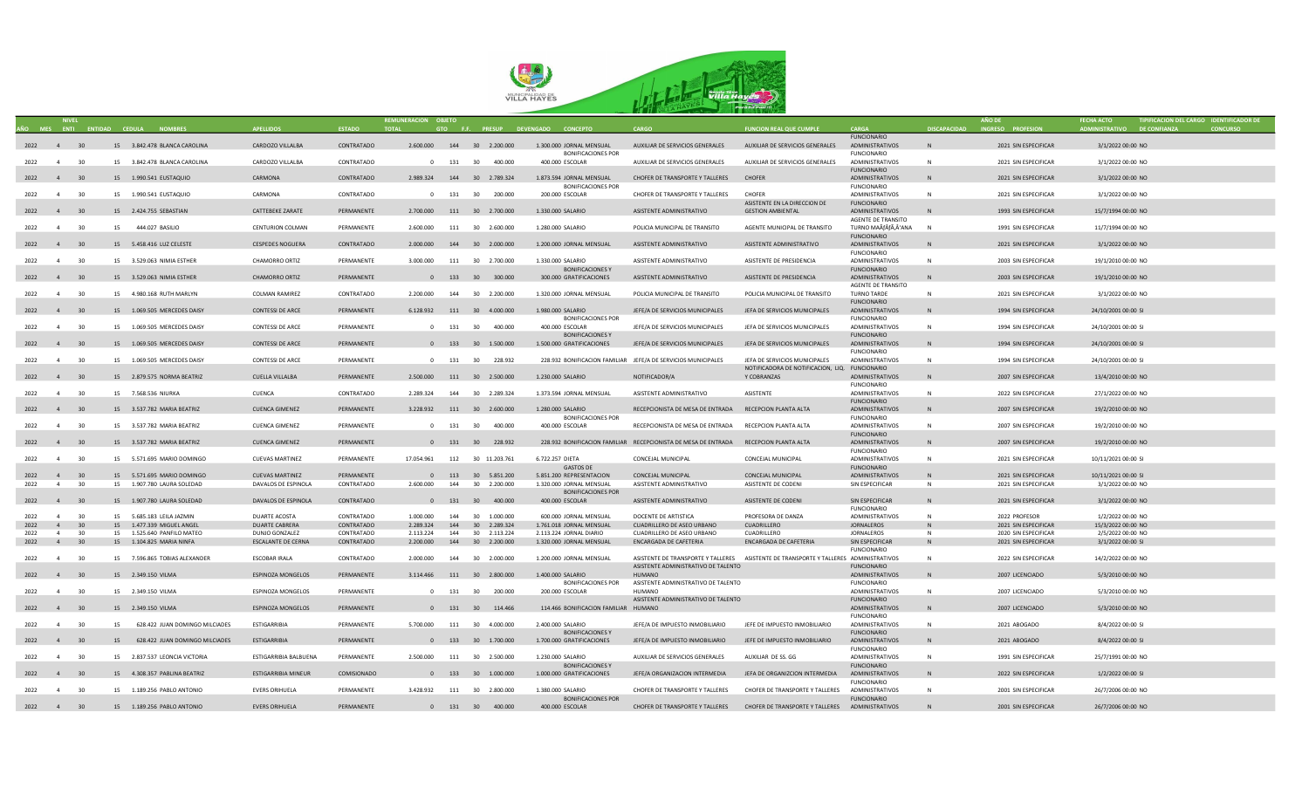

|           |                |    |                                     |                            |               | REMUNERACION OBJETO             |     |                               |                                      |                                                                                      |                                                                                       |                           |                     | AÑO DE               |                             | TIPIFICACION DEL CARGO IDENTIFICADOR DE |
|-----------|----------------|----|-------------------------------------|----------------------------|---------------|---------------------------------|-----|-------------------------------|--------------------------------------|--------------------------------------------------------------------------------------|---------------------------------------------------------------------------------------|---------------------------|---------------------|----------------------|-----------------------------|-----------------------------------------|
|           |                |    | AÑO MES ENTI ENTIDAD CEDULA NOMBRES | <b>APFILIDOS</b>           | <b>ESTADO</b> | <b>TOTAL</b>                    |     |                               | GTO F.F. PRESUP DEVENGADO CONCEPTO   | CARGO                                                                                | <b>FUNCION REAL QUE CUMPLE</b>                                                        | CARGA                     | <b>DISCAPACIDAD</b> | INGRESO PROFESION    | ADMINISTRATIVO DE CONFIANZA | <b>CONCURSO</b>                         |
|           |                |    |                                     |                            |               |                                 |     |                               |                                      |                                                                                      |                                                                                       | <b>FUNCIONARIO</b>        |                     |                      |                             |                                         |
| 2022 4 30 |                |    | 15 3.842.478 BLANCA CAROLINA        | CARDOZO VILLALBA           | CONTRATADO    |                                 |     | 2.600.000 144 30 2.200.000    | 1.300.000 JORNAL MENSUAL             | AUXILIAR DE SERVICIOS GENERALES                                                      | AUXILIAR DE SERVICIOS GENERALES                                                       | ADMINISTRATIVOS           | N                   | 2021 SIN ESPECIFICAR | 3/1/2022 00:00 NO           |                                         |
|           |                |    |                                     |                            |               |                                 |     |                               | <b>BONIFICACIONES POR</b>            |                                                                                      |                                                                                       | <b>FUNCIONARIO</b>        |                     |                      |                             |                                         |
| 2022 4 30 |                |    | 15 3.842.478 BLANCA CAROLINA        | CARDOZO VILLALBA           | CONTRATADO    |                                 |     | 0 131 30 400.000              | 400.000 ESCOLAR                      | AUXILIAR DE SERVICIOS GENERALES                                                      | AUXILIAR DE SERVICIOS GENERALES                                                       | ADMINISTRATIVOS           | N                   | 2021 SIN ESPECIFICAR | 3/1/2022 00:00 NO           |                                         |
|           |                |    |                                     |                            |               |                                 |     |                               |                                      |                                                                                      |                                                                                       | <b>FUNCIONARIO</b>        |                     |                      |                             |                                         |
| 2022 4 30 |                |    | 15 1.990.541 EUSTAQUIO              | CARMONA                    | CONTRATADO    |                                 |     | 2.989.324 144 30 2.789.324    | 1.873.594 JORNAL MENSUAL             | CHOFER DE TRANSPORTE Y TALLERES                                                      | <b>CHOFFR</b>                                                                         | ADMINISTRATIVOS           | N                   | 2021 SIN ESPECIFICAR | 3/1/2022 00:00 NO           |                                         |
|           |                |    |                                     |                            |               |                                 |     |                               |                                      |                                                                                      |                                                                                       |                           |                     |                      |                             |                                         |
|           |                |    |                                     |                            |               |                                 |     |                               | <b>BONIFICACIONES POR</b>            |                                                                                      |                                                                                       | FUNCIONARIO               |                     |                      |                             |                                         |
| 2022 4    |                | 30 | 15 1.990.541 EUSTAQUIO              | CARMONA                    | CONTRATADO    |                                 |     | 0 131 30 200.000              | 200.000 ESCOLAR                      | CHOFER DE TRANSPORTE Y TALLERES                                                      | CHOFER                                                                                | ADMINISTRATIVOS           | N                   | 2021 SIN ESPECIFICAR | 3/1/2022 00:00 NO           |                                         |
|           |                |    |                                     |                            |               |                                 |     |                               |                                      |                                                                                      | ASISTENTE EN LA DIRECCION DE                                                          | <b>FUNCIONARIO</b>        |                     |                      |                             |                                         |
| 2022 4 30 |                |    | 15 2.424.755 SEBASTIAN              | CATTEBEKE ZARATE           | PERMANENTE    |                                 |     | 2.700.000 111 30 2.700.000    | 1.330.000 SALARIO                    | ASISTENTE ADMINISTRATIVO                                                             | <b>GESTION AMBIENTAL</b>                                                              | ADMINISTRATIVOS           |                     | 1993 SIN ESPECIFICAR | 15/7/1994 00:00 NO          |                                         |
|           |                |    |                                     |                            |               |                                 |     |                               |                                      |                                                                                      |                                                                                       | <b>AGENTE DE TRANSITO</b> |                     |                      |                             |                                         |
| 2022 4    |                | 30 | 15 444.027 BASILIO                  | CENTURION COLMAN           | PERMANENTE    | 2.600.000                       |     | 111 30 2.600.000              | 1.280.000 SALARIO                    | POLICIA MUNICIPAL DE TRANSITO                                                        | AGENTE MUNICIPAL DE TRANSITO                                                          | TURNO MAÃÃ,'ANA           | N                   | 1991 SIN ESPECIFICAR | 11/7/1994 00:00 NO          |                                         |
|           |                |    |                                     |                            |               |                                 |     |                               |                                      |                                                                                      |                                                                                       | <b>FUNCIONARIO</b>        |                     |                      |                             |                                         |
| 2022 4 30 |                |    | 15   5.458.416   LUZ CELESTE        | <b>CESPEDES NOGUERA</b>    | CONTRATADO    |                                 |     | 2.000.000 144 30 2.000.000    | 1.200.000 JORNAL MENSUAL             | ASISTENTE ADMINISTRATIVO                                                             | ASISTENTE ADMINISTRATIVO                                                              | <b>ADMINISTRATIVOS</b>    |                     | 2021 SIN ESPECIFICAR | 3/1/2022 00:00 NO           |                                         |
|           |                |    |                                     |                            |               |                                 |     |                               |                                      |                                                                                      |                                                                                       | <b>FUNCIONARIO</b>        |                     |                      |                             |                                         |
| 2022 4    |                | 30 | 15 3.529.063 NIMIA ESTHER           | CHAMORRO ORTIZ             | PERMANENTE    | 3.000.000                       |     | 111 30 2.700.000              | 1.330.000 SALARIO                    | ASISTENTE ADMINISTRATIVO                                                             | ASISTENTE DE PRESIDENCIA                                                              | ADMINISTRATIVOS           | N                   | 2003 SIN ESPECIFICAR | 19/1/2010 00:00 NO          |                                         |
|           |                |    |                                     |                            |               |                                 |     |                               | <b>BONIFICACIONES Y</b>              |                                                                                      |                                                                                       | <b>FUNCIONARIO</b>        |                     |                      |                             |                                         |
| 2022 4 30 |                |    | 15 3.529.063 NIMIA ESTHER           | <b>CHAMORRO ORTIZ</b>      | PERMANENTE    |                                 |     | 0 133 30 300.000              | 300.000 GRATIFICACIONES              | ASISTENTE ADMINISTRATIVO                                                             | ASISTENTE DE PRESIDENCIA                                                              | ADMINISTRATIVOS           | N                   | 2003 SIN ESPECIFICAR | 19/1/2010 00:00 NO          |                                         |
|           |                |    |                                     |                            |               |                                 |     |                               |                                      |                                                                                      |                                                                                       | AGENTE DE TRANSITO        |                     |                      |                             |                                         |
| 2022 4    |                | 30 | 15 4.980.168 RUTH MARLYN            | <b>COLMAN RAMIREZ</b>      | CONTRATADO    |                                 |     | 2.200.000  144  30  2.200.000 | 1.320.000 JORNAL MENSUAL             | POLICIA MUNICIPAL DE TRANSITO                                                        | POLICIA MUNICIPAL DE TRANSITO                                                         | <b>TURNO TARDE</b>        | N                   | 2021 SIN ESPECIFICAR | 3/1/2022 00:00 NO           |                                         |
|           |                |    |                                     |                            |               |                                 |     |                               |                                      |                                                                                      |                                                                                       |                           |                     |                      |                             |                                         |
|           |                |    |                                     |                            |               |                                 |     |                               |                                      |                                                                                      |                                                                                       | <b>FUNCIONARIO</b>        |                     |                      |                             |                                         |
| 2022 4 30 |                |    | 15 1.069.505 MERCEDES DAISY         | CONTESSI DE ARCE           | PERMANENTE    |                                 |     | 6.128.932  111  30  4.000.000 | 1.980.000 SALARIO                    | JEFE/A DE SERVICIOS MUNICIPALES                                                      | JEFA DE SERVICIOS MUNICIPALES                                                         | ADMINISTRATIVOS           |                     | 1994 SIN ESPECIFICAR | 24/10/2001 00:00 SI         |                                         |
|           |                |    |                                     |                            |               |                                 |     |                               | <b>BONIFICACIONES POR</b>            |                                                                                      |                                                                                       | <b>FUNCIONARIO</b>        |                     |                      |                             |                                         |
| 2022 4    |                | 30 | 15 1.069.505 MERCEDES DAISY         | CONTESSI DE ARCE           | PERMANENTE    |                                 |     | 0 131 30 400.000              | 400.000 ESCOLAR                      | JEFE/A DE SERVICIOS MUNICIPALES                                                      | JEFA DE SERVICIOS MUNICIPALES                                                         | ADMINISTRATIVOS           | N                   | 1994 SIN ESPECIFICAR | 24/10/2001 00:00 SI         |                                         |
|           |                |    |                                     |                            |               |                                 |     |                               | BONIFICACIONES Y                     |                                                                                      |                                                                                       | <b>FUNCIONARIO</b>        |                     |                      |                             |                                         |
| 2022 4 30 |                |    | 15 1.069.505 MERCEDES DAISY         | CONTESSI DE ARCE           | PERMANENTE    |                                 |     | 0 133 30 1.500.000            | 1.500.000 GRATIFICACIONES            | JEFE/A DE SERVICIOS MUNICIPALES                                                      | JEFA DE SERVICIOS MUNICIPALES                                                         | ADMINISTRATIVOS           | N                   | 1994 SIN ESPECIFICAR | 24/10/2001 00:00 SI         |                                         |
|           |                |    |                                     |                            |               |                                 |     |                               |                                      |                                                                                      |                                                                                       | <b>FUNCIONARIO</b>        |                     |                      |                             |                                         |
| 2022 4 30 |                |    | 15 1.069.505 MERCEDES DAISY         | CONTESSI DE ARCE           | PERMANENTE    |                                 |     | 0 131 30 228.932              |                                      | 228.932 BONIFICACION FAMILIAR JEFE/A DE SERVICIOS MUNICIPALES                        | JEFA DE SERVICIOS MUNICIPALES                                                         | ADMINISTRATIVOS           | N                   | 1994 SIN ESPECIFICAR | 24/10/2001 00:00 SI         |                                         |
|           |                |    |                                     |                            |               |                                 |     |                               |                                      |                                                                                      | NOTIFICADORA DE NOTIFICACION, LIQ. FUNCIONARIO                                        |                           |                     |                      |                             |                                         |
| 2022 4 30 |                |    | 15 2.879.575 NORMA BEATRIZ          | <b>CUELLA VILLALBA</b>     | PERMANENTE    |                                 |     | 2.500.000 111 30 2.500.000    | 1.230.000 SALARIO                    | NOTIFICADOR/A                                                                        | Y COBRANZAS                                                                           | ADMINISTRATIVOS           | N                   | 2007 SIN ESPECIFICAR | 13/4/2010 00:00 NO          |                                         |
|           |                |    |                                     |                            |               |                                 |     |                               |                                      |                                                                                      |                                                                                       | <b>FUNCIONARIO</b>        |                     |                      |                             |                                         |
| 2022 4 30 |                |    | 15 7.568.536 NIURKA                 | CUENCA                     | CONTRATADO    |                                 |     | 2.289.324 144 30 2.289.324    | 1.373.594 JORNAL MENSUAL             | ASISTENTE ADMINISTRATIVO                                                             | ASISTENTE                                                                             |                           | N                   |                      | 27/1/2022 00:00 NO          |                                         |
|           |                |    |                                     |                            |               |                                 |     |                               |                                      |                                                                                      |                                                                                       | ADMINISTRATIVOS           |                     | 2022 SIN ESPECIFICAR |                             |                                         |
|           |                |    |                                     |                            |               |                                 |     |                               |                                      |                                                                                      |                                                                                       | <b>FUNCIONARIO</b>        |                     |                      |                             |                                         |
| 2022 4 30 |                |    | 15 3.537.782 MARIA BEATRIZ          | <b>CUENCA GIMENEZ</b>      | PERMANENTE    |                                 |     | 3.228.932  111  30  2.600.000 | 1.280.000 SALARIO                    | RECEPCIONISTA DE MESA DE ENTRADA RECEPCION PLANTA ALTA                               |                                                                                       | ADMINISTRATIVOS           | N                   | 2007 SIN ESPECIFICAR | 19/2/2010 00:00 NO          |                                         |
|           |                |    |                                     |                            |               |                                 |     |                               | <b>BONIFICACIONES POR</b>            |                                                                                      |                                                                                       | <b>FUNCIONARIO</b>        |                     |                      |                             |                                         |
| 2022 4    |                | 30 | 15 3.537.782 MARIA BEATRIZ          | <b>CUENCA GIMENEZ</b>      | PERMANENTE    |                                 |     | 0 131 30 400.000              | 400.000 ESCOLAR                      | RECEPCIONISTA DE MESA DE ENTRADA RECEPCION PLANTA ALTA                               |                                                                                       | ADMINISTRATIVOS           | $\mathsf{N}$        | 2007 SIN ESPECIFICAR | 19/2/2010 00:00 NO          |                                         |
|           |                |    |                                     |                            |               |                                 |     |                               |                                      |                                                                                      |                                                                                       | <b>FUNCIONARIO</b>        |                     |                      |                             |                                         |
| 2022 4 30 |                |    | 15 3.537.782 MARIA BEATRIZ          | <b>CUENCA GIMENEZ</b>      | PERMANENTE    |                                 |     | 0 131 30 228.932              |                                      | 228.932 BONIFICACION FAMILIAR RECEPCIONISTA DE MESA DE ENTRADA RECEPCION PLANTA ALTA |                                                                                       | ADMINISTRATIVOS           | N                   | 2007 SIN ESPECIFICAR | 19/2/2010 00:00 NO          |                                         |
|           |                |    |                                     |                            |               |                                 |     |                               |                                      |                                                                                      |                                                                                       | <b>FUNCIONARIO</b>        |                     |                      |                             |                                         |
| 2022 4    |                | 30 | 15  5.571.695 MARIO DOMINGO         | <b>CUEVAS MARTINEZ</b>     | PERMANENTE    | 17.054.961  112  30  11.203.761 |     |                               | 6.722.257 DIETA                      | CONCEJAL MUNICIPAL                                                                   | CONCEJAL MUNICIPAL                                                                    | ADMINISTRATIVOS           | N                   | 2021 SIN ESPECIFICAR | 10/11/2021 00:00 SI         |                                         |
|           |                |    |                                     |                            |               |                                 |     |                               | <b>GASTOS DE</b>                     |                                                                                      |                                                                                       | <b>FUNCIONARIO</b>        |                     |                      |                             |                                         |
| 2022      | 4              | 30 | 15   5.571.695   MARIO DOMINGO      | <b>CUEVAS MARTINEZ</b>     | PERMANENTE    |                                 |     | 0 113 30 5.851.200            | 5.851.200 REPRESENTACION             | CONCEJAL MUNICIPAL                                                                   | CONCEJAL MUNICIPAL                                                                    | ADMINISTRATIVOS           | N                   | 2021 SIN ESPECIFICAR | 10/11/2021 00:00 SI         |                                         |
| 2022      | 4 <sup>1</sup> | 30 | 15 1.907.780 LAURA SOLEDAD          | DAVALOS DE ESPINOLA        | CONTRATADO    | 2,600,000                       | 144 | 30 2.200.000                  | 1.320.000 JORNAL MENSUAL             | ASISTENTE ADMINISTRATIVO                                                             | ASISTENTE DE CODENI                                                                   | SIN ESPECIFICAR           | N                   | 2021 SIN ESPECIFICAR | 3/1/2022 00:00 NO           |                                         |
|           |                |    |                                     |                            |               |                                 |     |                               |                                      |                                                                                      |                                                                                       |                           |                     |                      |                             |                                         |
|           |                |    |                                     |                            |               |                                 |     |                               | <b>BONIFICACIONES POR</b>            |                                                                                      |                                                                                       |                           |                     |                      |                             |                                         |
| 2022 4    |                | 30 | 15 1.907.780 LAURA SOLEDAD          | DAVALOS DE ESPINOLA        | CONTRATADO    |                                 |     | 0 131 30 400.000              | 400.000 ESCOLAR                      | ASISTENTE ADMINISTRATIVO                                                             | ASISTENTE DE CODENI                                                                   | SIN ESPECIFICAR           | N                   | 2021 SIN ESPECIFICAR | 3/1/2022 00:00 NO           |                                         |
|           |                |    |                                     |                            |               |                                 |     |                               |                                      |                                                                                      |                                                                                       | <b>FUNCIONARIO</b>        |                     |                      |                             |                                         |
| 2022      | $\overline{4}$ | 30 | 15 5.685.183 LEILA JAZMIN           | DUARTE ACOSTA              | CONTRATADO    | 1.000.000                       |     | 144 30 1.000.000              | 600.000 JORNAL MENSUAL               | DOCENTE DE ARTISTICA                                                                 | PROFESORA DE DANZA                                                                    | ADMINISTRATIVOS           | N                   | 2022 PROFESOR        | 1/2/2022 00:00 NO           |                                         |
| 2022      | $\sim$ 4       | 30 | 15 1.477.339 MIGUEL ANGEL           | DUARTE CABRERA             | CONTRATADO    | 2.289.324                       |     | 144 30 2.289.324              | 1.761.018 JORNAL MENSUAL             | CUADRILLERO DE ASEO URBANO                                                           | CUADRILLERO                                                                           | JORNALEROS                | N                   | 2021 SIN ESPECIFICAR | 15/3/2022 00:00 NO          |                                         |
| 2022      | $\overline{4}$ | 30 | 15  1.525.640 PANFILO MATEO         | DUNJO GONZALEZ             | CONTRATADO    | 2.113.224                       | 144 | 30 2.113.224                  | 2.113.224 JORNAL DIARIO              | CUADRILLERO DE ASEO URBANO                                                           | CUADRILLERO                                                                           | JORNALEROS                | N                   | 2020 SIN ESPECIFICAR | 2/5/2022 00:00 NO           |                                         |
| 2022 4 30 |                |    | 15 1.104.825 MARIA NINFA            | ESCALANTE DE CERNA         | CONTRATADO    |                                 |     | 2.200.000 144 30 2.200.000    | 1.320.000 JORNAL MENSUAL             | ENCARGADA DE CAFETERIA                                                               | ENCARGADA DE CAFETERIA                                                                | SIN ESPECIFICAR           | N                   | 2021 SIN ESPECIFICAR | 3/1/2022 00:00 SI           |                                         |
|           |                |    |                                     |                            |               |                                 |     |                               |                                      |                                                                                      |                                                                                       | <b>FUNCIONARIO</b>        |                     |                      |                             |                                         |
| 2022 4    |                | 30 | 15 7.596.865 TOBIAS ALEXANDER       | ESCOBAR IRALA              | CONTRATADO    | 2.000.000                       |     | 144 30 2.000.000              | 1.200.000 JORNAL MENSUAL             |                                                                                      | ASISTENTE DE TRANSPORTE Y TALLERES ASISTENTE DE TRANSPORTE Y TALLERES ADMINISTRATIVOS |                           | $\mathbf{N}$        | 2022 SIN ESPECIFICAR | 14/2/2022 00:00 NO          |                                         |
|           |                |    |                                     |                            |               |                                 |     |                               |                                      | ASISTENTE ADMINISTRATIVO DE TALENTO                                                  |                                                                                       | <b>FUNCIONARIO</b>        |                     |                      |                             |                                         |
|           |                |    | 15 2.349.150 VILMA                  | ESPINOZA MONGELOS          | PERMANENTE    |                                 |     | 3.114.466  111  30  2.800.000 | 1.400.000 SALARIO                    | HUMANO                                                                               |                                                                                       | ADMINISTRATIVOS           | N                   | 2007 LICENCIADO      | 5/3/2010 00:00 NO           |                                         |
| 2022 4 30 |                |    |                                     |                            |               |                                 |     |                               |                                      |                                                                                      |                                                                                       |                           |                     |                      |                             |                                         |
|           |                |    |                                     |                            |               |                                 |     |                               | <b>BONIFICACIONES POR</b>            | ASISTENTE ADMINISTRATIVO DE TALENTO                                                  |                                                                                       | <b>FUNCIONARIO</b>        |                     |                      |                             |                                         |
| 2022 4 30 |                |    | 15 2.349.150 VILMA                  | <b>ESPINOZA MONGELOS</b>   | PERMANENTE    |                                 |     | 0 131 30 200.000              | 200.000 ESCOLAR                      | HUMANO                                                                               |                                                                                       | ADMINISTRATIVOS           | N                   | 2007 LICENCIADO      | 5/3/2010 00:00 NO           |                                         |
|           |                |    |                                     |                            |               |                                 |     |                               |                                      | ASISTENTE ADMINISTRATIVO DE TALENTO                                                  |                                                                                       | <b>FUNCIONARIO</b>        |                     |                      |                             |                                         |
| 2022 4 30 |                |    | 15 2.349.150 VILMA                  | ESPINOZA MONGELOS          | PERMANENTE    |                                 |     | 0 131 30 114.466              | 114.466 BONIFICACION FAMILIAR HUMANO |                                                                                      |                                                                                       | ADMINISTRATIVOS           | N                   | 2007 LICENCIADO      | 5/3/2010 00:00 NO           |                                         |
|           |                |    |                                     |                            |               |                                 |     |                               |                                      |                                                                                      |                                                                                       | <b>FUNCIONARIO</b>        |                     |                      |                             |                                         |
| 2022 4    |                | 30 | 15 628.422 JUAN DOMINGO MILCIADES   | FSTIGARRIRIA               | PERMANENTE    |                                 |     | 5.700.000 111 30 4.000.000    | 2.400.000 SALARIO                    | IFFF/A DE IMPUESTO INMOBILIARIO                                                      | IFFF DE IMPUESTO INMOBILIARIO                                                         | <b>ADMINISTRATIVOS</b>    | <b>N</b>            | 2021 ABOGADO         | 8/4/2022 00:00 SI           |                                         |
|           |                |    |                                     |                            |               |                                 |     |                               | <b>BONIFICACIONESY</b>               |                                                                                      |                                                                                       | <b>FUNCIONARIO</b>        |                     |                      |                             |                                         |
| 2022 4 30 |                |    | 15 628.422 JUAN DOMINGO MILCIADES   | ESTIGARRIBIA               | PERMANENTE    |                                 |     | 0 133 30 1.700.000            | 1.700.000 GRATIFICACIONES            | JEFE/A DE IMPUESTO INMOBILIARIO                                                      | JEFE DE IMPUESTO INMOBILIARIO                                                         | ADMINISTRATIVOS           | N                   | 2021 ABOGADO         | 8/4/2022 00:00 SI           |                                         |
|           |                |    |                                     |                            |               |                                 |     |                               |                                      |                                                                                      |                                                                                       | <b>FUNCIONARIO</b>        |                     |                      |                             |                                         |
| 2022 4    |                | 30 | 15 2.837.537 LEONCIA VICTORIA       | ESTIGARRIBIA BALBUENA      | PERMANENTE    | 2.500.000                       |     | 111 30 2.500.000              | 1.230.000 SALARIO                    | AUXILIAR DE SERVICIOS GENERALES                                                      | AUXILIAR DE SS. GG                                                                    | ADMINISTRATIVOS           | $\mathbb N$         | 1991 SIN ESPECIFICAR | 25/7/1991 00:00 NO          |                                         |
|           |                |    |                                     |                            |               |                                 |     |                               | BONIFICACIONES Y                     |                                                                                      |                                                                                       | <b>FUNCIONARIO</b>        |                     |                      |                             |                                         |
| 2022 4 30 |                |    | 15 4.308.357 PABLINA BEATRIZ        | <b>ESTIGARRIBIA MINEUR</b> | COMISIONADO   |                                 |     | 0 133 30 1.000.000            | 1.000.000 GRATIFICACIONES            | JEFE/A ORGANIZACION INTERMEDIA                                                       | JEFA DE ORGANIZCION INTERMEDIA                                                        | ADMINISTRATIVOS           | N                   | 2022 SIN ESPECIFICAR | 1/2/2022 00:00 SI           |                                         |
|           |                |    |                                     |                            |               |                                 |     |                               |                                      |                                                                                      |                                                                                       | <b>FUNCIONARIO</b>        |                     |                      |                             |                                         |
|           |                |    |                                     |                            |               |                                 |     |                               |                                      |                                                                                      |                                                                                       |                           | N                   |                      |                             |                                         |
| 2022 4    |                | 30 | 15 1.189.256 PABLO ANTONIO          | <b>FVERS ORIHUFLA</b>      | PERMANENTE    | 3.428.932                       |     | 111 30 2.800.000              | 1.380.000 SALARIO                    | CHOFER DE TRANSPORTE Y TALLERES                                                      | CHOFER DE TRANSPORTE Y TALLERES                                                       | <b>ADMINISTRATIVOS</b>    |                     | 2001 SIN ESPECIFICAR | 26/7/2006 00:00 NO          |                                         |
|           |                |    |                                     |                            |               |                                 |     |                               | <b>BONIFICACIONES POR</b>            |                                                                                      |                                                                                       | <b>FUNCIONARIO</b>        |                     |                      |                             |                                         |
| 2022 4 30 |                |    | 15  1.189.256 PABLO ANTONIO         | <b>EVERS ORIHUELA</b>      | PERMANENTE    |                                 |     | 0 131 30 400.000              | 400.000 ESCOLAR                      | CHOFER DE TRANSPORTE Y TALLERES                                                      | CHOFER DE TRANSPORTE Y TALLERES ADMINISTRATIVOS                                       |                           |                     | 2001 SIN ESPECIFICAR | 26/7/2006 00:00 NO          |                                         |
|           |                |    |                                     |                            |               |                                 |     |                               |                                      |                                                                                      |                                                                                       |                           |                     |                      |                             |                                         |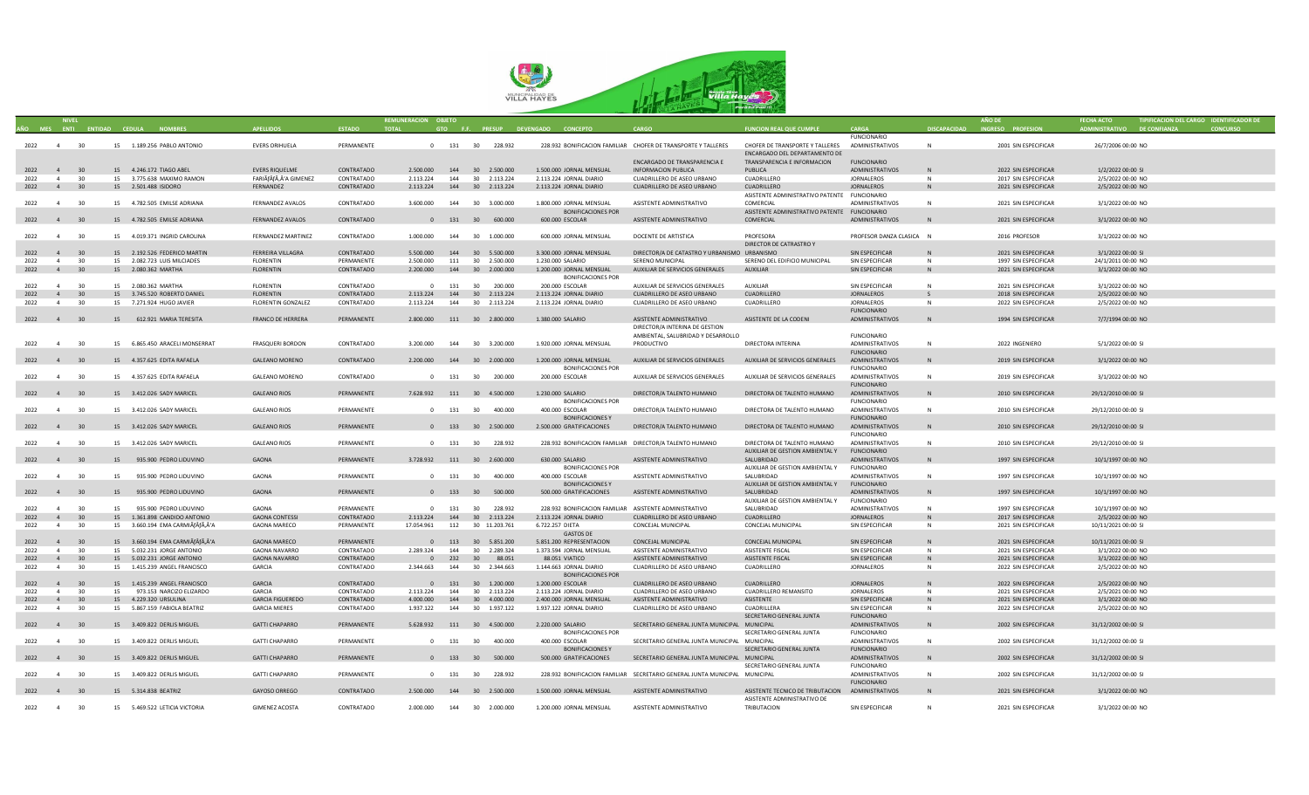

|                        |                |    |                                               |                           |                   | REMUNERACION OBJETO |     |                               |                                                        |                                                                            |                                                  |                          |                     |                      |                             | TIPIFICACION DEL CARGO IDENTIFICADOR DE |  |
|------------------------|----------------|----|-----------------------------------------------|---------------------------|-------------------|---------------------|-----|-------------------------------|--------------------------------------------------------|----------------------------------------------------------------------------|--------------------------------------------------|--------------------------|---------------------|----------------------|-----------------------------|-----------------------------------------|--|
|                        |                |    | AÑO MES ENTI ENTIDAD CEDULA<br><b>NOMBRES</b> |                           | <b>ESTADO</b>     | <b>TOTAL</b>        |     |                               | GTO F.F. PRESUP DEVENGADO CONCEPTO                     |                                                                            | <b>FUNCION REAL OUE CUMPLE</b>                   | CARGA                    | <b>DISCAPACIDAD</b> | INGRESO PROFESION    | ADMINISTRATIVO DE CONFIANZA |                                         |  |
|                        |                |    |                                               |                           |                   |                     |     |                               |                                                        |                                                                            |                                                  | <b>FUNCIONARIC</b>       |                     |                      |                             |                                         |  |
| 2022 4 30              |                |    | 15  1.189.256 PABLO ANTONIO                   | <b>EVERS ORIHUELA</b>     | PERMANENTE        |                     |     | 0 131 30 228.932              |                                                        | 228.932 BONIFICACION FAMILIAR CHOFER DE TRANSPORTE Y TALLERES              | CHOFER DE TRANSPORTE Y TALLERES ADMINISTRATIVOS  |                          | N                   | 2001 SIN ESPECIFICAR | 26/7/2006 00:00 NO          |                                         |  |
|                        |                |    |                                               |                           |                   |                     |     |                               |                                                        |                                                                            | ENCARGADO DEL DEPARTAMENTO DE                    |                          |                     |                      |                             |                                         |  |
|                        |                |    |                                               |                           |                   |                     |     |                               |                                                        | ENCARGADO DE TRANSPARENCIA E                                               | TRANSPARENCIA E INFORMACION                      | <b>FUNCIONARIO</b>       |                     |                      |                             |                                         |  |
|                        |                |    |                                               |                           |                   |                     |     |                               |                                                        |                                                                            |                                                  |                          |                     |                      |                             |                                         |  |
| 2022                   | 4              | 30 | 15 4.246.172 TIAGO ABEL                       | <b>EVERS RIQUELME</b>     | CONTRATADO        | 2.500.000           |     | 144 30 2.500.000              | 1.500.000 JORNAL MENSUAL                               | INFORMACION PUBLICA                                                        | PUBLICA                                          | ADMINISTRATIVOS          | N                   | 2022 SIN ESPECIFICAR | 1/2/2022 00:00 SI           |                                         |  |
| 2022                   | $\overline{4}$ | 30 | 15 3.775.638 MAXIMO RAMON                     | FARIÃÃ,'A GIMENEZ         | CONTRATADO        | 2.113.224           | 144 | 30 2.113.224                  | 2.113.224 JORNAL DIARIO                                | CUADRILLERO DE ASEO URBANO                                                 | CUADRILLERO                                      | <b>JORNALEROS</b>        | N                   | 2017 SIN ESPECIFICAR | 2/5/2022 00:00 NO           |                                         |  |
| 2022                   | $4 \t30$       |    | 15 2.501.488 ISIDORO                          | FERNANDEZ                 | CONTRATADO        |                     |     | 2.113.224  144  30  2.113.224 | 2.113.224 JORNAL DIARIO                                | CUADRILLERO DE ASEO URBANO                                                 | CUADRILLERO                                      | JORNALEROS               | N                   | 2021 SIN ESPECIFICAR | 2/5/2022 00:00 NO           |                                         |  |
|                        |                |    |                                               |                           |                   |                     |     |                               |                                                        |                                                                            | ASISTENTE ADMINISTRATIVO PATENTE FUNCIONARIO     |                          |                     |                      |                             |                                         |  |
| 2022                   | $\overline{4}$ | 30 | 15 4.782.505 EMILSE ADRIANA                   | <b>FERNANDEZ AVALOS</b>   | CONTRATADO        | 3.600.000           | 144 | 30 3.000.000                  | 1.800.000 JORNAL MENSUAL                               | ASISTENTE ADMINISTRATIVO                                                   | COMERCIAL                                        | ADMINISTRATIVOS          | N                   | 2021 SIN ESPECIFICAR | 3/1/2022 00:00 NO           |                                         |  |
|                        |                |    |                                               |                           |                   |                     |     |                               | BONIFICACIONES POR                                     |                                                                            |                                                  |                          |                     |                      |                             |                                         |  |
|                        |                |    |                                               |                           |                   |                     |     |                               |                                                        |                                                                            | ASISTENTE ADMINISTRATIVO PATENTE                 | <b>FUNCIONARIO</b>       |                     |                      |                             |                                         |  |
| 2022                   | $\overline{4}$ | 30 | 15 4.782.505 EMILSE ADRIANA                   | FERNANDEZ AVALOS          | CONTRATADO        | $\Omega$            |     | 131 30 600.000                | 600.000 ESCOLAR                                        | ASISTENTE ADMINISTRATIVO                                                   | COMERCIAL                                        | ADMINISTRATIVOS          |                     | 2021 SIN ESPECIFICAR | 3/1/2022 00:00 NO           |                                         |  |
|                        |                |    |                                               |                           |                   |                     |     |                               |                                                        |                                                                            |                                                  |                          |                     |                      |                             |                                         |  |
| 2022                   | 4              | 30 | 15 4.019.371 INGRID CAROLINA                  | FERNANDEZ MARTINEZ        | CONTRATADO        | 1.000.000           |     | 144 30 1.000.000              | 600.000 JORNAL MENSUAL                                 | DOCENTE DE ARTISTICA                                                       | PROFESORA                                        | PROFESOR DANZA CLASICA N |                     | 2016 PROFESOR        | 3/1/2022 00:00 NO           |                                         |  |
|                        |                |    |                                               |                           |                   |                     |     |                               |                                                        |                                                                            | DIRECTOR DE CATRASTRO Y                          |                          |                     |                      |                             |                                         |  |
| 2022                   | 30<br>4        |    | 15 2.192.526 FEDERICO MARTIN                  | FERREIRA VILLAGRA         | CONTRATADO        | 5.500.000           |     | 144 30 5.500.000              | 3.300.000 JORNAL MENSUAL                               | DIRECTOR/A DE CATASTRO Y URBANISMO URBANISMO                               |                                                  | SIN ESPECIFICAR          | N                   | 2021 SIN ESPECIFICAR | 3/1/2022 00:00 SI           |                                         |  |
| 2022                   | $\overline{4}$ | 30 | 15 2.082.723 LUIS MILCIADES                   | <b>FLORENTIN</b>          | PERMANENTE        | 2.500.000           |     | 111 30 2.500.000              | 1.230.000 SALARIO                                      | SERENO MUNICIPAL                                                           | SERENO DEL EDIFICIO MUNICIPAL                    |                          |                     | 1997 SIN ESPECIFICAR |                             |                                         |  |
|                        |                |    |                                               |                           |                   |                     |     |                               |                                                        |                                                                            |                                                  | SIN ESPECIFICAR          | <b>N</b>            |                      | 24/1/2011 00:00 NO          |                                         |  |
| 2022                   | 4 30           |    | 15 2.080.362 MARTHA                           | FLORENTIN                 | CONTRATADO        | 2.200.000           |     | 144 30 2.000.000              | 1.200.000 JORNAL MENSUAL                               | AUXILIAR DE SERVICIOS GENERALES                                            | AUXILIAR                                         | SIN ESPECIFICAR          | N                   | 2021 SIN ESPECIFICAR | 3/1/2022 00:00 NO           |                                         |  |
|                        |                |    |                                               |                           |                   |                     |     |                               | <b>BONIFICACIONES POR</b>                              |                                                                            |                                                  |                          |                     |                      |                             |                                         |  |
| 2022                   | $\overline{4}$ | 30 | 15 2.080.362 MARTHA                           | <b>FLORENTIN</b>          | CONTRATADO        | $\circ$             |     | 131 30 200.000                | 200.000 ESCOLAR                                        | AUXILIAR DE SERVICIOS GENERALES                                            | AUXILIAR                                         | SIN ESPECIFICAR          | N                   | 2021 SIN ESPECIFICAR | 3/1/2022 00:00 NO           |                                         |  |
|                        |                |    | 15 3.745.520 ROBERTO DANIEL                   | FLORENTIN                 | CONTRATADO        | 2.113.224           |     | 144 30 2.113.224              | 2.113.224 JORNAL DIARIO                                | CUADRILLERO DE ASEO URBANO                                                 | CUADRILLERO                                      | <b>JORNALEROS</b>        | $\mathsf{S}$        | 2018 SIN ESPECIFICAR | 2/5/2022 00:00 NO           |                                         |  |
| 2022                   | $\overline{a}$ | 30 | 15 7.271.924 HUGO JAVIER                      | <b>FLORENTIN GONZALEZ</b> | CONTRATADO        | 2.113.224           |     | 144 30 2.113.224              | 2.113.224 JORNAL DIARIO                                | CUADRILLERO DE ASEO URBANO                                                 | CUADRILLERO                                      | <b>JORNALEROS</b>        | N                   | 2022 SIN ESPECIFICAR | 2/5/2022 00:00 NO           |                                         |  |
|                        |                |    |                                               |                           |                   |                     |     |                               |                                                        |                                                                            |                                                  |                          |                     |                      |                             |                                         |  |
|                        |                |    |                                               |                           |                   |                     |     |                               |                                                        |                                                                            |                                                  | <b>FUNCIONARIO</b>       |                     |                      |                             |                                         |  |
| 2022 4 30              |                |    | 15 612.921 MARIA TERESITA                     | FRANCO DE HERRERA         | PERMANENTE        |                     |     | 2.800.000 111 30 2.800.000    | 1.380.000 SALARIO                                      | ASISTENTE ADMINISTRATIVO                                                   | ASISTENTE DE LA CODENI                           | ADMINISTRATIVOS          | N                   | 1994 SIN ESPECIFICAR | 7/7/1994 00:00 NO           |                                         |  |
|                        |                |    |                                               |                           |                   |                     |     |                               |                                                        | DIRECTOR/A INTERINA DE GESTION                                             |                                                  |                          |                     |                      |                             |                                         |  |
|                        |                |    |                                               |                           |                   |                     |     |                               |                                                        | AMBIENTAL, SALUBRIDAD Y DESARROLLO                                         |                                                  | <b>FUNCIONARIO</b>       |                     |                      |                             |                                         |  |
| 2022                   | $\overline{4}$ | 30 | 15 6.865.450 ARACELI MONSERRAT                | <b>FRASQUERI BORDON</b>   | CONTRATADO        | 3.200.000           |     | 144 30 3.200.000              | 1.920.000 JORNAL MENSUAL                               | PRODUCTIVO                                                                 | DIRECTORA INTERINA                               | ADMINISTRATIVOS          | N                   | 2022 INGENIERO       | 5/1/2022 00:00 SI           |                                         |  |
|                        |                |    |                                               |                           |                   |                     |     |                               |                                                        |                                                                            |                                                  | <b>FUNCIONARIO</b>       |                     |                      |                             |                                         |  |
|                        |                |    |                                               |                           |                   |                     |     |                               |                                                        |                                                                            |                                                  |                          |                     |                      |                             |                                         |  |
| 2022 4 30              |                |    | 15 4.357.625 EDITA RAFAELA                    | <b>GALEANO MORENO</b>     | CONTRATADO        |                     |     | 2.200.000 144 30 2.000.000    | 1.200.000 JORNAL MENSUAL                               | AUXILIAR DE SERVICIOS GENERALES                                            | AUXILIAR DE SERVICIOS GENERALES                  | ADMINISTRATIVOS          | N                   | 2019 SIN ESPECIFICAR | 3/1/2022 00:00 NO           |                                         |  |
|                        |                |    |                                               |                           |                   |                     |     |                               | <b>BONIFICACIONES POR</b>                              |                                                                            |                                                  | <b>FUNCIONARIO</b>       |                     |                      |                             |                                         |  |
| 2022                   | $\overline{a}$ | 30 | 15 4.357.625 EDITA RAFAELA                    | <b>GALEANO MORENO</b>     | CONTRATADO        | $^{\circ}$          |     | 131 30 200.000                | 200.000 ESCOLAR                                        | AUXILIAR DE SERVICIOS GENERALES                                            | AUXILIAR DE SERVICIOS GENERALES                  | ADMINISTRATIVOS          | N                   | 2019 SIN ESPECIFICAR | 3/1/2022 00:00 NO           |                                         |  |
|                        |                |    |                                               |                           |                   |                     |     |                               |                                                        |                                                                            |                                                  | <b>FUNCIONARIO</b>       |                     |                      |                             |                                         |  |
| 2022 4                 |                | 30 | 15 3.412.026 SADY MARICEL                     | <b>GALEANO RIOS</b>       | PERMANENTE        |                     |     | 7.628.932  111  30  4.500.000 | 1.230.000 SALARIO                                      | DIRECTOR/A TALENTO HUMANO                                                  | DIRECTORA DE TALENTO HUMANO                      | ADMINISTRATIVOS          |                     | 2010 SIN ESPECIFICAR | 29/12/2010 00:00 SI         |                                         |  |
|                        |                |    |                                               |                           |                   |                     |     |                               | <b>BONIFICACIONES POR</b>                              |                                                                            |                                                  | <b>FUNCIONARIO</b>       |                     |                      |                             |                                         |  |
|                        |                |    |                                               |                           |                   |                     |     |                               |                                                        |                                                                            |                                                  |                          |                     |                      |                             |                                         |  |
| 2022                   | $\overline{a}$ | 30 | 15 3.412.026 SADY MARICEL                     | <b>GALEANO RIOS</b>       | PERMANENTE        | $\mathsf{n}$        |     | 131 30 400,000                | 400,000 ESCOLAR                                        | DIRECTOR/A TALENTO HUMANO                                                  | DIRECTORA DE TALENTO HUMANO                      | ADMINISTRATIVOS          | N                   | 2010 SIN ESPECIFICAR | 29/12/2010 00:00 SI         |                                         |  |
|                        |                |    |                                               |                           |                   |                     |     |                               | <b>BONIFICACIONES Y</b>                                |                                                                            |                                                  | <b>FUNCIONARIO</b>       |                     |                      |                             |                                         |  |
|                        | 4              | 30 | 15 3.412.026 SADY MARICEL                     | <b>GALEANO RIOS</b>       | PERMANENTE        |                     |     | 0 133 30 2.500.000            | 2.500.000 GRATIFICACIONES                              | DIRECTOR/A TALENTO HUMANO                                                  | DIRECTORA DE TALENTO HUMANO                      | ADMINISTRATIVOS          | N                   | 2010 SIN ESPECIFICAR | 29/12/2010 00:00 SI         |                                         |  |
|                        |                |    |                                               |                           |                   |                     |     |                               |                                                        |                                                                            |                                                  | <b>FUNCIONARIO</b>       |                     |                      |                             |                                         |  |
| 2022                   | $\overline{4}$ | 30 | 15 3.412.026 SADY MARICEL                     | <b>GALEANO RIOS</b>       | PERMANENTE        |                     |     | 0 131 30 228.932              |                                                        | 228.932 BONIFICACION FAMILIAR DIRECTOR/A TALENTO HUMANO                    | DIRECTORA DE TALENTO HUMANO                      | ADMINISTRATIVOS          | N                   | 2010 SIN ESPECIFICAR | 29/12/2010 00:00 SI         |                                         |  |
|                        |                |    |                                               |                           |                   |                     |     |                               |                                                        |                                                                            | AUXILIAR DE GESTION AMBIENTAL Y                  | <b>FUNCIONARIO</b>       |                     |                      |                             |                                         |  |
|                        |                |    |                                               |                           |                   |                     |     |                               |                                                        |                                                                            |                                                  |                          |                     |                      |                             |                                         |  |
| 2022                   | $\sim$ 4       | 30 | 15 935.900 PEDRO LIDUVINO                     | GAONA                     | PERMANENTE        |                     |     | 3.728.932 111 30 2.600.000    | 630.000 SALARIO                                        | ASISTENTE ADMINISTRATIVO                                                   | SALUBRIDAD                                       | ADMINISTRATIVOS          | <b>N</b>            | 1997 SIN ESPECIFICAR | 10/1/1997 00:00 NO          |                                         |  |
|                        |                |    |                                               |                           |                   |                     |     |                               | <b>BONIFICACIONES POR</b>                              |                                                                            | AUXILIAR DE GESTION AMBIENTAL Y                  | <b>FUNCIONARIO</b>       |                     |                      |                             |                                         |  |
| 2022                   | $\overline{a}$ | 30 | 15 935,900 PEDRO LIDUVINO                     | GAONA                     | PERMANENTE        |                     |     | 0 131 30 400,000              | 400.000 ESCOLAR                                        | ASISTENTE ADMINISTRATIVO                                                   | SALUBRIDAD                                       | ADMINISTRATIVOS          | N                   | 1997 SIN ESPECIFICAR | 10/1/1997 00:00 NO          |                                         |  |
|                        |                |    |                                               |                           |                   |                     |     |                               | <b>BONIFICACIONES Y</b>                                |                                                                            | AUXILIAR DE GESTION AMBIENTAL Y                  | <b>FUNCIONARIO</b>       |                     |                      |                             |                                         |  |
| 2022<br>$\overline{4}$ |                | 30 | 15 935.900 PEDRO LIDUVINO                     | GAONA                     | PERMANENTE        |                     |     | 0 133 30 500.000              | 500.000 GRATIFICACIONES                                | ASISTENTE ADMINISTRATIVO                                                   | SALUBRIDAD                                       | ADMINISTRATIVOS          | N                   | 1997 SIN ESPECIFICAR | 10/1/1997 00:00 NO          |                                         |  |
|                        |                |    |                                               |                           |                   |                     |     |                               |                                                        |                                                                            |                                                  |                          |                     |                      |                             |                                         |  |
|                        |                |    |                                               |                           |                   |                     |     |                               |                                                        |                                                                            | AUXILIAR DE GESTION AMBIENTAL Y                  | <b>FUNCIONARIO</b>       |                     |                      |                             |                                         |  |
| 2022                   | $\overline{a}$ | 30 | 15 935.900 PEDRO LIDUVINO                     | GAONA                     | PERMANENTE        | $\Omega$            |     | 131 30 228.932                | 228.932 BONIFICACION FAMILIAR ASISTENTE ADMINISTRATIVO |                                                                            | SALUBRIDAD                                       | ADMINISTRATIVOS          | N                   | 1997 SIN ESPECIFICAR | 10/1/1997 00:00 NO          |                                         |  |
| 2022                   | $\sqrt{4}$     | 30 | 15 1.361.898 CANDIDO ANTONIO                  | <b>GAONA CONTESSI</b>     | <b>CONTRATADO</b> | 2.113.224           | 144 | 30 2.113.224                  | 2.113.224 JORNAL DIARIO                                | CUADRILLERO DE ASEO URBANO                                                 | CUADRILLERO                                      | <b>JORNALEROS</b>        | $\mathbb{N}$        | 2017 SIN ESPECIFICAR | 2/5/2022 00:00 NO           |                                         |  |
| 2022                   | $\overline{4}$ | 30 | 15 3.660.194 EMA CARMIÃÃ,Â'A                  | <b>GAONA MARECO</b>       | PERMANENTE        | 17.054.961          |     | 112 30 11.203.761             | 6.722.257 DIETA                                        | CONCEJAL MUNICIPAL                                                         | CONCEJAL MUNICIPAL                               | SIN ESPECIFICAR          | N                   | 2021 SIN ESPECIFICAR | 10/11/2021 00:00 SI         |                                         |  |
|                        |                |    |                                               |                           |                   |                     |     |                               | <b>GASTOS DE</b>                                       |                                                                            |                                                  |                          |                     |                      |                             |                                         |  |
| 2022                   |                | 30 |                                               | <b>GAONA MARECO</b>       | PERMANENTE        |                     |     | 0 113 30 5.851.200            | 5.851.200 REPRESENTACION                               | CONCEJAL MUNICIPAL                                                         | CONCEJAL MUNICIPAL                               | SIN ESPECIFICAR          |                     | 2021 SIN ESPECIFICAR | 10/11/2021 00:00 SI         |                                         |  |
|                        |                |    | 15 3.660.194 EMA CARMIÃfÂfÃ, Â'A              |                           |                   |                     |     |                               |                                                        |                                                                            |                                                  |                          |                     |                      |                             |                                         |  |
| 2022                   | $\overline{4}$ | 30 | 15 5.032.231 JORGE ANTONIO                    | <b>GAONA NAVARRO</b>      | CONTRATADO        | 2.289.324           | 144 | 30 2.289.324                  | 1.373.594 JORNAL MENSUAL                               | ASISTENTE ADMINISTRATIVO                                                   | ASISTENTE FISCAL                                 | SIN ESPECIFICAR          | N                   | 2021 SIN ESPECIFICAR | 3/1/2022 00:00 NO           |                                         |  |
| 2022                   | 4              | 30 | 15   5.032.231   JORGE ANTONIO                | <b>GAONA NAVARRO</b>      | CONTRATADO        | $\overline{0}$      | 232 | 30 88.051                     | 88.051 VIATICO                                         | ASISTENTE ADMINISTRATIVO                                                   | ASISTENTE FISCAL                                 | SIN ESPECIFICAR          | N                   | 2021 SIN ESPECIFICAR | 3/1/2022 00:00 NO           |                                         |  |
| 2022                   | $\overline{a}$ | 30 | 15 1.415.239 ANGEL FRANCISCO                  | <b>GARCIA</b>             | CONTRATADO        | 2.344.663           |     | 144 30 2.344,663              | 1.144.663 JORNAL DIARIO                                | CUADRILLERO DE ASEO URBANO                                                 | CUADRILLERO                                      | <b>JORNALEROS</b>        | N                   | 2022 SIN ESPECIFICAR | 2/5/2022 00:00 NO           |                                         |  |
|                        |                |    |                                               |                           |                   |                     |     |                               | <b>BONIFICACIONES POR</b>                              |                                                                            |                                                  |                          |                     |                      |                             |                                         |  |
| 2022                   |                | 30 | 15 1.415.239 ANGEL FRANCISCO                  | GARCIA                    | CONTRATADO        |                     |     | 0 131 30 1.200.000            | 1.200.000 ESCOLAR                                      | CUADRILLERO DE ASEO URBANO                                                 | CUADRILLERO                                      | JORNALEROS               | N                   | 2022 SIN ESPECIFICAR | 2/5/2022 00:00 NO           |                                         |  |
|                        |                |    |                                               |                           |                   |                     |     |                               |                                                        |                                                                            |                                                  |                          |                     |                      |                             |                                         |  |
| 2022                   | $\overline{a}$ | 30 | 973.153 NARCIZO ELIZARDO<br>15                | <b>GARCIA</b>             | CONTRATADO        | 2.113.224           | 144 | 30 2.113.224                  | 2.113.224 JORNAL DIARIO                                | CUADRILLERO DE ASEO URBANO                                                 | <b>CUADRILLERO REMANSITO</b>                     | <b>JORNALEROS</b>        | N                   | 2021 SIN ESPECIFICAR | 2/5/2021 00:00 NO           |                                         |  |
| 2022                   | $\overline{4}$ | 30 | 15 4.229.320 URSULINA                         | <b>GARCIA FIGUEREDO</b>   | CONTRATADO        | 4.000.000           | 144 | 30  4.000.000                 | 2.400.000 JORNAL MENSUAL                               | ASISTENTE ADMINISTRATIVO                                                   | ASISTENTE                                        | SIN ESPECIFICAR          | N                   | 2021 SIN ESPECIFICAR | 3/1/2022 00:00 NO           |                                         |  |
| 2022                   | $\overline{4}$ | 30 | 15 5.867.159 FABIOLA BEATRIZ                  | <b>GARCIA MIERES</b>      | CONTRATADO        | 1.937.122           | 144 | 30 1.937.122                  | 1.937.122 JORNAL DIARIO                                | CUADRILLERO DE ASEO URBANO                                                 | CUADRILLERA                                      | SIN ESPECIFICAR          | N                   | 2022 SIN ESPECIFICAR | 2/5/2022 00:00 NO           |                                         |  |
|                        |                |    |                                               |                           |                   |                     |     |                               |                                                        |                                                                            | SECRETARIO GENERAL JUNTA                         | <b>FUNCIONARIO</b>       |                     |                      |                             |                                         |  |
| 2022                   | $\overline{4}$ | 30 | 15 3.409.822 DERLIS MIGUEL                    | <b>GATTI CHAPARRO</b>     | PERMANENTE        |                     |     | 5.628.932  111  30  4.500.000 | 2.220.000 SALARIO                                      | SECRETARIO GENERAL JUNTA MUNICIPAL MUNICIPAL                               |                                                  | ADMINISTRATIVOS          | N                   | 2002 SIN ESPECIFICAR | 31/12/2002 00:00 SI         |                                         |  |
|                        |                |    |                                               |                           |                   |                     |     |                               | <b>BONIFICACIONES POR</b>                              |                                                                            | SECRETARIO GENERAL JUNTA                         | <b>FUNCIONARIO</b>       |                     |                      |                             |                                         |  |
|                        |                |    |                                               |                           |                   |                     |     |                               |                                                        |                                                                            |                                                  |                          |                     |                      |                             |                                         |  |
| 2022                   | 4              | 30 | 15 3.409.822 DERLIS MIGUEL                    | <b>GATTI CHAPARRO</b>     | PERMANENTE        | $\Omega$            |     | 131 30 400.000                | 400.000 ESCOLAR                                        | SECRETARIO GENERAL JUNTA MUNICIPAL MUNICIPAL                               |                                                  | ADMINISTRATIVOS          | N                   | 2002 SIN ESPECIFICAR | 31/12/2002 00:00 SI         |                                         |  |
|                        |                |    |                                               |                           |                   |                     |     |                               | <b>BONIFICACIONES Y</b>                                |                                                                            | SECRETARIO GENERAL JUNTA                         | <b>FUNCIONARIO</b>       |                     |                      |                             |                                         |  |
| 2022                   | 4 30           |    | 15 3.409.822 DERLIS MIGUEL                    | <b>GATTI CHAPARRO</b>     | PERMANENTE        |                     |     | 0 133 30 500.000              | 500.000 GRATIFICACIONES                                | SECRETARIO GENERAL JUNTA MUNICIPAL MUNICIPAL                               |                                                  | ADMINISTRATIVOS          | N                   | 2002 SIN ESPECIFICAR | 31/12/2002 00:00 SI         |                                         |  |
|                        |                |    |                                               |                           |                   |                     |     |                               |                                                        |                                                                            | SECRETARIO GENERAL JUNTA                         | <b>FUNCIONARIO</b>       |                     |                      |                             |                                         |  |
| 2022                   | $\overline{a}$ | 30 | 15 3.409.822 DERLIS MIGUEL                    | <b>GATTI CHAPARRO</b>     | PERMANENTE        |                     |     | 0 131 30 228.932              |                                                        | 228.932 BONIFICACION FAMILIAR SECRETARIO GENERAL JUNTA MUNICIPAL MUNICIPAL |                                                  | <b>ADMINISTRATIVOS</b>   | N                   | 2002 SIN ESPECIFICAR | 31/12/2002 00:00 SI         |                                         |  |
|                        |                |    |                                               |                           |                   |                     |     |                               |                                                        |                                                                            |                                                  |                          |                     |                      |                             |                                         |  |
|                        |                |    |                                               |                           |                   |                     |     |                               |                                                        |                                                                            |                                                  | <b>FUNCIONARIO</b>       |                     |                      |                             |                                         |  |
| 2022 4 30              |                |    | 15   5.314.838   BEATRIZ                      | GAYOSO ORREGO             | CONTRATADO        |                     |     | 2.500.000  144  30  2.500.000 | 1.500.000 JORNAL MENSUAL                               | ASISTENTE ADMINISTRATIVO                                                   | ASISTENTE TECNICO DE TRIBUTACION ADMINISTRATIVOS |                          |                     | 2021 SIN ESPECIFICAR | 3/1/2022 00:00 NO           |                                         |  |
|                        |                |    |                                               |                           |                   |                     |     |                               |                                                        |                                                                            | ASISTENTE ADMINISTRATIVO DE                      |                          |                     |                      |                             |                                         |  |
| 2022 4                 |                | 30 | 15 5.469.522 LETICIA VICTORIA                 | <b>GIMENEZ ACOSTA</b>     | CONTRATADO        |                     |     | 2.000.000 144 30 2.000.000    | 1.200.000 JORNAL MENSUAL                               | ASISTENTE ADMINISTRATIVO                                                   | TRIBUTACION                                      | SIN ESPECIFICAR          |                     | 2021 SIN ESPECIFICAR | 3/1/2022 00:00 NO           |                                         |  |
|                        |                |    |                                               |                           |                   |                     |     |                               |                                                        |                                                                            |                                                  |                          |                     |                      |                             |                                         |  |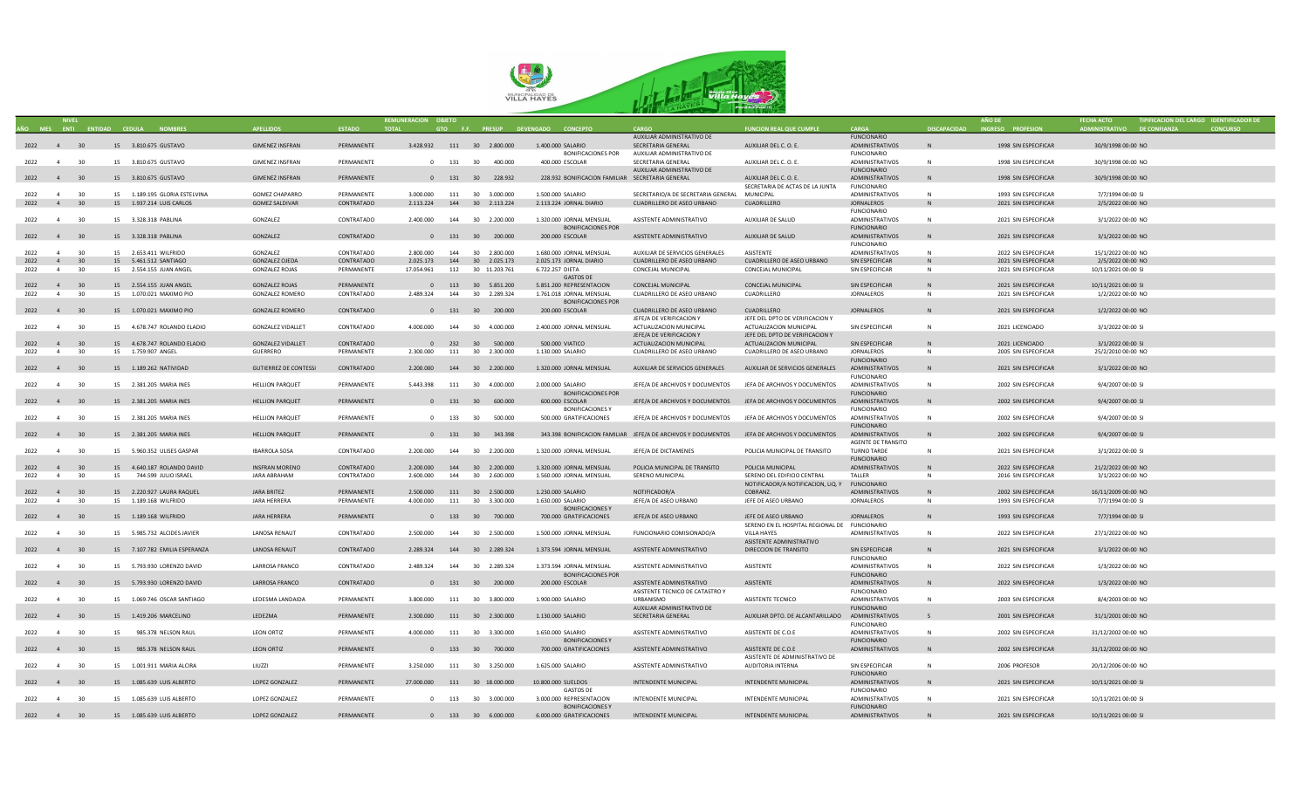

|           |                |                 |    |                                     |                              |               |                              |     |                               |                                                  |                                                                                             |                                               |                                       |                     |                      |                             | TIPIFICACION DEL CARGO IDENTIFICADOR DE |
|-----------|----------------|-----------------|----|-------------------------------------|------------------------------|---------------|------------------------------|-----|-------------------------------|--------------------------------------------------|---------------------------------------------------------------------------------------------|-----------------------------------------------|---------------------------------------|---------------------|----------------------|-----------------------------|-----------------------------------------|
|           |                |                 |    | AÑO MES ENTI ENTIDAD CEDULA NOMBRES | <b>APFILIDOS</b>             | <b>ESTADO</b> | <b>TOTAL</b>                 |     |                               | GTO F.F. PRESUP DEVENGADO CONCEPTO               | CARGO                                                                                       | <b>FUNCION REAL QUE CUMPLE</b>                | CARGA                                 | <b>DISCAPACIDAD</b> | INGRESO PROFESION    | ADMINISTRATIVO DE CONFIANZA | <b>CONCURSO</b>                         |
|           |                |                 |    |                                     |                              |               |                              |     |                               |                                                  | AUXILIAR ADMINISTRATIVO DE                                                                  |                                               | <b>FUNCIONARIO</b>                    |                     |                      |                             |                                         |
| 2022 4 30 |                |                 |    | 15 3.810.675 GUSTAVO                | <b>GIMENEZ INSFRAN</b>       | PERMANENTE    |                              |     | 3.428.932  111  30  2.800.000 | 1.400.000 SALARIO                                | SECRETARIA GENERAL                                                                          | AUXILIAR DEL C. O. E.                         | ADMINISTRATIVOS                       | $\mathsf{N}$        | 1998 SIN ESPECIFICAR | 30/9/1998 00:00 NO          |                                         |
|           |                |                 |    |                                     |                              |               |                              |     |                               | <b>BONIFICACIONES POR</b>                        | AUXILIAR ADMINISTRATIVO DE                                                                  |                                               | <b>FUNCIONARIO</b>                    |                     |                      |                             |                                         |
| 2022 4    |                | 30              |    | 15 3.810.675 GUSTAVO                | <b>GIMENEZ INSFRAN</b>       | PERMANENTE    |                              |     | 0 131 30 400.000              | 400.000 ESCOLAR                                  | SECRETARIA GENERAL                                                                          | AUXILIAR DEL C. O. E.                         | ADMINISTRATIVOS                       | N                   | 1998 SIN ESPECIFICAR | 30/9/1998 00:00 NO          |                                         |
|           |                |                 |    |                                     |                              |               |                              |     |                               |                                                  | AUXILIAR ADMINISTRATIVO DE                                                                  |                                               | <b>FUNCIONARIO</b>                    |                     |                      |                             |                                         |
| 2022 4 30 |                |                 |    | 15 3.810.675 GUSTAVO                | <b>GIMENEZ INSFRAN</b>       | PERMANENTE    |                              |     | 0 131 30 228.932              | 228.932 BONIFICACION FAMILIAR SECRETARIA GENERAL |                                                                                             | AUXILIAR DEL C. O. E.                         | ADMINISTRATIVOS                       | N <sub>1</sub>      | 1998 SIN ESPECIFICAR | 30/9/1998 00:00 NO          |                                         |
|           |                |                 |    |                                     |                              |               |                              |     |                               |                                                  |                                                                                             | SECRETARIA DE ACTAS DE LA JUNTA               | <b>FUNCIONARIO</b>                    |                     |                      |                             |                                         |
| 2022      | $\overline{a}$ | 30              |    | 15 1.189.195 GLORIA ESTELVINA       | <b>GOMEZ CHAPARRO</b>        | PFRMANFNTF    | 3.000.000 111 30 3.000.000   |     |                               | 1.500.000 SALARIO                                | SECRETARIO/A DE SECRETARIA GENERAL MUNICIPAL                                                |                                               | ADMINISTRATIVOS                       | N                   | 1993 SIN ESPECIFICAR | 7/7/1994 00:00 SI           |                                         |
| 2022 4 30 |                |                 |    | 15 1.937.214 LUIS CARLOS            | <b>GOMEZ SALDIVAR</b>        | CONTRATADO    | 2.113.224                    |     | 144 30 2.113.224              | 2.113.224 JORNAL DIARIO                          | CUADRILLERO DE ASEO URBANO                                                                  | CUADRILLERO                                   | <b>JORNALEROS</b>                     | N                   | 2021 SIN ESPECIFICAR | 2/5/2022 00:00 NO           |                                         |
|           |                |                 |    |                                     |                              |               |                              |     |                               |                                                  |                                                                                             |                                               | <b>FUNCIONARIO</b>                    |                     |                      |                             |                                         |
| 2022 4    |                | 30              |    | 15 3.328.318 PABLINA                | GONZALEZ                     | CONTRATADO    | 2.400.000                    |     | 144 30 2,200,000              | 1.320.000 JORNAL MENSUAL                         | ASISTENTE ADMINISTRATIVO                                                                    | AUXILIAR DE SALUD                             | <b>ADMINISTRATIVOS</b>                | N                   | 2021 SIN ESPECIFICAR | 3/1/2022 00:00 NO           |                                         |
|           |                |                 |    |                                     |                              |               |                              |     |                               | <b>BONIFICACIONES POR</b>                        |                                                                                             |                                               | <b>FUNCIONARIO</b>                    |                     |                      |                             |                                         |
| 2022 4 30 |                |                 |    | 15 3.328.318 PABLINA                | GONZALEZ                     | CONTRATADO    |                              |     | 0 131 30 200.000              | 200.000 ESCOLAR                                  | ASISTENTE ADMINISTRATIVO                                                                    | AUXILIAR DE SALUD                             | <b>ADMINISTRATIVOS</b>                | N                   | 2021 SIN ESPECIFICAR | 3/1/2022 00:00 NO           |                                         |
|           |                |                 |    |                                     |                              |               |                              |     |                               |                                                  |                                                                                             |                                               | <b>FUNCIONARIO</b>                    |                     |                      |                             |                                         |
| 2022      | $\sim$ 4       | 30              |    | 15 2.653.411 WILERIDO               | GONZALEZ                     | CONTRATADO    | 2.800.000                    | 144 | 30 2.800,000                  | 1.680.000 IORNAL MENSUAL                         | AUXILIAR DE SERVICIOS GENERALES                                                             | <b>ASISTENTE</b>                              | ADMINISTRATIVOS                       | N                   | 2022 SIN ESPECIFICAR | 15/1/2022 00:00 NO          |                                         |
| 2022      | 4              | 30 <sup>2</sup> |    | 15 5.461.512 SANTIAGO               | GONZALEZ OJEDA               | CONTRATADO    | 2.025.173                    |     | 144 30 2.025.173              | 2.025.173 IORNAL DIARIO                          | CUADRILLERO DE ASEO URBANO                                                                  | CUADRILLERO DE ASEO URBANO                    | SIN ESPECIFICAR                       | N.                  | 2021 SIN ESPECIFICAR | 2/5/2022 00:00 NO           |                                         |
| 2022      | $\overline{4}$ | 30              |    | 15 2.554.155 JUAN ANGEL             | <b>GONZALEZ ROJAS</b>        | PERMANENTE    | 17.054.961                   |     | 112 30 11.203.761             | 6.722.257 DIETA                                  | CONCEJAL MUNICIPAL                                                                          | CONCEJAL MUNICIPAL                            | SIN ESPECIFICAR                       | N                   | 2021 SIN ESPECIFICAR | 10/11/2021 00:00 SI         |                                         |
|           |                |                 |    |                                     |                              |               |                              |     |                               | <b>GASTOS DE</b>                                 |                                                                                             |                                               |                                       |                     |                      |                             |                                         |
| 2022      | 4 30           |                 |    | 15 2.554.155 JUAN ANGEL             | <b>GONZALEZ ROJAS</b>        | PERMANENTE    |                              |     | 0 113 30 5.851.200            | 5.851.200 REPRESENTACION                         | CONCEJAL MUNICIPAL                                                                          | <b>CONCEJAL MUNICIPAL</b>                     | SIN ESPECIFICAR                       | N                   | 2021 SIN ESPECIFICAR | 10/11/2021 00:00 SI         |                                         |
| 2022      | 4              | 30              |    | 15 1.070.021 MAXIMO PIO             | <b>GONZALEZ ROMERO</b>       | CONTRATADO    | 2.489.324                    | 144 | 30 2.289.324                  | 1.761.018 JORNAL MENSUAL                         | CUADRILLERO DE ASEO URBANO                                                                  | CUADRILLERO                                   | <b>JORNALEROS</b>                     | N                   | 2021 SIN ESPECIFICAR | 1/2/2022 00:00 NO           |                                         |
|           |                |                 |    |                                     |                              |               |                              |     |                               | <b>BONIFICACIONES POR</b>                        |                                                                                             |                                               |                                       |                     |                      |                             |                                         |
| 2022 4    |                | 30              |    | 15 1.070.021 MAXIMO PIO             | <b>GONZALEZ ROMERO</b>       | CONTRATADO    | $\overline{0}$               |     | 131 30 200.000                | 200.000 ESCOLAR                                  | CUADRILLERO DE ASEO URBANO                                                                  | CUADRILLERO                                   | <b>JORNALEROS</b>                     | N                   | 2021 SIN ESPECIFICAR | 1/2/2022 00:00 NO           |                                         |
|           |                |                 |    |                                     |                              |               |                              |     |                               |                                                  | JEFE/A DE VERIFICACION Y                                                                    | JEFE DEL DPTO DE VERIFICACION Y               |                                       |                     |                      |                             |                                         |
| 2022      | $\overline{4}$ | 30              |    | 15 4.678.747 ROLANDO ELADIO         | <b>GONZALEZ VIDALLET</b>     | CONTRATADO    | 4.000.000                    | 144 | 30  4.000.000                 | 2.400.000 JORNAL MENSUAL                         | ACTUALIZACION MUNICIPAL                                                                     | ACTUALIZACION MUNICIPAL                       | SIN ESPECIFICAR                       | N                   | 2021 LICENCIADO      | 3/1/2022 00:00 SI           |                                         |
|           |                |                 |    |                                     |                              |               |                              |     |                               |                                                  | IFFF/A DE VERIFICACION Y                                                                    | JEFE DEL DPTO DE VERIFICACION Y               |                                       |                     |                      |                             |                                         |
| 2022 4 30 |                |                 |    | 15 4.678.747 ROLANDO ELADIO         | <b>GONZALEZ VIDALLET</b>     | CONTRATADO    |                              |     | 0 232 30 500.000              | 500,000 VIATICO                                  | ACTUALIZACION MUNICIPAL                                                                     | ACTUALIZACION MUNICIPAL                       | SIN ESPECIFICAR                       | N.                  | 2021 LICENCIADO      | 3/1/2022 00:00 SI           |                                         |
| 2022      | $\overline{4}$ | 30              |    | 15 1.759.907 ANGEL                  | GUERRERO                     | PERMANENTE    | 2.300.000                    |     | 111 30 2.300.000              | 1.130.000 SALARIO                                | CUADRILLERO DE ASEO URBANO                                                                  | CUADRILLERO DE ASEO URBANO                    | <b>JORNALEROS</b>                     | N                   | 2005 SIN ESPECIFICAR | 25/2/2010 00:00 NO          |                                         |
|           |                |                 |    |                                     |                              |               |                              |     |                               |                                                  |                                                                                             |                                               | <b>FUNCIONARIO</b>                    |                     |                      |                             |                                         |
| 2022 4 30 |                |                 |    | 15  1.189.262 NATIVIDAD             | <b>GUTIERREZ DE CONTESSI</b> | CONTRATADO    | 2.200.000 144 30 2.200.000   |     |                               | 1.320.000 JORNAL MENSUAL                         | AUXILIAR DE SERVICIOS GENERALES                                                             | AUXILIAR DE SERVICIOS GENERALES               | ADMINISTRATIVOS                       | N                   | 2021 SIN ESPECIFICAR | 3/1/2022 00:00 NO           |                                         |
|           |                |                 |    |                                     |                              |               |                              |     |                               |                                                  |                                                                                             |                                               | <b>FUNCIONARIO</b>                    |                     |                      |                             |                                         |
| 2022      | $\overline{4}$ | 30              |    | 15 2.381.205 MARIA INES             | <b>HELLION PARQUET</b>       | PERMANENTE    | 5.443.398                    |     | 111 30 4.000.000              | 2.000.000 SALARIO                                | JEFE/A DE ARCHIVOS Y DOCUMENTOS                                                             | JEFA DE ARCHIVOS Y DOCUMENTOS                 | ADMINISTRATIVOS                       | N                   | 2002 SIN ESPECIFICAR | 9/4/2007 00:00 SI           |                                         |
|           |                |                 |    |                                     |                              |               |                              |     |                               | BONIFICACIONES POR                               |                                                                                             |                                               | <b>FUNCIONARIO</b>                    |                     |                      |                             |                                         |
| 2022 4 30 |                |                 |    | 15 2.381.205 MARIA INES             | <b>HELLION PARQUET</b>       | PERMANENTE    |                              |     | 0 131 30 600.000              | 600.000 ESCOLAR                                  | JEFE/A DE ARCHIVOS Y DOCUMENTOS                                                             | JEFA DE ARCHIVOS Y DOCUMENTOS                 | ADMINISTRATIVOS                       | N                   | 2002 SIN ESPECIFICAR | 9/4/2007 00:00 SI           |                                         |
|           |                |                 |    |                                     |                              |               |                              |     |                               | BONIFICACIONES Y                                 |                                                                                             |                                               | <b>FUNCIONARIO</b>                    |                     |                      |                             |                                         |
| 2022 4    |                | 30              |    | 15 2.381.205 MARIA INFS             | <b>HELLION PAROUFT</b>       | PERMANENTE    |                              |     | 0 133 30 500,000              | 500.000 GRATIFICACIONES                          | IFFF/A DE ARCHIVOS Y DOCUMENTOS                                                             | JEFA DE ARCHIVOS Y DOCUMENTOS                 | <b>ADMINISTRATIVOS</b>                | $\mathbb N$         | 2002 SIN ESPECIFICAR | 9/4/2007 00:00 SI           |                                         |
|           |                |                 |    |                                     |                              |               |                              |     |                               |                                                  |                                                                                             |                                               | <b>FUNCIONARIO</b>                    |                     |                      |                             |                                         |
| 2022 4 30 |                |                 |    | 15 2.381.205 MARIA INES             | <b>HELLION PARQUET</b>       | PERMANENTE    |                              |     | 0 131 30 343.398              |                                                  | 343.398 BONIFICACION FAMILIAR JEFE/A DE ARCHIVOS Y DOCUMENTOS JEFA DE ARCHIVOS Y DOCUMENTOS |                                               | <b>ADMINISTRATIVOS</b>                | <b>N</b>            | 2002 SIN ESPECIFICAR | 9/4/2007 00:00 SI           |                                         |
|           |                |                 |    |                                     |                              |               |                              |     |                               |                                                  |                                                                                             |                                               | AGENTE DE TRANSITO                    |                     |                      |                             |                                         |
| 2022      | $\overline{4}$ | 30              |    | 15 5.960.352 ULISES GASPAR          | <b>IBARROLA SOSA</b>         | CONTRATADO    | 2.200.000                    |     | 144 30 2.200.000              | 1.320.000 JORNAL MENSUAL                         | JEFE/A DE DICTAMENES                                                                        | POLICIA MUNICIPAL DE TRANSITO                 | TURNO TARDE                           | N                   | 2021 SIN ESPECIFICAR | 3/1/2022 00:00 SI           |                                         |
|           |                |                 |    |                                     |                              |               |                              |     |                               |                                                  |                                                                                             |                                               | <b>FUNCIONARIO</b>                    |                     |                      |                             |                                         |
| 2022      | 4              | 30              |    | 15 4.640.187 ROLANDO DAVID          | <b>INSFRAN MORENO</b>        | CONTRATADO    | 2.200.000                    |     | 144 30 2.200.000              | 1.320.000 JORNAL MENSUAL                         | POLICIA MUNICIPAL DE TRANSITO                                                               | POLICIA MUNICIPAL                             | ADMINISTRATIVOS                       | N                   | 2022 SIN ESPECIFICAR | 21/2/2022 00:00 NO          |                                         |
| 2022      | $\overline{4}$ | 30              | 15 | 744.599 JULIO ISRAEL                | JARA ABRAHAM                 | CONTRATADO    | 2,600,000                    | 144 | 30 2.600.000                  | 1.560.000 JORNAL MENSUAL                         | SERENO MUNICIPAL                                                                            | SERENO DEL EDIFICIO CENTRAL                   | TALLER                                | N                   | 2016 SIN ESPECIFICAR | 3/1/2022 00:00 NO           |                                         |
|           |                |                 |    |                                     |                              |               |                              |     |                               |                                                  |                                                                                             | NOTIFICADOR/A NOTIFICACION, LIQ. Y            | <b>FUNCIONARIO</b>                    |                     |                      |                             |                                         |
| 2022 4 30 |                |                 |    | 15 2.220.927 LAURA RAQUEL           | JARA BRITEZ                  | PERMANENTE    | 2.500.000 111 30 2.500.000   |     |                               | 1.230.000 SALARIO                                | NOTIFICADOR/A                                                                               | COBRANZ.                                      | ADMINISTRATIVOS                       | N                   | 2002 SIN ESPECIFICAR | 16/11/2009 00:00 NO         |                                         |
| 2022      | 4              | 30              |    | 15 1.189.168 WILFRIDO               | JARA HERRERA                 | PERMANENTE    | 4.000.000                    |     | 111 30 3.300.000              | 1.630.000 SALARIO                                | JEFE/A DE ASEO URBANO                                                                       | JEFE DE ASEO URBANO                           | <b>JORNALEROS</b>                     | N                   | 1993 SIN ESPECIFICAR | 7/7/1994 00:00 SI           |                                         |
|           |                |                 |    |                                     |                              |               |                              |     |                               | <b>BONIFICACIONES Y</b>                          |                                                                                             |                                               |                                       |                     |                      |                             |                                         |
| 2022 4 30 |                |                 |    | 15  1.189.168  WILFRIDO             | <b>IARA HFRRFRA</b>          | PERMANENTE    |                              |     | 0 133 30 700.000              | 700.000 GRATIFICACIONES                          | JEFE/A DE ASEO URBANO                                                                       | JEFE DE ASEO URBANO                           | <b>JORNALEROS</b>                     | N                   | 1993 SIN ESPECIFICAR | 7/7/1994 00:00 SI           |                                         |
|           |                |                 |    |                                     |                              |               |                              |     |                               |                                                  |                                                                                             | SERENO EN EL HOSPITAL REGIONAL DE FUNCIONARIO |                                       |                     |                      |                             |                                         |
| 2022 4    |                | 30              |    | 15 5.985.732 ALCIDES JAVIER         | <b>LANOSA RENAUT</b>         | CONTRATADO    | 2.500.000                    |     | 144 30 2.500.000              | 1.500.000 JORNAL MENSUAL                         | FUNCIONARIO COMISIONADO/A                                                                   | VILLA HAYES                                   | ADMINISTRATIVOS                       | N                   | 2022 SIN ESPECIFICAR | 27/1/2022 00:00 NO          |                                         |
|           |                |                 |    |                                     |                              |               |                              |     |                               |                                                  |                                                                                             | ASISTENTE ADMINISTRATIVO                      |                                       |                     |                      |                             |                                         |
| 2022 4 30 |                |                 |    | 15 7.107.782 EMILIA ESPERANZA       | <b>LANOSA RENAUT</b>         | CONTRATADO    | 2.289.324 144 30 2.289.324   |     |                               | 1.373.594 JORNAL MENSUAL                         | ASISTENTE ADMINISTRATIVO                                                                    | DIRECCION DE TRANSITO                         | SIN ESPECIFICAR<br><b>FUNCIONARIO</b> | N                   | 2021 SIN ESPECIFICAR | 3/1/2022 00:00 NO           |                                         |
| 2022      | $\overline{4}$ | 30              |    | 15 5.793.930 LORENZO DAVID          | LARROSA FRANCO               | CONTRATADO    | 2.489.324                    |     | 144 30 2.289.324              | 1.373.594 JORNAL MENSUAL                         | ASISTENTE ADMINISTRATIVO                                                                    | <b>ASISTENTE</b>                              | ADMINISTRATIVOS                       | N                   | 2022 SIN ESPECIFICAR | 1/3/2022 00:00 NO           |                                         |
|           |                |                 |    |                                     |                              |               |                              |     |                               | <b>BONIFICACIONES POR</b>                        |                                                                                             |                                               | <b>FUNCIONARIO</b>                    |                     |                      |                             |                                         |
| 2022 4 30 |                |                 |    | 15 5.793.930 LORENZO DAVID          | LARROSA FRANCO               | CONTRATADO    |                              |     | 0 131 30 200.000              | 200.000 ESCOLAR                                  | ASISTENTE ADMINISTRATIVO                                                                    | <b>ASISTENTE</b>                              | ADMINISTRATIVOS                       | N                   | 2022 SIN ESPECIFICAR | 1/3/2022 00:00 NO           |                                         |
|           |                |                 |    |                                     |                              |               |                              |     |                               |                                                  | ASISTENTE TECNICO DE CATASTRO Y                                                             |                                               | <b>FUNCIONARIO</b>                    |                     |                      |                             |                                         |
| 2022 4    |                | 30              |    | 15 1.069.746 OSCAR SANTIAGO         | <b>IFDESMA LANDAIDA</b>      | PFRMANFNTF    | 3,800,000                    |     | 111 30 3.800.000              | 1,900,000 SALARIO                                | <b>URBANISMO</b>                                                                            | ASISTENTE TECNICO                             | ADMINISTRATIVOS                       | $\mathbb N$         | 2003 SIN ESPECIFICAR | 8/4/2003 00:00 NO           |                                         |
|           |                |                 |    |                                     |                              |               |                              |     |                               |                                                  |                                                                                             |                                               | <b>FUNCIONARIO</b>                    |                     |                      |                             |                                         |
| 2022 4 30 |                |                 |    | 15 1.419.206 MARCELINO              | LEDEZMA                      | PERMANENTE    | 2.300.000 111 30 2.300.000   |     |                               | 1.130.000 SALARIO                                | AUXILIAR ADMINISTRATIVO DE<br>SECRETARIA GENERAL                                            | AUXILIAR DPTO. DE ALCANTARILLADO              | ADMINISTRATIVOS                       |                     | 2001 SIN ESPECIFICAR | 31/1/2001 00:00 NO          |                                         |
|           |                |                 |    |                                     |                              |               |                              |     |                               |                                                  |                                                                                             |                                               | <b>FUNCIONARIO</b>                    |                     |                      |                             |                                         |
| 2022      | 4              | 30              | 15 | 985.378 NELSON RAUL                 | <b>LEON ORTIZ</b>            | PERMANENTE    | 4.000.000                    |     | 111 30 3.300.000              | 1.650.000 SALARIO                                | ASISTENTE ADMINISTRATIVO                                                                    | ASISTENTE DE C.O.E                            | ADMINISTRATIVOS                       | N                   | 2002 SIN ESPECIFICAR | 31/12/2002 00:00 NO         |                                         |
|           |                |                 |    |                                     |                              |               |                              |     |                               | <b>BONIFICACIONES Y</b>                          |                                                                                             |                                               | <b>FUNCIONARIO</b>                    |                     |                      |                             |                                         |
| 2022 4 30 |                |                 | 15 | 985.378 NELSON RAUL                 | LEON ORTIZ                   | PERMANENTE    |                              |     | 0 133 30 700.000              | 700.000 GRATIFICACIONES                          | ASISTENTE ADMINISTRATIVO                                                                    | ASISTENTE DE C.O.E                            | ADMINISTRATIVOS                       | N                   | 2002 SIN ESPECIFICAR | 31/12/2002 00:00 NO         |                                         |
|           |                |                 |    |                                     |                              |               |                              |     |                               |                                                  |                                                                                             | ASISTENTE DE ADMINISTRATIVO DE                |                                       |                     |                      |                             |                                         |
| 2022      | 4              | 30              |    | 15 1.001.911 MARIA ALCIRA           | 1111771                      | PFRMANFNTF    | 3.250.000                    |     | 111 30 3.250.000              | 1.625.000 SALARIO                                | ASISTENTE ADMINISTRATIVO                                                                    | <b>AUDITORIA INTERNA</b>                      | SIN ESPECIFICAR                       | N                   | 2006 PROFESOR        | 20/12/2006 00:00 NO         |                                         |
|           |                |                 |    |                                     |                              |               |                              |     |                               |                                                  |                                                                                             |                                               | <b>FUNCIONARIO</b>                    |                     |                      |                             |                                         |
| 2022 4 30 |                |                 |    | 15 1.085.639 LUIS ALBERTO           | LOPEZ GONZALEZ               | PERMANENTE    | 27.000.000 111 30 18.000.000 |     |                               | 10.800.000 SUELDOS                               | INTENDENTE MUNICIPAL                                                                        | <b>INTENDENTE MUNICIPAL</b>                   | ADMINISTRATIVOS                       | N                   | 2021 SIN ESPECIFICAR | 10/11/2021 00:00 SI         |                                         |
|           |                |                 |    |                                     |                              |               |                              |     |                               | <b>GASTOS DE</b>                                 |                                                                                             |                                               | <b>FUNCIONARIO</b>                    |                     |                      |                             |                                         |
| 2022      | $\overline{a}$ | 30              |    | 15 1.085.639 LUIS ALBERTO           | <b>LOPEZ GONZALEZ</b>        | PERMANENTE    |                              |     | 0 113 30 3.000.000            | 3.000.000 REPRESENTACION                         | INTENDENTE MUNICIPAL                                                                        | <b>INTENDENTE MUNICIPAL</b>                   | ADMINISTRATIVOS                       | N                   | 2021 SIN ESPECIFICAR | 10/11/2021 00:00 SI         |                                         |
|           |                |                 |    |                                     |                              |               |                              |     |                               | <b>BONIFICACIONESY</b>                           |                                                                                             |                                               | <b>FUNCIONARIO</b>                    |                     |                      |                             |                                         |
| 2022 4 30 |                |                 |    | 15 1.085.639 LUIS ALBERTO           | LOPEZ GONZALEZ               | PERMANENTE    |                              |     | 0 133 30 6.000.000            | 6.000.000 GRATIFICACIONES                        | INTENDENTE MUNICIPAL                                                                        | <b>INTENDENTE MUNICIPAL</b>                   | ADMINISTRATIVOS                       |                     | 2021 SIN ESPECIFICAR | 10/11/2021 00:00 SI         |                                         |
|           |                |                 |    |                                     |                              |               |                              |     |                               |                                                  |                                                                                             |                                               |                                       |                     |                      |                             |                                         |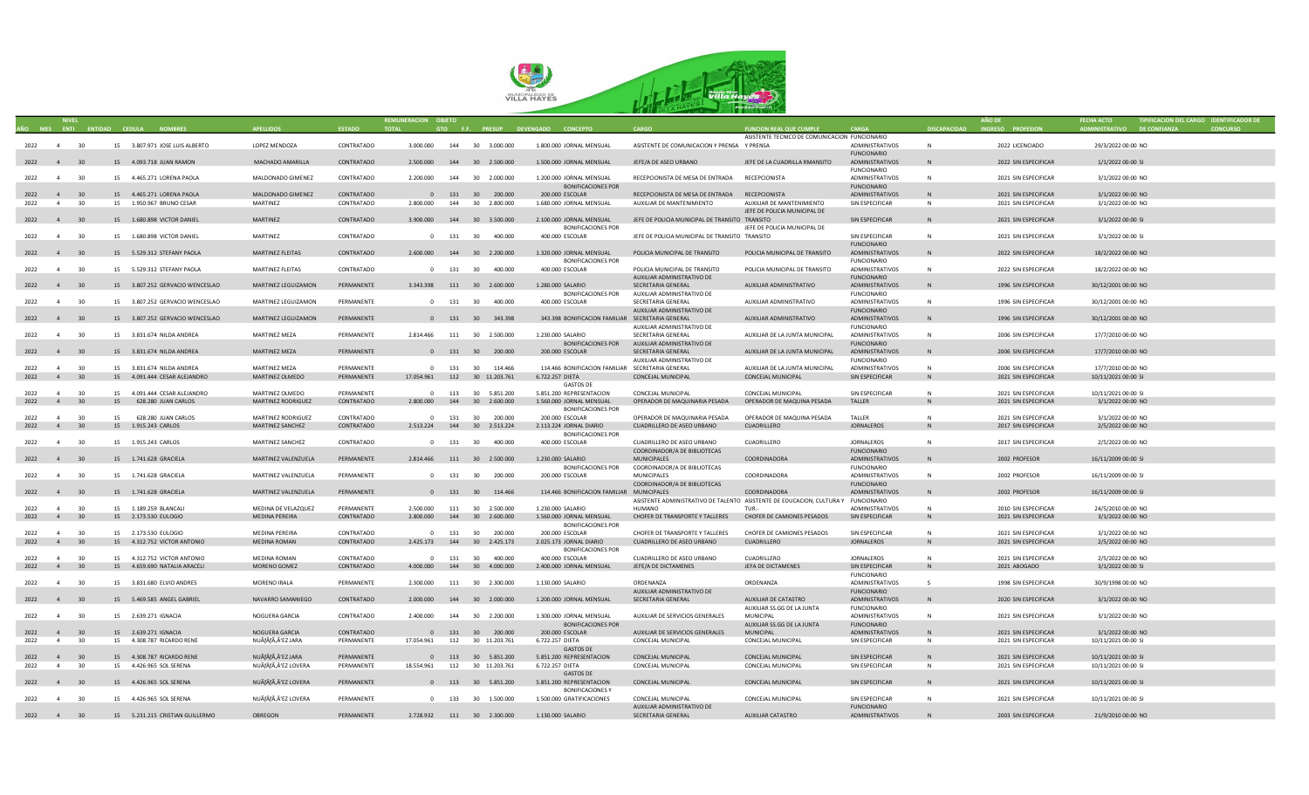

|           |                      |    |                                               |                      |               | REMUNERACION OBJETO |     |                                 |                                                  |                                                                                   |                                               |                        |                     |                      |                            | TIPIFICACION DEL CARGO IDENTIFICADOR DE |  |
|-----------|----------------------|----|-----------------------------------------------|----------------------|---------------|---------------------|-----|---------------------------------|--------------------------------------------------|-----------------------------------------------------------------------------------|-----------------------------------------------|------------------------|---------------------|----------------------|----------------------------|-----------------------------------------|--|
|           |                      |    | AÑO MES ENTI ENTIDAD CEDULA<br><b>NOMBRES</b> |                      | <b>ESTADO</b> | <b>TOTAL</b>        |     |                                 | GTO F.F. PRESUP DEVENGADO CONCEPTO               |                                                                                   | <b>FUNCION REAL QUE CUMPLE</b>                | CARGA                  | <b>DISCAPACIDAD</b> | INGRESO PROFESION    | DMINISTRATIVO DE CONFIANZA |                                         |  |
|           |                      |    |                                               |                      |               |                     |     |                                 |                                                  |                                                                                   | ASISTENTE TECNICO DE COMUNICACION FUNCIONARIO |                        |                     |                      |                            |                                         |  |
| 2022 4 30 |                      |    | 15 3.807.971 JOSE LUIS ALBERTO                | LOPEZ MENDOZA        | CONTRATADO    | 3.000.000           |     | 144 30 3,000,000                | 1.800.000 JORNAL MENSUAL                         | ASISTENTE DE COMUNICACION Y PRENSA Y PRENSA                                       |                                               | <b>ADMINISTRATIVOS</b> | N                   | 2022 LICENCIADO      | 29/3/2022 00:00 NO         |                                         |  |
|           |                      |    |                                               |                      |               |                     |     |                                 |                                                  |                                                                                   |                                               | <b>FUNCIONARIO</b>     |                     |                      |                            |                                         |  |
| 2022 4    | 30                   |    | 15 4.093.718 JUAN RAMON                       | MACHADO AMARILLA     | CONTRATADO    | 2.500.000           |     | 144 30 2.500.000                | 1.500.000 JORNAL MENSUAL                         | JEFE/A DE ASEO URBANO                                                             | JEFE DE LA CUADRILLA RMANSITO                 | ADMINISTRATIVOS        |                     | 2022 SIN ESPECIFICAR | 1/1/2022 00:00 SI          |                                         |  |
|           |                      |    |                                               |                      |               |                     |     |                                 |                                                  |                                                                                   |                                               | <b>FUNCIONARIO</b>     |                     |                      |                            |                                         |  |
|           |                      | 30 |                                               |                      | CONTRATADO    | 2.200.000           |     |                                 |                                                  |                                                                                   |                                               |                        |                     |                      |                            |                                         |  |
| 2022      | $\overline{4}$       |    | 15 4.465.271 LORENA PAOLA                     | MALDONADO GIMENEZ    |               |                     |     | 144 30 2.000.000                | 1.200.000 JORNAL MENSUAL                         | RECEPCIONISTA DE MESA DE ENTRADA RECEPCIONISTA                                    |                                               | ADMINISTRATIVOS        | N                   | 2021 SIN ESPECIFICAR | 3/1/2022 00:00 NO          |                                         |  |
|           |                      |    |                                               |                      |               |                     |     |                                 | <b>BONIFICACIONES POR</b>                        |                                                                                   |                                               | <b>FUNCIONARIO</b>     |                     |                      |                            |                                         |  |
| 2022      | $\overline{4}$       | 30 | 15 4.465.271 LORENA PAOLA                     | MALDONADO GIMENEZ    | CONTRATADO    |                     |     | 0 131 30 200.000                | 200.000 ESCOLAR                                  | RECEPCIONISTA DE MESA DE ENTRADA RECEPCIONISTA                                    |                                               | ADMINISTRATIVOS        | <b>N</b>            | 2021 SIN ESPECIFICAR | 3/1/2022 00:00 NO          |                                         |  |
| 2022      | $\overline{4}$       | 30 | 15 1.950.967 BRUNO CESAR                      | MARTINEZ             | CONTRATADO    | 2.800.000           |     | 144 30 2.800.000                | 1.680.000 JORNAL MENSUAL                         | AUXILIAR DE MANTENIMIENTO                                                         | AUXILIAR DE MANTENIMIENTO                     | SIN ESPECIFICAR        | N                   | 2021 SIN ESPECIFICAR | 3/1/2022 00:00 NO          |                                         |  |
|           |                      |    |                                               |                      |               |                     |     |                                 |                                                  |                                                                                   | JEFE DE POLICIA MUNICIPAL DE                  |                        |                     |                      |                            |                                         |  |
| 2022 4 30 |                      |    | 15 1.680.898 VICTOR DANIEL                    | MARTINEZ             | CONTRATADO    |                     |     | 3.900.000 144 30 3.500.000      | 2.100.000 JORNAL MENSUAL                         | JEFE DE POLICIA MUNICIPAL DE TRANSITO TRANSITO                                    |                                               | SIN ESPECIFICAR        | N                   | 2021 SIN ESPECIFICAR | 3/1/2022 00:00 SI          |                                         |  |
|           |                      |    |                                               |                      |               |                     |     |                                 | <b>BONIFICACIONES POR</b>                        |                                                                                   | JEFE DE POLICIA MUNICIPAL DE                  |                        |                     |                      |                            |                                         |  |
|           | $\overline{4}$       |    |                                               |                      |               |                     |     |                                 |                                                  |                                                                                   |                                               |                        | N                   |                      |                            |                                         |  |
| 2022      |                      | 30 | 15 1.680.898 VICTOR DANIEL                    | MARTINEZ             | CONTRATADO    |                     |     | 0 131 30 400.000                | 400.000 ESCOLAR                                  | JEFE DE POLICIA MUNICIPAL DE TRANSITO TRANSITO                                    |                                               | SIN ESPECIFICAR        |                     | 2021 SIN ESPECIFICAR | 3/1/2022 00:00 SI          |                                         |  |
|           |                      |    |                                               |                      |               |                     |     |                                 |                                                  |                                                                                   |                                               | <b>FUNCIONARIO</b>     |                     |                      |                            |                                         |  |
| 2022 4 30 |                      |    | 15 5.529.312 STEFANY PAOLA                    | MARTINEZ FLEITAS     | CONTRATADO    |                     |     | 2.600.000 144 30 2.200.000      | 1.320.000 JORNAL MENSUAL                         | POLICIA MUNICIPAL DE TRANSITO                                                     | POLICIA MUNICIPAL DE TRANSITO                 | ADMINISTRATIVOS        |                     | 2022 SIN ESPECIFICAR | 18/2/2022 00:00 NO         |                                         |  |
|           |                      |    |                                               |                      |               |                     |     |                                 | <b>BONIFICACIONES POR</b>                        |                                                                                   |                                               | <b>FUNCIONARIO</b>     |                     |                      |                            |                                         |  |
| 2022      | $\overline{4}$       | 30 | 15 5.529.312 STEFANY PAOLA                    | MARTINEZ FLEITAS     | CONTRATADO    |                     |     | 0 131 30 400.000                | 400.000 ESCOLAR                                  | POLICIA MUNICIPAL DE TRANSITO                                                     | POLICIA MUNICIPAL DE TRANSITO                 | ADMINISTRATIVOS        | N                   | 2022 SIN ESPECIFICAR | 18/2/2022 00:00 NO         |                                         |  |
|           |                      |    |                                               |                      |               |                     |     |                                 |                                                  | AUXILIAR ADMINISTRATIVO DE                                                        |                                               | <b>FUNCIONARIO</b>     |                     |                      |                            |                                         |  |
| 2022 4 30 |                      |    | 15 3.807.252 GERVACIO WENCESLAO               | MARTINEZ LEGUIZAMON  | PERMANENTE    |                     |     | 3.343.398 111 30 2.600.000      | 1.280.000 SALARIO                                | SECRETARIA GENERAL                                                                | AUXILIAR ADMINISTRATIVO                       | ADMINISTRATIVOS        | N                   | 1996 SIN ESPECIFICAR | 30/12/2001 00:00 NO        |                                         |  |
|           |                      |    |                                               |                      |               |                     |     |                                 | <b>BONIFICACIONES POR</b>                        | AUXILIAR ADMINISTRATIVO DE                                                        |                                               | <b>FUNCIONARIO</b>     |                     |                      |                            |                                         |  |
| 2022      | $\overline{4}$       | 30 | 15 3.807.252 GERVACIO WENCESLAO               | MARTINEZ LEGUIZAMON  | PERMANENTE    |                     |     | 0 131 30 400.000                | 400.000 ESCOLAR                                  | SECRETARIA GENERAL                                                                | AUXILIAR ADMINISTRATIVO                       | ADMINISTRATIVOS        | N                   | 1996 SIN ESPECIFICAR | 30/12/2001 00:00 NO        |                                         |  |
|           |                      |    |                                               |                      |               |                     |     |                                 |                                                  |                                                                                   |                                               |                        |                     |                      |                            |                                         |  |
|           |                      |    |                                               |                      |               |                     |     |                                 |                                                  | AUXILIAR ADMINISTRATIVO DE                                                        |                                               | <b>FUNCIONARIO</b>     |                     |                      |                            |                                         |  |
| 2022      | 30<br>$\overline{4}$ |    | 15 3.807.252 GERVACIO WENCESLAO               | MARTINEZ LEGUIZAMON  | PERMANENTE    |                     |     | 0 131 30 343.398                | 343.398 BONIFICACION FAMILIAR SECRETARIA GENERAL |                                                                                   | AUXILIAR ADMINISTRATIVO                       | ADMINISTRATIVOS        |                     | 1996 SIN ESPECIFICAR | 30/12/2001 00:00 NO        |                                         |  |
|           |                      |    |                                               |                      |               |                     |     |                                 |                                                  | AUXILIAR ADMINISTRATIVO DE                                                        |                                               | <b>FUNCIONARIO</b>     |                     |                      |                            |                                         |  |
| 2022      | 4                    | 30 | 15 3.831.674 NILDA ANDREA                     | <b>MARTINEZ MEZA</b> | PERMANENTE    | 2.814.466           |     | 111 30 2.500.000                | 1.230.000 SALARIO                                | SECRETARIA GENERAL                                                                | AUXILIAR DE LA JUNTA MUNICIPAL                | ADMINISTRATIVOS        | N                   | 2006 SIN ESPECIFICAR | 17/7/2010 00:00 NO         |                                         |  |
|           |                      |    |                                               |                      |               |                     |     |                                 | <b>BONIFICACIONES POR</b>                        | AUXILIAR ADMINISTRATIVO DE                                                        |                                               | <b>FUNCIONARIO</b>     |                     |                      |                            |                                         |  |
| 2022 4 30 |                      |    | 15 3.831.674 NILDA ANDREA                     | <b>MARTINEZ MEZA</b> | PERMANENTE    |                     |     | 0 131 30 200.000                | 200.000 ESCOLAR                                  | SECRETARIA GENERAL                                                                | AUXILIAR DE LA JUNTA MUNICIPAL                | ADMINISTRATIVOS        | N                   | 2006 SIN ESPECIFICAR | 17/7/2010 00:00 NO         |                                         |  |
|           |                      |    |                                               |                      |               |                     |     |                                 |                                                  |                                                                                   |                                               |                        |                     |                      |                            |                                         |  |
|           |                      |    |                                               |                      |               |                     |     |                                 |                                                  | AUXILIAR ADMINISTRATIVO DE                                                        |                                               | <b>FUNCIONARIO</b>     |                     |                      |                            |                                         |  |
| 2022      | $\overline{a}$       | 30 | 15 3.831.674 NILDA ANDREA                     | MARTINEZ MEZA        | PERMANENTE    |                     |     | 0 131 30 114.466                | 114.466 BONIFICACION FAMILIAR SECRETARIA GENERAL |                                                                                   | AUXILIAR DE LA JUNTA MUNICIPAL                | <b>ADMINISTRATIVOS</b> | N                   | 2006 SIN ESPECIFICAR | 17/7/2010 00:00 NO         |                                         |  |
| 2022      | $\overline{4}$       | 30 | 15 4.091.444 CESAR ALEJANDRO                  | MARTINEZ OLMEDO      | PERMANENTE    |                     |     | 17.054.961  112  30  11.203.761 | 6.722.257 DIETA                                  | CONCEJAL MUNICIPAL                                                                | CONCEJAL MUNICIPAL                            | SIN ESPECIFICAR        | N                   | 2021 SIN ESPECIFICAR | 10/11/2021 00:00 SI        |                                         |  |
|           |                      |    |                                               |                      |               |                     |     |                                 | <b>GASTOS DE</b>                                 |                                                                                   |                                               |                        |                     |                      |                            |                                         |  |
| 2022      | $\overline{a}$       | 30 | 15 4.091.444 CESAR ALEJANDRO                  | MARTINEZ OLMEDO      | PFRMANFNTF    |                     |     | 0 113 30 5.851.200              | 5.851.200 REPRESENTACION                         | CONCEJAL MUNICIPAL                                                                | CONCEJAL MUNICIPAL                            | SIN ESPECIFICAR        | <b>N</b>            | 2021 SIN ESPECIFICAR | 10/11/2021 00:00 SI        |                                         |  |
| 2022      | 4 30                 |    | 15 628.280 JUAN CARLOS                        | MARTINEZ RODRIGUEZ   | CONTRATADO    |                     |     | 2.800.000  144  30  2.600.000   | 1.560.000 JORNAL MENSUAL                         | OPERADOR DE MAQUINARIA PESADA                                                     | OPERADOR DE MAQUINA PESADA                    | TALLER                 | N                   | 2021 SIN ESPECIFICAR | 3/1/2022 00:00 NO          |                                         |  |
|           |                      |    |                                               |                      |               |                     |     |                                 | <b>BONIFICACIONES POR</b>                        |                                                                                   |                                               |                        |                     |                      |                            |                                         |  |
|           |                      |    |                                               |                      |               |                     |     |                                 |                                                  |                                                                                   |                                               |                        |                     |                      |                            |                                         |  |
| 2022      | $\overline{4}$       | 30 | 628.280 JUAN CARLOS<br>15                     | MARTINEZ RODRIGUEZ   | CONTRATADO    |                     |     | 0 131 30 200.000                | 200.000 ESCOLAR                                  | OPERADOR DE MAQUINARIA PESADA                                                     | OPERADOR DE MAQUINA PESADA                    | TALLER                 | N                   | 2021 SIN ESPECIFICAR | 3/1/2022 00:00 NO          |                                         |  |
| 2022      | 4                    | 30 | 15  1.915.243  CARLOS                         | MARTINEZ SANCHEZ     | CONTRATADO    |                     |     | 2.513.224  144  30  2.513.224   | 2.113.224 JORNAL DIARIO                          | CUADRILLERO DE ASEO URBANO                                                        | CUADRILLERO                                   | JORNALEROS             | N                   | 2017 SIN ESPECIFICAR | 2/5/2022 00:00 NO          |                                         |  |
|           |                      |    |                                               |                      |               |                     |     |                                 | <b>BONIFICACIONES POR</b>                        |                                                                                   |                                               |                        |                     |                      |                            |                                         |  |
| 2022      | $\overline{a}$       | 30 | 15 1.915.243 CARLOS                           | MARTINEZ SANCHEZ     | CONTRATADO    |                     |     | 0 131 30 400.000                | 400.000 ESCOLAR                                  | CUADRILLERO DE ASEO URBANO                                                        | CUADRILLERO                                   | <b>JORNALEROS</b>      | N                   | 2017 SIN ESPECIFICAR | 2/5/2022 00:00 NO          |                                         |  |
|           |                      |    |                                               |                      |               |                     |     |                                 |                                                  | COORDINADOR/A DE BIBLIOTECAS                                                      |                                               | <b>FUNCIONARIO</b>     |                     |                      |                            |                                         |  |
|           | $4 \overline{30}$    |    | 15 1.741.628 GRACIELA                         | MARTINEZ VALENZUELA  | PERMANENTE    |                     |     |                                 | 1.230.000 SALARIO                                | MUNICIPALES                                                                       | COORDINADORA                                  | <b>ADMINISTRATIVOS</b> | N                   |                      | 16/11/2009 00:00 SI        |                                         |  |
| 2022      |                      |    |                                               |                      |               |                     |     | 2.814.466 111 30 2.500.000      |                                                  |                                                                                   |                                               |                        |                     | 2002 PROFESOR        |                            |                                         |  |
|           |                      |    |                                               |                      |               |                     |     |                                 | <b>BONIFICACIONES POR</b>                        | COORDINADOR/A DE BIBLIOTECAS                                                      |                                               | <b>FUNCIONARIO</b>     |                     |                      |                            |                                         |  |
| 2022      | $\overline{4}$       | 30 | 15 1.741.628 GRACIELA                         | MARTINEZ VALENZUELA  | PERMANENTE    |                     |     | 0 131 30 200.000                | 200.000 ESCOLAR                                  | MUNICIPALES                                                                       | COORDINADORA                                  | ADMINISTRATIVOS        | N                   | 2002 PROFESOR        | 16/11/2009 00:00 SL        |                                         |  |
|           |                      |    |                                               |                      |               |                     |     |                                 |                                                  | COORDINADOR/A DE BIBLIOTECAS                                                      |                                               | <b>FUNCIONARIO</b>     |                     |                      |                            |                                         |  |
| 2022 4 30 |                      |    | 15 1.741.628 GRACIELA                         | MARTINEZ VALENZUELA  | PERMANENTE    |                     |     | 0 131 30 114.466                | 114.466 BONIFICACION FAMILIAR MUNICIPALES        |                                                                                   | COORDINADORA                                  | <b>ADMINISTRATIVOS</b> |                     | 2002 PROFESOR        | 16/11/2009 00:00 SI        |                                         |  |
|           |                      |    |                                               |                      |               |                     |     |                                 |                                                  | ASISTENTE ADMINISTRATIVO DE TALENTO ASISTENTE DE EDUCACION, CULTURA Y FUNCIONARIO |                                               |                        |                     |                      |                            |                                         |  |
| 2022      | 4 30                 |    | 15  1.189.259  BLANCALI                       | MEDINA DE VELAZQUEZ  | PERMANENTE    | 2.500.000           |     | 111 30 2.500.000                | 1.230.000 SALARIO                                | <b>HUMANO</b>                                                                     | TUR-                                          | ADMINISTRATIVOS        | N                   | 2010 SIN ESPECIFICAR | 24/5/2010 00:00 NO         |                                         |  |
|           |                      |    |                                               |                      |               |                     |     |                                 |                                                  |                                                                                   |                                               |                        |                     |                      |                            |                                         |  |
| 2022      | 4                    | 30 | 15 2.173.530 EULOGIO                          | MEDINA PEREIRA       | CONTRATADO    | 2.800.000           |     | 144 30 2.600.000                | 1.560.000 JORNAL MENSUAL                         | CHOFER DE TRANSPORTE Y TALLERES                                                   | CHOFER DE CAMIONES PESADOS                    | SIN ESPECIFICAR        | N                   | 2021 SIN ESPECIFICAR | 3/1/2022 00:00 NO          |                                         |  |
|           |                      |    |                                               |                      |               |                     |     |                                 | <b>BONIFICACIONES POR</b>                        |                                                                                   |                                               |                        |                     |                      |                            |                                         |  |
| 2022      | $\overline{4}$       | 30 | 15 2.173.530 EULOGIO                          | MEDINA PEREIRA       | CONTRATADO    |                     |     | 0 131 30 200.000                | 200.000 ESCOLAR                                  | CHOFER DE TRANSPORTE Y TALLERES                                                   | CHOFER DE CAMIONES PESADOS                    | SIN ESPECIFICAR        | N                   | 2021 SIN ESPECIFICAR | 3/1/2022 00:00 NO          |                                         |  |
| 2022      | 4                    | 30 | 15 4.312.752 VICTOR ANTONIO                   | <b>MEDINA ROMAN</b>  | CONTRATADO    |                     |     | 2.425.173  144  30  2.425.173   | 2.025.173 JORNAL DIARIO                          | CUADRILLERO DE ASEO URBANO                                                        | CUADRILLERO                                   | <b>JORNALEROS</b>      | N                   | 2021 SIN ESPECIFICAR | 2/5/2022 00:00 NO          |                                         |  |
|           |                      |    |                                               |                      |               |                     |     |                                 | <b>BONIFICACIONES POR</b>                        |                                                                                   |                                               |                        |                     |                      |                            |                                         |  |
| 2022      | $\overline{4}$       | 30 | 15 4.312.752 VICTOR ANTONIO                   | MEDINA ROMAN         | CONTRATADO    |                     |     | 0 131 30 400,000                | 400.000 ESCOLAR                                  | CUADRILLERO DE ASEO URBANO                                                        | CUADRILLERO                                   | <b>JORNALEROS</b>      | N                   | 2021 SIN ESPECIFICAR | 2/5/2022 00:00 NO          |                                         |  |
|           |                      |    |                                               |                      |               |                     |     |                                 |                                                  |                                                                                   |                                               |                        |                     |                      |                            |                                         |  |
| 2022      | $\overline{4}$       | 30 | 15 4.659.690 NATALIA ARACELI                  | MORENO GOMEZ         | CONTRATADO    |                     |     | 4.000.000  144  30  4.000.000   | 2.400.000 JORNAL MENSUAL                         | JEFE/A DE DICTAMENES                                                              | JEFA DE DICTAMENES                            | SIN ESPECIFICAR        | N                   | 2021 ABOGADO         | 3/1/2022 00:00 SI          |                                         |  |
|           |                      |    |                                               |                      |               |                     |     |                                 |                                                  |                                                                                   |                                               | <b>FUNCIONARIO</b>     |                     |                      |                            |                                         |  |
| 2022 4    |                      | 30 | 15 3.831.680 ELVIO ANDRES                     | MORENO IRALA         | PERMANENTE    | 2.300.000           |     | 111 30 2.300.000                | 1.130.000 SALARIO                                | ORDENANZA                                                                         | ORDENANZA                                     | ADMINISTRATIVOS        | $\mathsf{S}$        | 1998 SIN ESPECIFICAR | 30/9/1998 00:00 NO         |                                         |  |
|           |                      |    |                                               |                      |               |                     |     |                                 |                                                  | AUXILIAR ADMINISTRATIVO DE                                                        |                                               | <b>FUNCIONARIO</b>     |                     |                      |                            |                                         |  |
| 2022 4    | 30                   |    | 15 5.469.585 ANGEL GABRIEL                    | NAVARRO SAMANIEGO    | CONTRATADO    | 2.000.000           |     | 144 30 2.000.000                | 1.200.000 JORNAL MENSUAL                         | SECRETARIA GENERAL                                                                | AUXILIAR DE CATASTRO                          | ADMINISTRATIVOS        |                     | 2020 SIN ESPECIFICAR | 3/1/2022 00:00 NO          |                                         |  |
|           |                      |    |                                               |                      |               |                     |     |                                 |                                                  |                                                                                   | AUXILIAR SS.GG DE LA JUNTA                    | FUNCIONARIO            |                     |                      |                            |                                         |  |
|           |                      |    |                                               |                      |               |                     |     |                                 |                                                  |                                                                                   |                                               |                        |                     |                      |                            |                                         |  |
| 2022      | $\overline{4}$       | 30 | 15 2.639.271 IGNACIA                          | NOGUERA GARCIA       | CONTRATADO    | 2.400.000           | 144 | 30 2.200.000                    | 1.300.000 JORNAL MENSUAL                         | AUXILIAR DE SERVICIOS GENERALES                                                   | MUNICIPAL                                     | ADMINISTRATIVOS        | N                   | 2021 SIN ESPECIFICAR | 3/1/2022 00:00 NO          |                                         |  |
|           |                      |    |                                               |                      |               |                     |     |                                 | <b>BONIFICACIONES POR</b>                        |                                                                                   | AUXILIAR SS.GG DE LA JUNTA                    | <b>FUNCIONARIO</b>     |                     |                      |                            |                                         |  |
| 2022 4 30 |                      |    | 15 2.639.271 IGNACIA                          | NOGUERA GARCIA       | CONTRATADO    |                     |     | 0 131 30 200.000                | 200.000 ESCOLAR                                  | AUXILIAR DE SERVICIOS GENERALES                                                   | MUNICIPAL                                     | <b>ADMINISTRATIVOS</b> | N                   | 2021 SIN ESPECIFICAR | 3/1/2022 00:00 NO          |                                         |  |
| 2022      | $\overline{4}$       | 30 | 15 4.308.787 RICARDO RENE                     | NUÃfÂfÃ,Â'EZ JARA    | PERMANENTE    | 17.054.961          |     | 112 30 11.203.761               | 6.722.257 DIETA                                  | CONCEJAL MUNICIPAL                                                                | CONCEJAL MUNICIPAL                            | SIN ESPECIFICAR        | N                   | 2021 SIN ESPECIFICAR | 10/11/2021 00:00 SI        |                                         |  |
|           |                      |    |                                               |                      |               |                     |     |                                 | <b>GASTOS DE</b>                                 |                                                                                   |                                               |                        |                     |                      |                            |                                         |  |
| 2022      | 4                    |    | 15 4.308.787 RICARDO RENE                     | NUÃÃ,'EZ JARA        | PERMANENTE    |                     |     | 0 113 30 5.851.200              | 5.851.200 REPRESENTACION                         |                                                                                   |                                               |                        | N                   |                      |                            |                                         |  |
|           | 30                   |    |                                               |                      |               |                     |     |                                 |                                                  | CONCEJAL MUNICIPAL                                                                | CONCEJAL MUNICIPAL                            | SIN ESPECIFICAR        |                     | 2021 SIN ESPECIFICAR | 10/11/2021 00:00 SI        |                                         |  |
| 2022      | 4 <sup>1</sup>       | 30 | 15 4.426.965 SOL SERENA                       | NUÃfÂfÃ,Â'EZ LOVERA  | PERMANENTE    | 18.554.961          |     | 112 30 11.203.761               | 6.722.257 DIETA                                  | CONCEJAL MUNICIPAL                                                                | CONCEJAL MUNICIPAL                            | SIN ESPECIFICAR        | N                   | 2021 SIN ESPECIFICAR | 10/11/2021 00:00 SI        |                                         |  |
|           |                      |    |                                               |                      |               |                     |     |                                 | <b>GASTOS DE</b>                                 |                                                                                   |                                               |                        |                     |                      |                            |                                         |  |
| 2022      | 4 30                 |    | 15 4.426.965 SOL SERENA                       | NUÃfÂfÃ,Â'EZ LOVERA  | PERMANENTE    | $\mathbf{0}$        |     | 113 30 5.851.200                | 5.851.200 REPRESENTACION                         | CONCEJAL MUNICIPAL                                                                | CONCEJAL MUNICIPAL                            | SIN ESPECIFICAR        |                     | 2021 SIN ESPECIFICAR | 10/11/2021 00:00 SI        |                                         |  |
|           |                      |    |                                               |                      |               |                     |     |                                 | <b>BONIFICACIONES Y</b>                          |                                                                                   |                                               |                        |                     |                      |                            |                                         |  |
| 2022      | $\overline{4}$       | 30 | 15 4.426.965 SOL SERENA                       | NUÃÃ,'EZ LOVERA      | PERMANENTE    |                     |     | 0 133 30 1.500.000              | 1.500.000 GRATIFICACIONES                        | CONCEJAL MUNICIPAL                                                                | CONCEJAL MUNICIPAL                            | SIN ESPECIFICAR        | N                   | 2021 SIN ESPECIFICAR | 10/11/2021 00:00 SI        |                                         |  |
|           |                      |    |                                               |                      |               |                     |     |                                 |                                                  | AUXILIAR ADMINISTRATIVO DE                                                        |                                               | <b>FUNCIONARIO</b>     |                     |                      |                            |                                         |  |
|           |                      |    |                                               |                      |               |                     |     |                                 |                                                  |                                                                                   |                                               |                        |                     |                      |                            |                                         |  |
| 2022 4 30 |                      |    | 15 5.231.215 CRISTIAN GUILLERMO               | OBREGON              | PERMANENTE    |                     |     | 2.728.932 111 30 2.300.000      | 1.130.000 SALARIO                                | SECRETARIA GENERAL                                                                | AUXILIAR CATASTRO                             | ADMINISTRATIVOS        |                     | 2003 SIN ESPECIFICAR | 21/9/2010 00:00 NO         |                                         |  |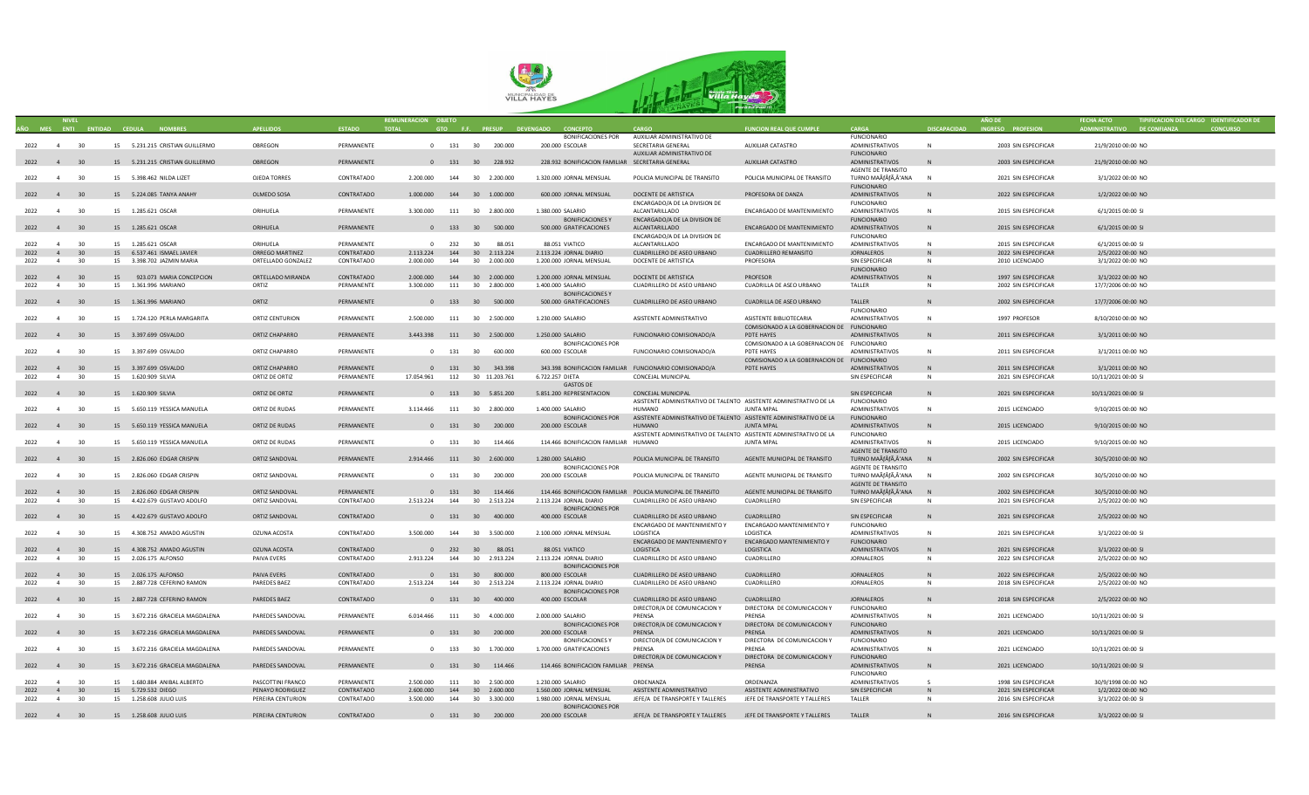

|                             | <b>NIVEL</b>      |                 |                                   |                    |               | REMUNERACION OBJETO                |        |                    |                                                  |                                                                    |                                             |                           |              |                      |                             | TIPIFICACION DEL CARGO IDENTIFICADOR DE |
|-----------------------------|-------------------|-----------------|-----------------------------------|--------------------|---------------|------------------------------------|--------|--------------------|--------------------------------------------------|--------------------------------------------------------------------|---------------------------------------------|---------------------------|--------------|----------------------|-----------------------------|-----------------------------------------|
| AÑO MES ENTI ENTIDAD CEDULA |                   |                 | <b>NOMBRES</b>                    | <b>APFILIDOS</b>   | <b>ESTADO</b> | <b>TOTAL</b>                       |        |                    | GTO F.F. PRESUP DEVENGADO<br><b>CONCEPTO</b>     |                                                                    | <b>FUNCION REAL QUE CUMPLE</b>              | CARGA                     | DISCAPACIDAD | INGRESO PROFESION    | ADMINISTRATIVO DE CONFIANZA |                                         |
|                             |                   |                 |                                   |                    |               |                                    |        |                    | <b>BONIFICACIONES POR</b>                        | AUXILIAR ADMINISTRATIVO DE                                         |                                             | <b>FUNCIONARIO</b>        |              |                      |                             |                                         |
| 2022 4 30                   |                   |                 | 15 5.231.215 CRISTIAN GUILLERMO   | OBREGON            | PERMANENTE    |                                    |        | 0 131 30 200.000   | 200.000 ESCOLAR                                  | SECRETARIA GENERAL                                                 | AUXILIAR CATASTRO                           | ADMINISTRATIVOS           | N            | 2003 SIN ESPECIFICAR | 21/9/2010 00:00 NO          |                                         |
|                             |                   |                 |                                   |                    |               |                                    |        |                    |                                                  |                                                                    |                                             |                           |              |                      |                             |                                         |
|                             |                   |                 |                                   |                    |               |                                    |        |                    |                                                  | AUXILIAR ADMINISTRATIVO DE                                         |                                             | <b>FUNCIONARIO</b>        |              |                      |                             |                                         |
| 2022 4 30                   |                   |                 | 15 5.231.215 CRISTIAN GUILLERMO   | OBREGON            | PERMANENTE    |                                    |        | 0 131 30 228.932   | 228.932 BONIFICACION FAMILIAR SECRETARIA GENERAL |                                                                    | AUXILIAR CATASTRO                           | ADMINISTRATIVOS           |              | 2003 SIN ESPECIFICAR | 21/9/2010 00:00 NO          |                                         |
|                             |                   |                 |                                   |                    |               |                                    |        |                    |                                                  |                                                                    |                                             | AGENTE DE TRANSITO        |              |                      |                             |                                         |
| 2022 4                      |                   | 30              | 15 5.398.462 NILDA LIZET          | OJEDA TORRES       | CONTRATADO    | 2.200.000                          |        | 144 30 2.200.000   | 1.320.000 JORNAL MENSUAL                         | POLICIA MUNICIPAL DE TRANSITO                                      | POLICIA MUNICIPAL DE TRANSITO               | TURNO MAÃfÂfÃ,Â'ANA       | N            | 2021 SIN ESPECIFICAR | 3/1/2022 00:00 NO           |                                         |
|                             |                   |                 |                                   |                    |               |                                    |        |                    |                                                  |                                                                    |                                             | <b>FUNCIONARIO</b>        |              |                      |                             |                                         |
|                             |                   |                 |                                   |                    |               |                                    |        |                    |                                                  |                                                                    |                                             |                           |              |                      |                             |                                         |
| 2022 4 30                   |                   |                 | 15 5.224.085 TANYA ANAHY          | OLMEDO SOSA        | CONTRATADO    | $1.000.000$ $144$ $30$ $1.000.000$ |        |                    | 600.000 JORNAL MENSUAL                           | DOCENTE DE ARTISTICA                                               | PROFESORA DE DANZA                          | ADMINISTRATIVOS           | N            | 2022 SIN ESPECIFICAR | 1/2/2022 00:00 NO           |                                         |
|                             |                   |                 |                                   |                    |               |                                    |        |                    |                                                  | ENCARGADO/A DE LA DIVISION DE                                      |                                             | <b>FUNCIONARIO</b>        |              |                      |                             |                                         |
| 2022 4                      |                   | 30              | 15  1.285.621  OSCAR              | ORIHUELA           | PERMANENTE    | 3.300.000                          |        | 111 30 2.800.000   | 1.380.000 SALARIO                                | ALCANTARILLADO                                                     | ENCARGADO DE MANTENIMIENTO                  | ADMINISTRATIVOS           | N            | 2015 SIN ESPECIFICAR | 6/1/2015 00:00 SI           |                                         |
|                             |                   |                 |                                   |                    |               |                                    |        |                    | <b>BONIFICACIONES Y</b>                          | ENCARGADO/A DE LA DIVISION DE                                      |                                             | <b>FUNCIONARIO</b>        |              |                      |                             |                                         |
|                             |                   |                 |                                   |                    |               |                                    |        |                    |                                                  |                                                                    |                                             |                           |              |                      |                             |                                         |
| 2022 4 30                   |                   |                 | 15  1.285.621  OSCAR              | ORIHUELA           | PERMANENTE    |                                    |        | 0 133 30 500.000   | 500.000 GRATIFICACIONES                          | ALCANTARILLADO                                                     | ENCARGADO DE MANTENIMIENTO                  | ADMINISTRATIVOS           | N            | 2015 SIN ESPECIFICAR | 6/1/2015 00:00 SI           |                                         |
|                             |                   |                 |                                   |                    |               |                                    |        |                    |                                                  | ENCARGADO/A DE LA DIVISION DE                                      |                                             | <b>FUNCIONARIO</b>        |              |                      |                             |                                         |
| 2022                        | $\overline{4}$    | 30              | 15  1.285.621  OSCAR              | ORIHUELA           | PERMANENTE    | $\Omega$                           | 232 30 | 88.051             | 88.051 VIATICO                                   | ALCANTARILLADO                                                     | ENCARGADO DE MANTENIMIENTO                  | ADMINISTRATIVOS           | $\mathbb N$  | 2015 SIN ESPECIFICAR | 6/1/2015 00:00 SI           |                                         |
| 2022                        | $4 \overline{30}$ |                 | 15 6.537.461 ISMAFI IAVIFR        | ORREGO MARTINEZ    | CONTRATADO    | 2.113.224                          |        | 144 30 2.113.224   | 2.113.224 JORNAL DIARIO                          | CUADRILLERO DE ASEO URBANO                                         | <b>CUADRILLERO REMANSITO</b>                | <b>JORNALEROS</b>         | N            | 2022 SIN ESPECIFICAR | 2/5/2022 00:00 NO           |                                         |
| 2022                        | $\sim$ 4          | 30              | 15 3.398.702 JAZMIN MARIA         | ORTELLADO GONZALEZ | CONTRATADO    | 2.000.000                          | 144    | 30 2.000.000       | 1.200.000 JORNAL MENSUAL                         | DOCENTE DE ARTISTICA                                               | PROFESORA                                   | SIN ESPECIFICAR           | N            | 2010 LICENCIADO      | 3/1/2022 00:00 NO           |                                         |
|                             |                   |                 |                                   |                    |               |                                    |        |                    |                                                  |                                                                    |                                             | <b>FUNCIONARIO</b>        |              |                      |                             |                                         |
|                             |                   |                 |                                   |                    |               |                                    |        |                    |                                                  |                                                                    |                                             |                           |              |                      |                             |                                         |
| 2022                        | 4 30              |                 | 15 923.073 MARIA CONCEPCION       | ORTELLADO MIRANDA  | CONTRATADO    | 2.000.000                          |        | 144 30 2.000.000   | 1.200.000 IORNAL MENSUAL                         | DOCENTE DE ARTISTICA                                               | <b>PROFESOR</b>                             | ADMINISTRATIVOS           | N            | 1997 SIN ESPECIFICAR | 3/1/2022 00:00 NO           |                                         |
| 2022                        | $\overline{4}$    | 30              | 15 1.361.996 MARIANO              | ORTIZ              | PFRMANFNTF    | 3.300.000                          |        | 111 30 2.800.000   | 1.400.000 SALARIO                                | CUADRILLERO DE ASEO URBANO                                         | CUADRILLA DE ASEO URBANO                    | TALLER                    | N            | 2002 SIN ESPECIFICAR | 17/7/2006 00:00 NO          |                                         |
|                             |                   |                 |                                   |                    |               |                                    |        |                    | <b>BONIFICACIONES Y</b>                          |                                                                    |                                             |                           |              |                      |                             |                                         |
|                             |                   |                 |                                   |                    | PERMANENTE    | $\mathbf{0}$                       |        |                    |                                                  |                                                                    |                                             |                           | N            |                      |                             |                                         |
|                             | 2022 4 30         |                 | 15  1.361.996 MARIANO             | ORTIZ              |               |                                    |        | 133 30 500.000     | 500.000 GRATIFICACIONES                          | CUADRILLERO DE ASEO URBANO                                         | CUADRILLA DE ASEO URBANO                    | TALLER                    |              | 2002 SIN ESPECIFICAR | 17/7/2006 00:00 NO          |                                         |
|                             |                   |                 |                                   |                    |               |                                    |        |                    |                                                  |                                                                    |                                             | <b>FUNCIONARIO</b>        |              |                      |                             |                                         |
| 2022                        | 4 <sup>1</sup>    | 30              | 15 1.724.120 PERLA MARGARITA      | ORTIZ CENTURION    | PERMANENTE    | 2.500.000                          |        | 111 30 2.500.000   | 1.230.000 SALARIO                                | ASISTENTE ADMINISTRATIVO                                           | ASISTENTE BIBLIOTECARIA                     | ADMINISTRATIVOS           | $\mathsf{N}$ | 1997 PROFESOR        | 8/10/2010 00:00 NO          |                                         |
|                             |                   |                 |                                   |                    |               |                                    |        |                    |                                                  |                                                                    | COMISIONADO A LA GOBERNACION DE FUNCIONARIO |                           |              |                      |                             |                                         |
|                             | 2022 4 30         |                 | 15 3.397.699 OSVALDO              | ORTIZ CHAPARRO     | PERMANENTE    | 3.443.398 111 30 2.500.000         |        |                    | 1.250.000 SALARIO                                | FUNCIONARIO COMISIONADO/A                                          | PDTE HAYES                                  | ADMINISTRATIVOS           | N            | 2011 SIN ESPECIFICAR | 3/1/2011 00:00 NO           |                                         |
|                             |                   |                 |                                   |                    |               |                                    |        |                    | BONIFICACIONES POR                               |                                                                    |                                             |                           |              |                      |                             |                                         |
|                             |                   |                 |                                   |                    |               |                                    |        |                    |                                                  |                                                                    | COMISIONADO A LA GOBERNACION DE FUNCIONARIO |                           |              |                      |                             |                                         |
| 2022                        | $\overline{4}$    | 30              | 15 3.397.699 OSVALDO              | ORTIZ CHAPARRO     | PFRMANFNTF    |                                    |        | 0 131 30 600.000   | 600.000 ESCOLAR                                  | FUNCIONARIO COMISIONADO/A                                          | PDTF HAYES                                  | ADMINISTRATIVOS           | <b>N</b>     | 2011 SIN ESPECIFICAR | 3/1/2011 00:00 NO           |                                         |
|                             |                   |                 |                                   |                    |               |                                    |        |                    |                                                  |                                                                    | COMISIONADO A LA GOBERNACION DE FUNCIONARIO |                           |              |                      |                             |                                         |
| 2022                        | 4 30              |                 | 15 3.397.699 OSVALDO              | ORTIZ CHAPARRO     | PERMANENTE    |                                    |        | 0 131 30 343.398   |                                                  | 343.398 BONIFICACION FAMILIAR FUNCIONARIO COMISIONADO/A            | PDTE HAYES                                  | ADMINISTRATIVOS           | N            | 2011 SIN ESPECIFICAR | 3/1/2011 00:00 NO           |                                         |
| 2022                        | $\overline{4}$    | 30              | 15 1.620.909 SILVIA               | ORTIZ DE ORTIZ     | PERMANENTE    | 17.054.961                         |        | 112 30 11.203.761  | 6.722.257 DIETA                                  | CONCEJAL MUNICIPAL                                                 |                                             | SIN ESPECIFICAR           | N            | 2021 SIN ESPECIFICAR | 10/11/2021 00:00 SI         |                                         |
|                             |                   |                 |                                   |                    |               |                                    |        |                    |                                                  |                                                                    |                                             |                           |              |                      |                             |                                         |
|                             |                   |                 |                                   |                    |               |                                    |        |                    | <b>GASTOS DE</b>                                 |                                                                    |                                             |                           |              |                      |                             |                                         |
| 2022 4 30                   |                   |                 | 15 1.620.909 SILVIA               | ORTIZ DE ORTIZ     | PERMANENTE    |                                    |        | 0 113 30 5.851.200 | 5.851.200 REPRESENTACION                         | CONCEJAL MUNICIPAL                                                 |                                             | SIN ESPECIFICAR           | $\mathbb{N}$ | 2021 SIN ESPECIFICAR | 10/11/2021 00:00 SI         |                                         |
|                             |                   |                 |                                   |                    |               |                                    |        |                    |                                                  | ASISTENTE ADMINISTRATIVO DE TALENTO ASISTENTE ADMINISTRATIVO DE LA |                                             | <b>FUNCIONARIO</b>        |              |                      |                             |                                         |
| 2022                        | 4 <sup>1</sup>    | 30              | 15 5.650.119 YESSICA MANUELA      | ORTIZ DE RUDAS     | PERMANENTE    | 3.114.466                          |        | 111 30 2.800.000   | 1.400.000 SALARIO                                | HUMANO                                                             | <b>JUNTA MPAL</b>                           | ADMINISTRATIVOS           | $\mathbf{N}$ | 2015 LICENCIADO      | 9/10/2015 00:00 NO          |                                         |
|                             |                   |                 |                                   |                    |               |                                    |        |                    | <b>BONIFICACIONES POR</b>                        | ASISTENTE ADMINISTRATIVO DE TALENTO ASISTENTE ADMINISTRATIVO DE LA |                                             | <b>FUNCIONARIO</b>        |              |                      |                             |                                         |
|                             |                   |                 |                                   |                    |               |                                    |        |                    |                                                  |                                                                    |                                             |                           |              |                      |                             |                                         |
|                             | 2022 4 30         |                 | 15 5.650.119 YESSICA MANUELA      | ORTIZ DE RUDAS     | PERMANENTE    |                                    |        | 0 131 30 200.000   | 200.000 ESCOLAR                                  | <b>HUMANO</b>                                                      | JUNTA MPAL                                  | ADMINISTRATIVOS           | N            | 2015 LICENCIADO      | 9/10/2015 00:00 NO          |                                         |
|                             |                   |                 |                                   |                    |               |                                    |        |                    |                                                  | ASISTENTE ADMINISTRATIVO DE TALENTO ASISTENTE ADMINISTRATIVO DE LA |                                             | <b>FUNCIONARIO</b>        |              |                      |                             |                                         |
|                             | 2022 4 30         |                 | 15 5.650.119 YESSICA MANUELA      | ORTIZ DE RUDAS     | PERMANENTE    |                                    |        | 0 131 30 114.466   | 114.466 BONIFICACION FAMILIAR HUMANO             |                                                                    | <b>JUNTA MPAL</b>                           | ADMINISTRATIVOS           | N            | 2015 LICENCIADO      | 9/10/2015 00:00 NO          |                                         |
|                             |                   |                 |                                   |                    |               |                                    |        |                    |                                                  |                                                                    |                                             | AGENTE DE TRANSITO        |              |                      |                             |                                         |
|                             |                   |                 |                                   |                    |               |                                    |        |                    |                                                  |                                                                    |                                             |                           |              |                      |                             |                                         |
| 2022 4 30                   |                   |                 | 15 2.826.060 EDGAR CRISPIN        | ORTIZ SANDOVAL     | PERMANENTE    | 2.914.466 111 30 2.600.000         |        |                    | 1.280.000 SALARIO                                | POLICIA MUNICIPAL DE TRANSITO                                      | AGENTE MUNICIPAL DE TRANSITO                | TURNO MAÃÃ,Â'ANA N        |              | 2002 SIN ESPECIFICAR | 30/5/2010 00:00 NO          |                                         |
|                             |                   |                 |                                   |                    |               |                                    |        |                    | <b>BONIFICACIONES POR</b>                        |                                                                    |                                             | AGENTE DE TRANSITO        |              |                      |                             |                                         |
| 2022                        | 4 30              |                 | 15 2.826.060 EDGAR CRISPIN        | ORTIZ SANDOVAL     | PERMANENTE    |                                    |        | 0 131 30 200.000   | 200.000 ESCOLAR                                  | POLICIA MUNICIPAL DE TRANSITO                                      | AGENTE MUNICIPAL DE TRANSITO                | TURNO MAÃÃ,'ANA           | N            | 2002 SIN ESPECIFICAR | 30/5/2010 00:00 NO          |                                         |
|                             |                   |                 |                                   |                    |               |                                    |        |                    |                                                  |                                                                    |                                             | <b>AGENTE DE TRANSITO</b> |              |                      |                             |                                         |
|                             | 2022 4 30         |                 | 15 2.826.060 EDGAR CRISPIN        | ORTIZ SANDOVAL     | PERMANENTE    |                                    |        | 0 131 30 114.466   |                                                  | 114.466 BONIFICACION FAMILIAR POLICIA MUNICIPAL DE TRANSITO        | AGENTE MUNICIPAL DE TRANSITO                | TURNO MAÃÃ,'ANA           | N            | 2002 SIN ESPECIFICAR | 30/5/2010 00:00 NO          |                                         |
|                             |                   |                 |                                   |                    |               |                                    |        |                    |                                                  |                                                                    |                                             |                           |              |                      |                             |                                         |
| 2022                        | $\overline{4}$    | 30              | 15 4.422.679 GUSTAVO ADOLFO       | ORTIZ SANDOVAL     | CONTRATADO    | 2.513.224  144  30  2.513.224      |        |                    | 2.113.224 JORNAL DIARIO                          | CUADRILLERO DE ASEO URBANO                                         | CUADRILLERO                                 | SIN ESPECIFICAR           | N            | 2021 SIN ESPECIFICAR | 2/5/2022 00:00 NO           |                                         |
|                             |                   |                 |                                   |                    |               |                                    |        |                    | <b>BONIFICACIONES POR</b>                        |                                                                    |                                             |                           |              |                      |                             |                                         |
| 2022 4 30                   |                   |                 | 15 4.422.679 GUSTAVO ADOLFO       | ORTIZ SANDOVAL     | CONTRATADO    |                                    |        | 0 131 30 400.000   | 400.000 ESCOLAR                                  | CUADRILLERO DE ASEO URBANO                                         | CUADRILLERO                                 | SIN ESPECIFICAR           | N            | 2021 SIN ESPECIFICAR | 2/5/2022 00:00 NO           |                                         |
|                             |                   |                 |                                   |                    |               |                                    |        |                    |                                                  | ENCARGADO DE MANTENIMIENTO Y                                       | ENCARGADO MANTENIMIENTO Y                   | FUNCIONARIO               |              |                      |                             |                                         |
|                             |                   | 30              |                                   |                    | CONTRATADO    |                                    |        |                    |                                                  | LOGISTICA                                                          |                                             |                           | N            |                      |                             |                                         |
| 2022 4                      |                   |                 | 15 4.308.752 AMADO AGUSTIN        | OZUNA ACOSTA       |               | 3.500.000                          |        | 144 30 3.500.000   | 2.100.000 JORNAL MENSUAL                         |                                                                    | LOGISTICA                                   | ADMINISTRATIVOS           |              | 2021 SIN ESPECIFICAR | 3/1/2022 00:00 SI           |                                         |
|                             |                   |                 |                                   |                    |               |                                    |        |                    |                                                  | ENCARGADO DE MANTENIMIENTO Y                                       | ENCARGADO MANTENIMIENTO Y                   | <b>FUNCIONARIO</b>        |              |                      |                             |                                         |
|                             | 2022 4 30         |                 | 15 4.308.752 AMADO AGUSTIN        | OZUNA ACOSTA       | CONTRATADO    |                                    |        | 0 232 30 88.051    | 88.051 VIATICO                                   | LOGISTICA                                                          | LOGISTICA                                   | ADMINISTRATIVOS           | N            | 2021 SIN ESPECIFICAR | 3/1/2022 00:00 SI           |                                         |
| 2022                        | $\overline{4}$    | 30              | 15 2.026.175 ALFONSO              | PAIVA EVERS        | CONTRATADO    | 2.913.224                          |        | 144 30 2.913.224   | 2.113.224 JORNAL DIARIO                          | CUADRILLERO DE ASEO URBANO                                         | CUADRILLERO                                 | <b>JORNALEROS</b>         | $\mathbb N$  | 2022 SIN ESPECIFICAR | 2/5/2022 00:00 NO           |                                         |
|                             |                   |                 |                                   |                    |               |                                    |        |                    | <b>BONIFICACIONES POR</b>                        |                                                                    |                                             |                           |              |                      |                             |                                         |
|                             | $2022 \t 4 \t 30$ |                 | 15 2.026.175 ALEONSO              | PAIVA EVERS        | CONTRATADO    |                                    |        | 0 131 30 800.000   | 800,000 ESCOLAR                                  | CUADRILLERO DE ASEO URBANO                                         | CUADRILLERO                                 | <b>JORNALEROS</b>         | $\mathbb{N}$ | 2022 SIN ESPECIFICAR | 2/5/2022 00:00 NO           |                                         |
|                             |                   |                 |                                   |                    |               |                                    |        |                    |                                                  |                                                                    |                                             |                           |              |                      |                             |                                         |
| 2022                        | $\overline{4}$    | 30              | 15 2.887.728 CEFERINO RAMON       | PAREDES BAEZ       | CONTRATADO    | 2.513.224                          |        | 144 30 2.513.224   | 2.113.224 JORNAL DIARIO                          | CUADRILLERO DE ASEO URBANO                                         | CUADRILLERO                                 | <b>JORNALEROS</b>         | N            | 2018 SIN ESPECIFICAR | 2/5/2022 00:00 NO           |                                         |
|                             |                   |                 |                                   |                    |               |                                    |        |                    | <b>BONIFICACIONES POR</b>                        |                                                                    |                                             |                           |              |                      |                             |                                         |
| 2022 4 30                   |                   |                 | 15 2.887.728 CEFERINO RAMON       | PAREDES BAEZ       | CONTRATADO    | $\overline{0}$                     |        | 131 30 400.000     | 400.000 ESCOLAR                                  | CUADRILLERO DE ASEO URBANO                                         | CUADRILLERO                                 | JORNALEROS                | N            | 2018 SIN ESPECIFICAR | 2/5/2022 00:00 NO           |                                         |
|                             |                   |                 |                                   |                    |               |                                    |        |                    |                                                  | DIRECTOR/A DE COMUNICACION Y                                       | DIRECTORA DE COMUNICACION Y                 | <b>FUNCIONARIO</b>        |              |                      |                             |                                         |
|                             |                   |                 |                                   |                    |               |                                    |        |                    |                                                  | PRENSA                                                             |                                             |                           | N            |                      |                             |                                         |
| 2022                        | 4 <sup>1</sup>    | 30              | 15 3.672.216 GRACIELA MAGDALENA   | PAREDES SANDOVAL   | PERMANENTE    | 6.014.466                          |        | 111 30 4.000.000   | 2.000.000 SALARIO                                |                                                                    | PRENSA                                      | ADMINISTRATIVOS           |              | 2021 LICENCIADO      | 10/11/2021 00:00 SI         |                                         |
|                             |                   |                 |                                   |                    |               |                                    |        |                    | <b>BONIFICACIONES POR</b>                        | DIRECTOR/A DE COMUNICACION Y                                       | DIRECTORA DE COMUNICACION Y                 | <b>FUNCIONARIO</b>        |              |                      |                             |                                         |
| 2022 4 30                   |                   |                 | 15 3.672.216 GRACIELA MAGDALENA   | PAREDES SANDOVAL   | PERMANENTE    |                                    |        | 0 131 30 200.000   | 200.000 ESCOLAR                                  | PRENSA                                                             | PRENSA                                      | ADMINISTRATIVOS           | N            | 2021 LICENCIADO      | 10/11/2021 00:00 SI         |                                         |
|                             |                   |                 |                                   |                    |               |                                    |        |                    | <b>BONIFICACIONES Y</b>                          | DIRECTOR/A DE COMUNICACION Y                                       | DIRECTORA DE COMUNICACION Y                 | <b>FUNCIONARIO</b>        |              |                      |                             |                                         |
| 2022                        | $\overline{4}$    | 30              | 15 3.672.216 GRACIFI A MAGDAI FNA | PAREDES SANDOVAL   | PFRMANFNTF    |                                    |        | 0 133 30 1.700,000 | 1.700.000 GRATIFICACIONES                        | PRENSA                                                             | PRENSA                                      | <b>ADMINISTRATIVOS</b>    | N            | 2021 LICENCIADO      | 10/11/2021 00:00 SI         |                                         |
|                             |                   |                 |                                   |                    |               |                                    |        |                    |                                                  |                                                                    |                                             |                           |              |                      |                             |                                         |
|                             |                   |                 |                                   |                    |               |                                    |        |                    |                                                  | DIRECTOR/A DE COMUNICACION Y                                       | DIRECTORA DE COMUNICACION Y                 | <b>FUNCIONARIO</b>        |              |                      |                             |                                         |
| 2022 4 30                   |                   |                 | 15 3.672.216 GRACIELA MAGDALENA   | PAREDES SANDOVAL   | PERMANENTE    |                                    |        | 0 131 30 114.466   | 114.466 BONIFICACION FAMILIAR PRENSA             |                                                                    | PRENSA                                      | ADMINISTRATIVOS           | N            | 2021 LICENCIADO      | 10/11/2021 00:00 SI         |                                         |
|                             |                   |                 |                                   |                    |               |                                    |        |                    |                                                  |                                                                    |                                             | <b>FUNCIONARIO</b>        |              |                      |                             |                                         |
| 2022                        | $\overline{4}$    | 30              | 15 1.680.884 ANIBAL ALBERTO       | PASCOTTINI FRANCO  | PERMANENTE    | 2.500.000                          |        | 111 30 2.500.000   | 1.230.000 SALARIO                                | ORDFNAN7A                                                          | ORDFNANZA                                   | ADMINISTRATIVOS           | $\mathsf{S}$ | 1998 SIN ESPECIFICAR | 30/9/1998 00:00 NO          |                                         |
| 2022                        | 4                 | $\overline{30}$ | 15 5.729.532 DIEGO                | PENAYO RODRIGUEZ   | CONTRATADO    | 2.600.000                          |        | 144 30 2.600.000   | 1.560.000 JORNAL MENSUAL                         | ASISTENTE ADMINISTRATIVO                                           | ASISTENTE ADMINISTRATIVO                    | SIN ESPECIFICAR           | N            | 2021 SIN ESPECIFICAR | 1/2/2022 00:00 NO           |                                         |
|                             |                   |                 |                                   |                    |               |                                    |        |                    |                                                  |                                                                    |                                             |                           |              |                      |                             |                                         |
| 2022                        | 4                 | 30              | 15 1.258.608 JULIO LUIS           | PEREIRA CENTURION  | CONTRATADO    | 3.500.000                          |        | 144 30 3.300.000   | 1.980.000 JORNAL MENSUAL                         | JEFE/A DE TRANSPORTE Y TALLERES                                    | JEFE DE TRANSPORTE Y TALLERES               | TALLER                    | N            | 2016 SIN ESPECIFICAR | 3/1/2022 00:00 S            |                                         |
|                             |                   |                 |                                   |                    |               |                                    |        |                    | <b>BONIFICACIONES POR</b>                        |                                                                    |                                             |                           |              |                      |                             |                                         |
| 2022 4 30                   |                   |                 | 15 1.258.608 JULIO LUIS           | PEREIRA CENTURION  | CONTRATADO    |                                    |        | 0 131 30 200.000   | 200.000 ESCOLAR                                  | JEFE/A DE TRANSPORTE Y TALLERES                                    | JEFE DE TRANSPORTE Y TALLERES               | TAILER                    |              | 2016 SIN ESPECIFICAR | 3/1/2022 00:00 SI           |                                         |
|                             |                   |                 |                                   |                    |               |                                    |        |                    |                                                  |                                                                    |                                             |                           |              |                      |                             |                                         |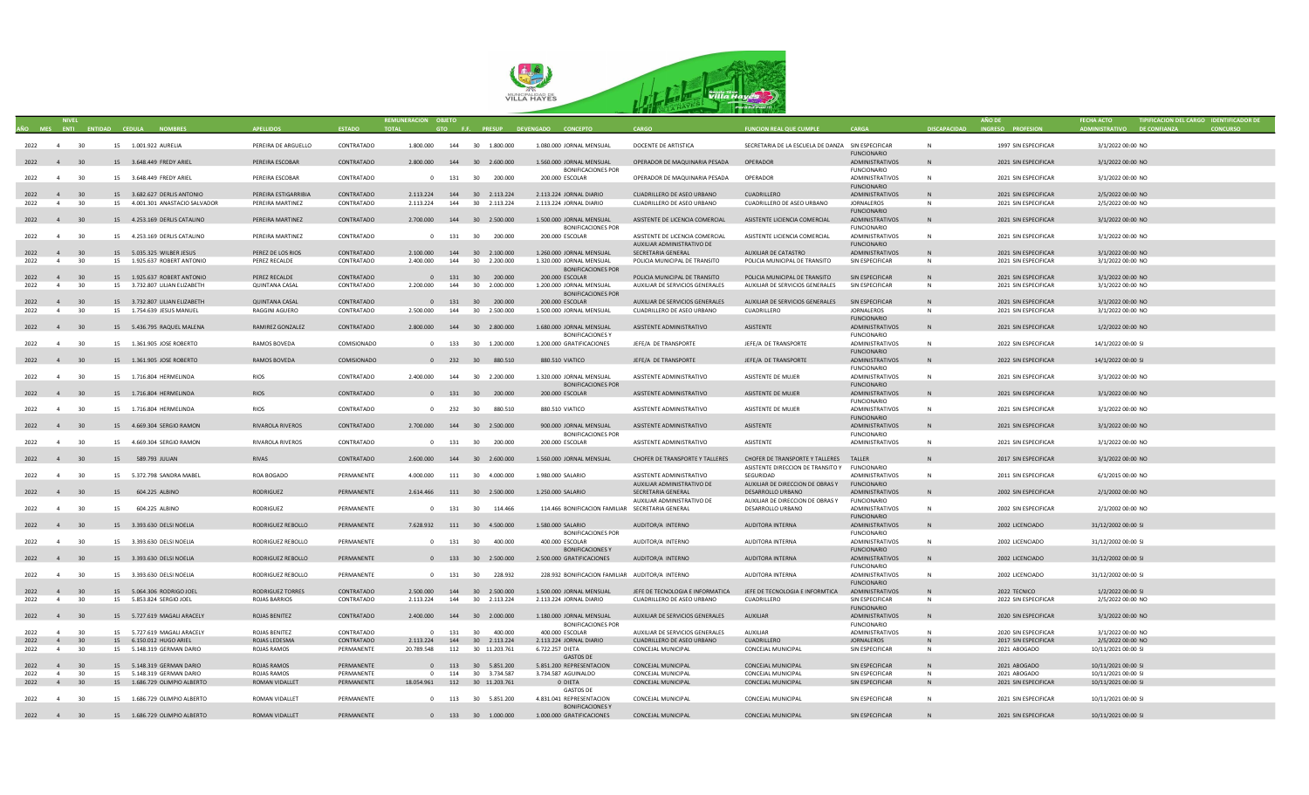

| AÑO MES ENTI ENTIDAD CEDULA |                     |          |    | <b>NOMBRES</b>                                             | <b>APFILIDOS</b>                  | <b>ESTADO</b><br><b>TOTAL</b> | REMUNERACION OBJETO |     |                                                               | GTO F.F. PRESUP DEVENGADO CONCEPTO                    | CARGO                                            | <b>FUNCION REAL QUE CUMPLE</b>                        | CARGA                                   | DISCAPACIDAD | <b>AÑO DE</b><br>INGRESO PROFESION | ADMINISTRATIVO DE CONFIANZA                | TIPIFICACION DEL CARGO IDENTIFICADOR DE |
|-----------------------------|---------------------|----------|----|------------------------------------------------------------|-----------------------------------|-------------------------------|---------------------|-----|---------------------------------------------------------------|-------------------------------------------------------|--------------------------------------------------|-------------------------------------------------------|-----------------------------------------|--------------|------------------------------------|--------------------------------------------|-----------------------------------------|
|                             |                     |          |    |                                                            |                                   |                               |                     |     |                                                               |                                                       |                                                  |                                                       |                                         |              |                                    |                                            |                                         |
| 2022 4 30                   |                     |          |    | 15 1.001.922 AURELIA                                       | PEREIRA DE ARGUELLO               | CONTRATADO                    |                     |     | $1.800.000 \qquad \quad 144 \qquad \quad 30 \qquad 1.800.000$ | 1.080.000 JORNAL MENSUAL                              | DOCENTE DE ARTISTICA                             | SECRETARIA DE LA ESCUELA DE DANZA SIN ESPECIFICAR     |                                         | N            | 1997 SIN ESPECIFICAR               | 3/1/2022 00:00 NO                          |                                         |
|                             |                     |          |    |                                                            |                                   |                               |                     |     |                                                               |                                                       |                                                  |                                                       | <b>FUNCIONARIO</b>                      |              |                                    |                                            |                                         |
| 2022 4 30                   |                     |          |    | 15 3.648.449 FREDY ARIEL                                   | PEREIRA ESCOBAR                   | CONTRATADO                    |                     |     | 2.800.000  144  30  2.600.000                                 | 1.560.000 JORNAL MENSUAL                              | OPERADOR DE MAQUINARIA PESADA                    | OPERADOR                                              | ADMINISTRATIVOS                         | N            | 2021 SIN ESPECIFICAR               | 3/1/2022 00:00 NO                          |                                         |
| 2022                        | $\overline{4}$      | 30       |    | 15 3.648.449 FREDY ARIEL                                   | PEREIRA ESCOBAR                   | CONTRATADO                    |                     |     | 0 131 30 200.000                                              | <b>BONIFICACIONES POR</b><br>200.000 ESCOLAR          | OPERADOR DE MAQUINARIA PESADA                    | OPERADOR                                              | <b>FUNCIONARIO</b><br>ADMINISTRATIVOS   | N            | 2021 SIN ESPECIFICAR               | 3/1/2022 00:00 NO                          |                                         |
|                             |                     |          |    |                                                            |                                   |                               |                     |     |                                                               |                                                       |                                                  |                                                       | <b>FUNCIONARIO</b>                      |              |                                    |                                            |                                         |
| 2022 4 30                   |                     |          |    | 15 3.682.627 DERLIS ANTONIO                                | PEREIRA ESTIGARRIBIA              | CONTRATADO                    |                     |     | 2.113.224  144  30  2.113.224                                 | 2.113.224 JORNAL DIARIO                               | CUADRILLERO DE ASEO URBANO                       | <b>CUADRILLERO</b>                                    | ADMINISTRATIVOS                         | N            | 2021 SIN ESPECIFICAR               | 2/5/2022 00:00 NO                          |                                         |
| 2022                        | $\overline{4}$      | 30       |    | 15 4.001.301 ANASTACIO SALVADOR                            | PEREIRA MARTINEZ                  | CONTRATADO                    |                     |     | 2.113.224  144  30  2.113.224                                 | 2.113.224 JORNAL DIARIO                               | CUADRILLERO DE ASEO URBANO                       | CUADRILLERO DE ASEO URBANO                            | <b>JORNALEROS</b>                       | $\mathbb N$  | 2021 SIN ESPECIFICAR               | 2/5/2022 00:00 NO                          |                                         |
|                             |                     |          |    |                                                            |                                   |                               |                     |     |                                                               |                                                       |                                                  |                                                       | <b>FUNCIONARIO</b>                      |              |                                    |                                            |                                         |
| 2022 4 30                   |                     |          |    | 15 4.253.169 DERLIS CATALINO                               | PEREIRA MARTINEZ                  | CONTRATADO                    |                     |     | 2.700.000 144 30 2.500.000                                    | 1.500.000 JORNAL MENSUAL<br><b>BONIFICACIONES POR</b> | ASISTENTE DE LICENCIA COMERCIAL                  | ASISTENTE LICIENCIA COMERCIAL                         | ADMINISTRATIVOS<br><b>FUNCIONARIO</b>   | N            | 2021 SIN ESPECIFICAR               | 3/1/2022 00:00 NO                          |                                         |
| 2022 4                      |                     | 30       |    | 15 4.253.169 DERLIS CATALINO                               | PEREIRA MARTINEZ                  | CONTRATADO                    |                     |     | 0 131 30 200.000                                              | 200.000 ESCOLAR                                       | ASISTENTE DE LICENCIA COMERCIAL                  | ASISTENTE LICIENCIA COMERCIAL                         | ADMINISTRATIVOS                         | $\mathbb N$  | 2021 SIN ESPECIFICAR               | 3/1/2022 00:00 NO                          |                                         |
|                             |                     |          |    |                                                            |                                   |                               |                     |     |                                                               |                                                       | AUXILIAR ADMINISTRATIVO DE                       |                                                       | <b>FUNCIONARIO</b>                      |              |                                    |                                            |                                         |
| 2022 4 30                   |                     |          |    | 15 5.035.325 WILBER JESUS                                  | PEREZ DE LOS RIOS                 | CONTRATADO                    |                     |     | 2.100.000 144 30 2.100.000                                    | 1.260.000 JORNAL MENSUAL                              | SECRETARIA GENERAL                               | AUXILIAR DE CATASTRO                                  | <b>ADMINISTRATIVOS</b>                  | N            | 2021 SIN ESPECIFICAR               | 3/1/2022 00:00 NO                          |                                         |
| 2022                        | 4 <sup>1</sup>      | 30       |    | 15 1.925.637 ROBERT ANTONIO                                | PEREZ RECALDE                     | CONTRATADO                    | 2.400.000           |     | 144 30 2.200.000                                              | 1.320.000 JORNAL MENSUAL<br>BONIFICACIONES POR        | POLICIA MUNICIPAL DE TRANSITO                    | POLICIA MUNICIPAL DE TRANSITO                         | SIN ESPECIFICAR                         | N            | 2021 SIN ESPECIFICAR               | 3/1/2022 00:00 NO                          |                                         |
| 2022 4 30                   |                     |          |    | 15 1.925.637 ROBERT ANTONIO                                | PEREZ RECALDE                     | CONTRATADO                    |                     |     | 0 131 30 200.000                                              | 200.000 ESCOLAR                                       | POLICIA MUNICIPAL DE TRANSITO                    | POLICIA MUNICIPAL DE TRANSITO                         | SIN ESPECIFICAR                         | N            | 2021 SIN ESPECIFICAR               | 3/1/2022 00:00 NO                          |                                         |
| 2022                        | 4                   | 30       |    | 15 3.732.807 LILIAN ELIZABETH                              | <b>QUINTANA CASAL</b>             | CONTRATADO                    | 2.200.000           | 144 | 30 2.000.000                                                  | 1.200.000 JORNAL MENSUAL                              | AUXILIAR DE SERVICIOS GENERALES                  | AUXILIAR DE SERVICIOS GENERALES                       | SIN ESPECIFICAR                         | N            | 2021 SIN ESPECIFICAR               | 3/1/2022 00:00 NO                          |                                         |
|                             |                     |          |    |                                                            |                                   |                               |                     |     |                                                               | <b>BONIFICACIONES POR</b>                             |                                                  |                                                       |                                         |              |                                    |                                            |                                         |
| 2022                        | $4 \t30$            |          |    | 15 3.732.807 LILIAN ELIZABETH                              | <b>QUINTANA CASAL</b>             | CONTRATADO                    |                     |     | 0 131 30 200.000                                              | 200.000 ESCOLAR                                       | AUXILIAR DE SERVICIOS GENERALES                  | AUXILIAR DE SERVICIOS GENERALES                       | SIN ESPECIFICAR                         | N            | 2021 SIN ESPECIFICAR               | 3/1/2022 00:00 NO                          |                                         |
| 2022                        | $\overline{4}$      | 30       |    | 15 1.754.639 JESUS MANUEL                                  | RAGGINI AGUERO                    | CONTRATADO                    | 2.500.000           |     | 144 30 2.500.000                                              | 1.500.000 JORNAL MENSUAL                              | CUADRILLERO DE ASEO URBANO                       | CUADRILLERO                                           | <b>IORNALFROS</b><br><b>FUNCIONARIO</b> | N            | 2021 SIN ESPECIFICAR               | 3/1/2022 00:00 NO                          |                                         |
| 2022 4 30                   |                     |          |    | 15 5.436.795 RAQUEL MALENA                                 | RAMIREZ GONZALEZ                  | CONTRATADO                    |                     |     | 2.800.000  144  30  2.800.000                                 | 1.680.000 JORNAL MENSUAL                              | ASISTENTE ADMINISTRATIVO                         | ASISTENTE                                             | ADMINISTRATIVOS                         | ${\sf N}$    | 2021 SIN ESPECIFICAR               | 1/2/2022 00:00 NO                          |                                         |
|                             |                     |          |    |                                                            |                                   |                               |                     |     |                                                               | <b>BONIFICACIONESY</b>                                |                                                  |                                                       | <b>FUNCIONARIO</b>                      |              |                                    |                                            |                                         |
| 2022                        | $\overline{4}$      | 30       |    | 15 1.361.905 JOSE ROBERTO                                  | RAMOS BOVEDA                      | COMISIONADO                   |                     |     | 0 133 30 1.200.000                                            | 1.200.000 GRATIFICACIONES                             | JEFE/A DE TRANSPORTE                             | JEFE/A DE TRANSPORTE                                  | ADMINISTRATIVOS                         | $\mathsf{N}$ | 2022 SIN ESPECIFICAR               | 14/1/2022 00:00 SI                         |                                         |
|                             |                     |          |    |                                                            |                                   |                               |                     |     |                                                               |                                                       |                                                  |                                                       | <b>FUNCIONARIO</b>                      |              |                                    |                                            |                                         |
| 2022 4 30                   |                     |          |    | 15 1.361.905 JOSE ROBERTO                                  | RAMOS BOVEDA                      | COMISIONADO                   |                     |     | 0 232 30 880.510                                              | 880.510 VIATICO                                       | JEFE/A DE TRANSPORTE                             | JEFE/A DE TRANSPORTE                                  | ADMINISTRATIVOS<br><b>FUNCIONARIO</b>   | N            | 2022 SIN ESPECIFICAR               | 14/1/2022 00:00 SI                         |                                         |
| 2022 4                      |                     | 30       |    | 15 1.716.804 HFRMFIINDA                                    | <b>RIOS</b>                       | CONTRATADO                    |                     |     | 2.400.000 144 30 2.200.000                                    | 1.320.000 JORNAL MENSUAL                              | ASISTENTE ADMINISTRATIVO                         | <b>ASISTENTE DE MUJER</b>                             | ADMINISTRATIVOS                         | $\mathbb N$  | 2021 SIN ESPECIFICAR               | 3/1/2022 00:00 NO                          |                                         |
|                             |                     |          |    |                                                            |                                   |                               |                     |     |                                                               | <b>BONIFICACIONES POR</b>                             |                                                  |                                                       | <b>FUNCIONARIO</b>                      |              |                                    |                                            |                                         |
| 2022 4 30                   |                     |          |    | 15 1.716.804 HERMELINDA                                    | <b>RIOS</b>                       | CONTRATADO                    |                     |     | 0 131 30 200.000                                              | 200.000 ESCOLAR                                       | ASISTENTE ADMINISTRATIVO                         | ASISTENTE DE MUJER                                    | ADMINISTRATIVOS                         | N            | 2021 SIN ESPECIFICAR               | 3/1/2022 00:00 NO                          |                                         |
| 2022                        | $\overline{a}$      | 30       |    | 15 1.716.804 HERMELINDA                                    | <b>RIOS</b>                       | CONTRATADO                    |                     |     | 0 232 30 880.510                                              | 880.510 VIATICO                                       | ASISTENTE ADMINISTRATIVO                         | ASISTENTE DE MUJER                                    | <b>FUNCIONARIO</b><br>ADMINISTRATIVOS   | N            | 2021 SIN ESPECIFICAR               | 3/1/2022 00:00 NO                          |                                         |
|                             |                     |          |    |                                                            |                                   |                               |                     |     |                                                               |                                                       |                                                  |                                                       | <b>FUNCIONARIO</b>                      |              |                                    |                                            |                                         |
| 2022 4 30                   |                     |          |    | 15 4.669.304 SERGIO RAMON                                  | RIVAROLA RIVEROS                  | CONTRATADO                    |                     |     | 2.700.000 144 30 2.500.000                                    | 900.000 JORNAL MENSUAL                                | ASISTENTE ADMINISTRATIVO                         | ASISTENTE                                             | ADMINISTRATIVOS                         | N            | 2021 SIN ESPECIFICAR               | 3/1/2022 00:00 NO                          |                                         |
|                             |                     |          |    |                                                            |                                   |                               |                     |     |                                                               | <b>BONIFICACIONES POR</b>                             |                                                  |                                                       | <b>FUNCIONARIO</b>                      |              |                                    |                                            |                                         |
| 2022                        | $\overline{a}$      | 30       |    | 15 4.669.304 SERGIO RAMON                                  | <b>RIVAROLA RIVEROS</b>           | CONTRATADO                    |                     |     | 0 131 30 200.000                                              | 200.000 ESCOLAR                                       | ASISTENTE ADMINISTRATIVO                         | ASISTENTE                                             | ADMINISTRATIVOS                         | N            | 2021 SIN ESPECIFICAR               | 3/1/2022 00:00 NO                          |                                         |
| 2022 4 30                   |                     |          |    | 15 589.793 JULIAN                                          | RIVAS                             | CONTRATADO                    |                     |     | 2.600.000 144 30 2.600.000                                    | 1.560.000 JORNAL MENSUAL                              | CHOFER DE TRANSPORTE Y TALLERES                  | CHOFER DE TRANSPORTE Y TALLERES TALLER                |                                         |              | 2017 SIN ESPECIFICAR               | 3/1/2022 00:00 NO                          |                                         |
|                             |                     |          |    |                                                            |                                   |                               |                     |     |                                                               |                                                       |                                                  | ASISTENTE DIRECCION DE TRANSITO Y FUNCIONARIO         |                                         |              |                                    |                                            |                                         |
| 2022                        | $\overline{4}$      | 30       |    | 15 5.372.798 SANDRA MAREL                                  | ROA BOGADO                        | PERMANENTE                    |                     |     | 4.000.000 111 30 4.000.000                                    | 1.980.000 SALARIO                                     | ASISTENTE ADMINISTRATIVO                         | SEGURIDAD                                             | <b>ADMINISTRATIVOS</b>                  | <b>N</b>     | 2011 SIN ESPECIFICAR               | 6/1/2015 00:00 NO                          |                                         |
|                             |                     |          | 15 | 604.225 ALBINO                                             | RODRIGUEZ                         | PERMANENTE                    |                     |     | 2.614.466 111 30 2.500.000                                    | 1.250.000 SALARIO                                     | AUXILIAR ADMINISTRATIVO DE<br>SECRETARIA GENERAL | AUXILIAR DE DIRECCION DE OBRAS Y<br>DESARROLLO URBANO | <b>FUNCIONARIO</b>                      | N            |                                    | 2/1/2002 00:00 NO                          |                                         |
| 2022 4 30                   |                     |          |    |                                                            |                                   |                               |                     |     |                                                               |                                                       | AUXILIAR ADMINISTRATIVO DE                       | AUXILIAR DE DIRECCION DE OBRAS Y                      | ADMINISTRATIVOS<br>FUNCIONARIO          |              | 2002 SIN ESPECIFICAR               |                                            |                                         |
| 2022 4 30                   |                     |          | 15 | 604.225 ALBINO                                             | <b>RODRIGUEZ</b>                  | PERMANENTE                    |                     |     | 0 131 30 114.466                                              | 114.466 BONIFICACION FAMILIAR SECRETARIA GENERAL      |                                                  | DESARROLLO URBANO                                     | ADMINISTRATIVOS                         | N            | 2002 SIN ESPECIFICAR               | 2/1/2002 00:00 NO                          |                                         |
|                             |                     |          |    |                                                            |                                   |                               |                     |     |                                                               |                                                       |                                                  |                                                       | <b>FUNCIONARIO</b>                      |              |                                    |                                            |                                         |
| 2022 4 30                   |                     |          |    | 15 3.393.630 DELSI NOELIA                                  | RODRIGUEZ REBOLLO                 | PERMANENTE                    |                     |     | 7.628.932  111  30  4.500.000                                 | 1.580.000 SALARIO<br><b>BONIFICACIONES POR</b>        | AUDITOR/A INTERNO                                | AUDITORA INTERNA                                      | ADMINISTRATIVOS<br><b>FUNCIONARIO</b>   |              | 2002 LICENCIADO                    | 31/12/2002 00:00 SI                        |                                         |
| 2022 4 30                   |                     |          |    | 15 3.393.630 DELSI NOELIA                                  | RODRIGUEZ REBOLLO                 | PERMANENTE                    |                     |     | 0 131 30 400.000                                              | 400.000 ESCOLAR                                       | AUDITOR/A INTERNO                                | AUDITORA INTERNA                                      | ADMINISTRATIVOS                         | N            | 2002 LICENCIADO                    | 31/12/2002 00:00 SI                        |                                         |
|                             |                     |          |    |                                                            |                                   |                               |                     |     |                                                               | <b>BONIFICACIONESY</b>                                |                                                  |                                                       | <b>FUNCIONARIO</b>                      |              |                                    |                                            |                                         |
| 2022 4 30                   |                     |          |    | 15 3.393.630 DELSI NOELIA                                  | RODRIGUEZ REBOLLO                 | PERMANENTE                    |                     |     | 0 133 30 2.500.000                                            | 2.500.000 GRATIFICACIONES                             | AUDITOR/A INTERNO                                | AUDITORA INTERNA                                      | ADMINISTRATIVOS                         | N.           | 2002 LICENCIADO                    | 31/12/2002 00:00 SI                        |                                         |
|                             |                     |          |    |                                                            |                                   |                               |                     |     |                                                               |                                                       |                                                  |                                                       | <b>FUNCIONARIO</b>                      |              |                                    |                                            |                                         |
| 2022 4 30                   |                     |          |    | 15 3.393.630 DELSI NOELIA                                  | RODRIGUEZ REBOLLO                 | PERMANENTE                    |                     |     | 0 131 30 228.932                                              | 228.932 BONIFICACION FAMILIAR AUDITOR/A INTERNO       |                                                  | AUDITORA INTERNA                                      | ADMINISTRATIVOS<br><b>FUNCIONARIO</b>   | <b>N</b>     | 2002 LICENCIADO                    | 31/12/2002 00:00 SI                        |                                         |
| 2022 4 30                   |                     |          |    | 15 5.064.306 RODRIGO JOEL                                  | RODRIGUEZ TORRES                  | CONTRATADO                    |                     |     | 2.500.000 144 30 2.500.000                                    | 1.500.000 JORNAL MENSUAL                              | JEFE DE TECNOLOGIA E INFORMATICA                 | JEFE DE TECNOLOGIA E INFORMTICA ADMINISTRATIVOS       |                                         | N            | 2022 TECNICO                       | 1/2/2022 00:00 SI                          |                                         |
| 2022                        | 4                   | 30       |    | 15  5.853.824 SERGIO JOEL                                  | <b>ROJAS BARRIOS</b>              | CONTRATADO                    | 2.113.224           |     | 144 30 2.113.224                                              | 2.113.224 JORNAL DIARIO                               | CUADRILLERO DE ASEO URBANO                       | CUADRILLERO                                           | SIN ESPECIFICAR                         | N            | 2022 SIN ESPECIFICAR               | 2/5/2022 00:00 NO                          |                                         |
|                             |                     |          |    |                                                            |                                   |                               |                     |     |                                                               |                                                       |                                                  |                                                       | <b>FUNCIONARIO</b>                      |              |                                    |                                            |                                         |
| 2022 4 30                   |                     |          |    | 15 5.727.619 MAGALI ARACELY                                | ROJAS BENITEZ                     | CONTRATADO                    |                     |     | 2.400.000 144 30 2.000.000                                    | 1.180.000 JORNAL MENSUAL<br><b>BONIFICACIONES POR</b> | AUXILIAR DE SERVICIOS GENERALES                  | AUXILIAR                                              | ADMINISTRATIVOS<br><b>FUNCIONARIO</b>   | N            | 2020 SIN ESPECIFICAR               | 3/1/2022 00:00 NO                          |                                         |
| 2022                        | $\overline{a}$      | 30       |    | 15 5.727.619 MAGALI ARACELY                                | ROJAS BENITEZ                     | CONTRATADO                    |                     |     | 0 131 30 400,000                                              | 400,000 ESCOLAR                                       | AUXILIAR DE SERVICIOS GENERALES                  | AUXILIAR                                              | ADMINISTRATIVOS                         | $\mathbf N$  | 2020 SIN ESPECIFICAR               | 3/1/2022 00:00 NO                          |                                         |
| 2022                        | 4                   | 30       |    | 15 6.150.012 HUGO ARIEL                                    | ROJAS LEDESMA                     | CONTRATADO                    |                     |     | 2.113.224  144  30  2.113.224                                 | 2.113.224 JORNAL DIARIO                               | CUADRILLERO DE ASEO URBANO                       | <b>CUADRILLERO</b>                                    | JORNALEROS                              | N            | 2017 SIN ESPECIFICAR               | 2/5/2022 00:00 NO                          |                                         |
| 2022                        | $\overline{a}$      | 30       |    | 15 5.148.319 GERMAN DARIO                                  | <b>ROIAS RAMOS</b>                | PFRMANFNTF                    | 20.789.548          |     | 112 30 11.203.761                                             | 6.722.257 DIFTA                                       | CONCEIAL MUNICIPAL                               | CONCEJAL MUNICIPAL                                    | SIN ESPECIFICAR                         | N            | 2021 ABOGADO                       | 10/11/2021 00:00 SI                        |                                         |
|                             |                     |          |    |                                                            |                                   |                               |                     |     |                                                               | <b>GASTOS DE</b>                                      |                                                  |                                                       |                                         |              |                                    |                                            |                                         |
| 2022<br>2022                | 4<br>$\overline{a}$ | 30<br>30 |    | 15   5.148.319   GERMAN DARIO<br>15 5.148.319 GERMAN DARIO | ROJAS RAMOS<br><b>ROIAS RAMOS</b> | PERMANENTE<br>PERMANENTE      |                     |     | 0 113 30 5.851.200<br>0 114 30 3.734.587                      | 5.851.200 REPRESENTACION<br>3.734.587 AGUINALDO       | CONCEJAL MUNICIPAL<br>CONCEJAL MUNICIPAL         | CONCEJAL MUNICIPAL<br>CONCEJAL MUNICIPAL              | SIN ESPECIFICAR<br>SIN ESPECIFICAR      | N<br>N       | 2021 ABOGADO<br>2021 ABOGADO       | 10/11/2021 00:00 SI<br>10/11/2021 00:00 SI |                                         |
| 2022                        | 4                   | 30       |    | 15 1.686.729 OLIMPIO ALBERTO                               | ROMAN VIDALLET                    | PERMANENTE                    |                     |     | 18.054.961  112  30  11.203.761                               | 0 DIETA                                               | CONCEJAL MUNICIPAL                               | CONCEJAL MUNICIPAL                                    | SIN ESPECIFICAR                         | ${\sf N}$    | 2021 SIN ESPECIFICAR               | 10/11/2021 00:00 SI                        |                                         |
|                             |                     |          |    |                                                            |                                   |                               |                     |     |                                                               | <b>GASTOS DE</b>                                      |                                                  |                                                       |                                         |              |                                    |                                            |                                         |
| 2022                        | $\overline{4}$      | 30       |    | 15 1.686.729 OLIMPIO ALBERTO                               | ROMAN VIDALLET                    | PERMANENTE                    |                     |     | 113 30 5.851.200                                              | 4.831.041 REPRESENTACION                              | CONCEJAL MUNICIPAL                               | <b>CONCEJAL MUNICIPAL</b>                             | SIN ESPECIFICAR                         | N            | 2021 SIN ESPECIFICAR               | 10/11/2021 00:00 SI                        |                                         |
| 2022 4 30                   |                     |          |    | 15  1.686.729  OLIMPIO ALBERTO                             | ROMAN VIDALLET                    | PERMANENTE                    |                     |     | 0 133 30 1.000.000                                            | <b>BONIFICACIONES Y</b><br>1.000.000 GRATIFICACIONES  | CONCEJAL MUNICIPAL                               | CONCEJAL MUNICIPAL                                    | SIN ESPECIFICAR                         |              | 2021 SIN ESPECIFICAR               | 10/11/2021 00:00 SI                        |                                         |
|                             |                     |          |    |                                                            |                                   |                               |                     |     |                                                               |                                                       |                                                  |                                                       |                                         |              |                                    |                                            |                                         |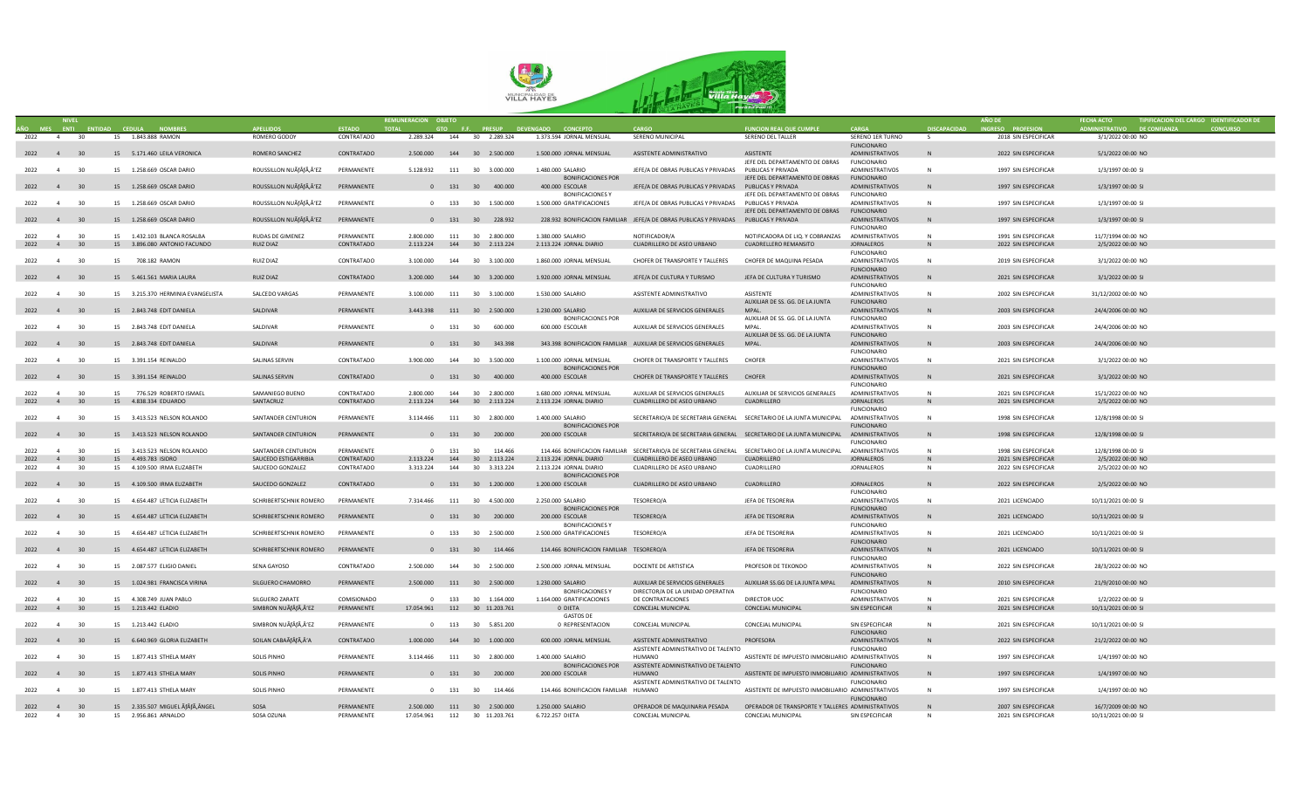

|                        |                |                 |    |                                                          |                                   |                          | REMUNERACION OBJETO |     |                                                 |                                                |                                                                                                   |                                                                         |                                              |                     |                                              |                                           | TIPIFICACION DEL CARGO IDENTIFICADOR DE |  |
|------------------------|----------------|-----------------|----|----------------------------------------------------------|-----------------------------------|--------------------------|---------------------|-----|-------------------------------------------------|------------------------------------------------|---------------------------------------------------------------------------------------------------|-------------------------------------------------------------------------|----------------------------------------------|---------------------|----------------------------------------------|-------------------------------------------|-----------------------------------------|--|
|                        | MES ENTI       | <b>ENTIDAD</b>  |    |                                                          |                                   | <b>ESTADO</b>            |                     |     | <b>PRESUP</b>                                   |                                                |                                                                                                   | <b>FUNCION REAL QUE CUMPLE</b>                                          | CARGA                                        | <b>DISCAPACIDAD</b> | <b>ESO PROFESIOI</b>                         | <b>ISTRATIVO DE CONFI</b>                 |                                         |  |
| 2022                   | $\sim$ 4       | 30              |    | 15 1.843.888 RAMON                                       | ROMERO GODOY                      | CONTRATADO               | 2.289.324           |     | 144 30 2.289.324                                | 1.373.594 JORNAL MENSUAL                       | SERENO MUNICIPAL                                                                                  | SERENO DEL TALLER                                                       | SERENO 1ER TURNO<br><b>FUNCIONARIO</b>       | -S                  | 2018 SIN ESPECIFICAR                         | 3/1/2022 00:00 NO                         |                                         |  |
| 2022 4 30              |                |                 |    | 15 5.171.460 LEILA VERONICA                              | ROMERO SANCHEZ                    | CONTRATADO               |                     |     | 2,500,000 144 30 2,500,000                      | 1.500.000 JORNAL MENSUAL                       | ASISTENTE ADMINISTRATIVO                                                                          | ASISTENTE<br>JEFE DEL DEPARTAMENTO DE OBRAS                             | <b>ADMINISTRATIVOS</b><br><b>FUNCIONARIO</b> |                     | 2022 SIN ESPECIFICAR                         | 5/1/2022 00:00 NO                         |                                         |  |
| 2022 4 30              |                |                 |    | 15 1.258.669 OSCAR DARIO                                 | ROUSSILLON NUÃfÂfÃ,Â'EZ           | PERMANENTE               |                     |     | 5.128.932 111 30 3.000.000                      | 1.480.000 SALARIO                              | JEFE/A DE OBRAS PUBLICAS Y PRIVADAS PUBLICAS Y PRIVADA                                            |                                                                         | <b>ADMINISTRATIVOS</b>                       | N                   | 1997 SIN ESPECIFICAR                         | 1/3/1997 00:00 SI                         |                                         |  |
|                        |                |                 |    |                                                          |                                   |                          |                     |     |                                                 | <b>BONIFICACIONES POR</b>                      |                                                                                                   | JEFE DEL DEPARTAMENTO DE OBRAS                                          | <b>FUNCIONARIO</b>                           | <b>N</b>            |                                              |                                           |                                         |  |
| 2022 4 30              |                |                 |    | 15 1.258.669 OSCAR DARIO                                 | ROUSSILLON NUÃfÂfÃ,Â'EZ           | PERMANENTE               |                     |     | 0 131 30 400.000                                | 400.000 ESCOLAR<br><b>BONIFICACIONESY</b>      | JEFE/A DE OBRAS PUBLICAS Y PRIVADAS PUBLICAS Y PRIVADA                                            | JEFE DEL DEPARTAMENTO DE OBRAS                                          | ADMINISTRATIVOS<br><b>FUNCIONARIO</b>        |                     | 1997 SIN ESPECIFICAR                         | 1/3/1997 00:00 SI                         |                                         |  |
| 2022 4                 |                | 30              |    | 15  1.258.669  OSCAR DARIO                               | ROUSSILLON NUÃfÂfÃ,Â'EZ           | PERMANENTE               |                     |     | 0 133 30 1.500.000                              | 1.500.000 GRATIFICACIONES                      | JEFE/A DE OBRAS PUBLICAS Y PRIVADAS PUBLICAS Y PRIVADA                                            | JEFE DEL DEPARTAMENTO DE OBRAS                                          | ADMINISTRATIVOS<br><b>FUNCIONARIO</b>        | N                   | 1997 SIN ESPECIFICAR                         | 1/3/1997 00:00 SI                         |                                         |  |
| 2022 4 30              |                |                 |    | 15  1.258.669  OSCAR DARIO                               | ROUSSILLON NUÃÃ,'EZ               | PERMANENTE               |                     |     | 0 131 30 228.932                                |                                                | 228.932 BONIFICACION FAMILIAR JEFE/A DE OBRAS PUBLICAS Y PRIVADAS PUBLICAS Y PRIVADA              |                                                                         | <b>ADMINISTRATIVOS</b>                       | N                   | 1997 SIN ESPECIFICAR                         | 1/3/1997 00:00 SI                         |                                         |  |
| 2022                   | $\overline{4}$ | 30              |    | 15 1.432.103 BLANCA ROSALBA                              | RUDAS DE GIMENEZ                  | PERMANENTE               | 2,800,000           |     | 111 30 2.800.000                                | 1.380.000 SALARIO                              | NOTIFICADOR/A                                                                                     | NOTIFICADORA DE LIQ. Y COBRANZAS ADMINISTRATIVOS                        | <b>FUNCIONARIO</b>                           | N                   | 1991 SIN ESPECIFICAR                         | 11/7/1994 00:00 NO                        |                                         |  |
| 2022 4                 |                | 30 <sup>2</sup> |    | 15 3.896.080 ANTONIO FACUNDO                             | RUIZ DIAZ                         | CONTRATADO               | 2.113.224           |     | 144 30 2.113.224                                | 2.113.224 JORNAL DIARIO                        | CUADRILLERO DE ASEO URBANO                                                                        | CUADRELLERO REMANSITO                                                   | JORNALEROS                                   | <b>N</b>            | 2022 SIN ESPECIFICAR                         | 2/5/2022 00:00 NO                         |                                         |  |
| 2022 4                 |                | 30              | 15 | 708.182 RAMON                                            | RUIZ DIAZ                         | CONTRATADO               | 3.100.000           |     | 144 30 3.100.000                                | 1.860.000 JORNAL MENSUAL                       | CHOFER DE TRANSPORTE Y TALLERES                                                                   | CHOFER DE MAQUINA PESADA                                                | <b>FUNCIONARIO</b><br><b>ADMINISTRATIVOS</b> | N                   | 2019 SIN ESPECIFICAR                         | 3/1/2022 00:00 NO                         |                                         |  |
|                        |                |                 |    |                                                          |                                   |                          |                     |     |                                                 |                                                |                                                                                                   |                                                                         | <b>FUNCIONARIO</b>                           |                     |                                              |                                           |                                         |  |
| 2022 4 30              |                |                 |    | 15 5.461.561 MARIA LAURA                                 | RUIZ DIAZ                         | CONTRATADO               | 3.200.000           |     | 144 30 3.200.000                                | 1.920.000 JORNAL MENSUAL                       | JEFE/A DE CULTURA Y TURISMO                                                                       | JEFA DE CULTURA Y TURISMO                                               | ADMINISTRATIVOS<br><b>FUNCIONARIO</b>        | <b>N</b>            | 2021 SIN ESPECIFICAR                         | 3/1/2022 00:00 SI                         |                                         |  |
| 2022 4                 |                | 30              |    | 15 3.215.370 HERMINIA EVANGELISTA                        | SALCEDO VARGAS                    | PERMANENTE               | 3.100.000           |     | 111 30 3.100.000                                | 1.530.000 SALARIO                              | ASISTENTE ADMINISTRATIVO                                                                          | <b>ASISTENTE</b>                                                        | ADMINISTRATIVOS                              | N                   | 2002 SIN ESPECIFICAR                         | 31/12/2002 00:00 NO                       |                                         |  |
| 2022 4                 |                | 30              |    | 15 2.843.748 EDIT DANIELA                                | SALDIVAR                          | PERMANENTE               |                     |     | 3.443.398 111 30 2.500.000                      | 1.230.000 SALARIO                              | AUXILIAR DE SERVICIOS GENERALES                                                                   | AUXILIAR DE SS. GG. DE LA JUNTA<br>MPAL.                                | <b>FUNCIONARIO</b><br><b>ADMINISTRATIVOS</b> |                     | 2003 SIN ESPECIFICAR                         | 24/4/2006 00:00 NO                        |                                         |  |
| 2022<br>$\overline{4}$ |                | 30              |    | 15 2.843.748 EDIT DANIELA                                | <b>SAI DIVAR</b>                  | PERMANENTE               |                     |     | 0 131 30 600.000                                | <b>BONIFICACIONES POR</b><br>600.000 ESCOLAR   | AUXILIAR DE SERVICIOS GENERALES                                                                   | AUXILIAR DE SS. GG. DE LA JUNTA<br>MPAI.                                | <b>FUNCIONARIO</b><br><b>ADMINISTRATIVOS</b> | N                   | 2003 SIN ESPECIFICAR                         | 24/4/2006 00:00 NO                        |                                         |  |
|                        |                |                 |    |                                                          |                                   |                          |                     |     |                                                 |                                                |                                                                                                   | AUXILIAR DE SS. GG. DE LA JUNTA                                         | <b>FUNCIONARIO</b>                           |                     |                                              |                                           |                                         |  |
| 2022 4 30              |                |                 |    | 15 2.843.748 EDIT DANIELA                                | SALDIVAR                          | PERMANENTE               |                     |     | 0 131 30 343.398                                |                                                | 343.398 BONIFICACION FAMILIAR AUXILIAR DE SERVICIOS GENERALES                                     | MPAI.                                                                   | ADMINISTRATIVOS<br><b>FUNCIONARIO</b>        | <b>N</b>            | 2003 SIN ESPECIFICAR                         | 24/4/2006 00:00 NO                        |                                         |  |
| 2022 4                 |                | 30              |    | 15 3.391.154 REINALDO                                    | SALINAS SERVIN                    | CONTRATADO               | 3.900.000           | 144 | 30 3.500.000                                    | 1.100.000 JORNAL MENSUAL                       | CHOFER DE TRANSPORTE Y TALLERES                                                                   | CHOFFR                                                                  | ADMINISTRATIVOS                              | N                   | 2021 SIN ESPECIFICAR                         | 3/1/2022 00:00 NO                         |                                         |  |
| 2022 4 30              |                |                 |    | 15 3.391.154 REINALDO                                    | SALINAS SERVIN                    | CONTRATADO               |                     |     | 0 131 30 400.000                                | <b>BONIFICACIONES POR</b><br>400.000 ESCOLAR   | CHOFER DE TRANSPORTE Y TALLERES                                                                   | <b>CHOFER</b>                                                           | <b>FUNCIONARIO</b><br>ADMINISTRATIVOS        | N                   | 2021 SIN ESPECIFICAR                         | 3/1/2022 00:00 NO                         |                                         |  |
|                        |                |                 |    |                                                          |                                   |                          |                     |     |                                                 |                                                |                                                                                                   |                                                                         | <b>FUNCIONARIO</b>                           |                     |                                              |                                           |                                         |  |
| 2022                   | $\overline{a}$ | 30              |    | 15 776.529 ROBERTO ISMAEL                                | SAMANIEGO BUENO                   | CONTRATADO               |                     |     | 2.800.000 144 30 2.800.000                      | 1.680.000 JORNAL MENSUAL                       | AUXILIAR DE SERVICIOS GENERALES                                                                   | AUXILIAR DE SERVICIOS GENERALES                                         | ADMINISTRATIVOS                              | <b>N</b>            | 2021 SIN ESPECIFICAR                         | 15/1/2022 00:00 NO                        |                                         |  |
| 2022 4 30              |                |                 |    | 15 4.838.334 EDUARDO                                     | SANTACRUZ                         | CONTRATADO               |                     |     | 2.113.224  144  30  2.113.224                   | 2.113.224 JORNAL DIARIO                        | CUADRILLERO DE ASEO URBANO                                                                        | CUADRILLERO                                                             | <b>JORNALEROS</b>                            |                     | 2021 SIN ESPECIFICAR                         | 2/5/2022 00:00 NO                         |                                         |  |
| 2022 4                 |                | 30              |    | 15 3.413.523 NELSON ROLANDO                              | SANTANDER CENTURION               | PERMANENTE               | 3.114.466           |     | 111 30 2.800.000                                | 1.400.000 SALARIO                              | SECRETARIO/A DE SECRETARIA GENERAL SECRETARIO DE LA JUNTA MUNICIPAL ADMINISTRATIVOS               |                                                                         | <b>FUNCIONARIO</b>                           | N                   | 1998 SIN ESPECIFICAR                         | 12/8/1998 00:00 SI                        |                                         |  |
|                        |                |                 |    |                                                          |                                   |                          |                     |     |                                                 | <b>BONIFICACIONES POR</b>                      |                                                                                                   |                                                                         | <b>FUNCIONARIO</b>                           |                     |                                              |                                           |                                         |  |
| 2022 4 30              |                |                 |    | 15 3.413.523 NELSON ROLANDO                              | SANTANDER CENTURION               | PERMANENTE               |                     |     | 0 131 30 200.000                                | 200.000 ESCOLAR                                | SECRETARIO/A DE SECRETARIA GENERAL SECRETARIO DE LA JUNTA MUNICIPAL ADMINISTRATIVOS               |                                                                         | <b>FUNCIONARIO</b>                           | <b>N</b>            | 1998 SIN ESPECIFICAR                         | 12/8/1998 00:00 SI                        |                                         |  |
| 2022                   | $\overline{a}$ | 30              |    | 15 3.413.523 NELSON ROLANDO                              | SANTANDER CENTURION               | PERMANENTE               |                     |     | 0 131 30 114.466                                |                                                | 114.466 BONIFICACION FAMILIAR SECRETARIO/A DE SECRETARIA GENERAL SECRETARIO DE LA JUNTA MUNICIPAL |                                                                         | ADMINISTRATIVOS                              | <b>NL</b>           | 1998 SIN ESPECIFICAR                         | 12/8/1998 00:00 SL                        |                                         |  |
|                        | $\overline{4}$ | 30              | 15 | 4.493.783 ISIDRO                                         | SAUCEDO ESTIGARRIBIA              | CONTRATADO               | 2.113.224           | 144 | 30 2.113.224                                    | 2.113.224 JORNAL DIARIO                        | CUADRILLERO DE ASEO URBANO                                                                        | CUADRILLERO                                                             | <b>JORNALEROS</b>                            | N                   | 2021 SIN ESPECIFICAR                         | 2/5/2022 00:00 NO                         |                                         |  |
| 2022                   | $\overline{4}$ | 30              |    | 15 4.109.500 IRMA ELIZABETH                              | SAUCEDO GONZALEZ                  | CONTRATADO               | 3.313.224           |     | 144 30 3.313.224                                | 2.113.224 JORNAL DIARIO                        | CUADRILLERO DE ASEO URBANO                                                                        | CUADRILLERO                                                             | <b>JORNALEROS</b>                            | N                   | 2022 SIN ESPECIFICAR                         | 2/5/2022 00:00 NO                         |                                         |  |
|                        |                |                 |    |                                                          |                                   |                          |                     |     |                                                 | <b>BONIFICACIONES POR</b>                      |                                                                                                   |                                                                         |                                              |                     |                                              |                                           |                                         |  |
| 2022 4 30              |                |                 |    | 15 4.109.500 IRMA ELIZABETH                              | SAUCEDO GONZALEZ                  | CONTRATADO               |                     |     | 0 131 30 1.200.000                              | 1.200.000 ESCOLAR                              | CUADRILLERO DE ASEO URBANO                                                                        | CUADRILLERO                                                             | JORNALEROS                                   |                     | 2022 SIN ESPECIFICAR                         | 2/5/2022 00:00 NO                         |                                         |  |
| 2022 4                 |                | 30              |    | 15 4.654.487 LETICIA ELIZABETH                           | SCHRIBERTSCHNIK ROMERO            | PERMANENTE               | 7.314.466           |     | 111 30 4.500.000                                | 2.250.000 SALARIO                              | TESORERO/A                                                                                        | JEFA DE TESORERIA                                                       | <b>FUNCIONARIO</b><br>ADMINISTRATIVOS        | N                   | 2021 LICENCIADO                              | 10/11/2021 00:00 SI                       |                                         |  |
|                        |                |                 |    |                                                          |                                   |                          |                     |     |                                                 | <b>BONIFICACIONES POR</b>                      |                                                                                                   |                                                                         | <b>FUNCIONARIO</b>                           |                     |                                              |                                           |                                         |  |
| 2022 4 30              |                |                 |    | 15 4.654.487 LETICIA ELIZABETH                           | SCHRIBERTSCHNIK ROMERO PERMANENTE |                          |                     |     | 0 131 30 200.000                                | 200.000 ESCOLAR<br><b>BONIFICACIONESY</b>      | TESORERO/A                                                                                        | JEFA DE TESORERIA                                                       | <b>ADMINISTRATIVOS</b><br><b>FUNCIONARIO</b> |                     | 2021 LICENCIADO                              | 10/11/2021 00:00 SI                       |                                         |  |
| 2022 4                 |                | 30              |    | 15 4.654.487 LETICIA ELIZABETH                           | SCHRIBERTSCHNIK ROMERO            | PERMANENTE               |                     |     | 0 133 30 2.500.000                              | 2.500.000 GRATIFICACIONES                      | TESORERO/A                                                                                        | JEFA DE TESORERIA                                                       | ADMINISTRATIVOS                              | N                   | 2021 LICENCIADO                              | 10/11/2021 00:00 SI                       |                                         |  |
| 2022 4 30              |                |                 |    | 15 4.654.487 LETICIA ELIZABETH                           | SCHRIBERTSCHNIK ROMERO PERMANENTE |                          |                     |     | 0 131 30 114.466                                | 114.466 BONIFICACION FAMILIAR TESORERO/A       |                                                                                                   | JEFA DE TESORERIA                                                       | <b>FUNCIONARIO</b><br>ADMINISTRATIVOS        | <b>N</b>            | 2021 LICENCIADO                              | 10/11/2021 00:00 SI                       |                                         |  |
| 2022 4                 |                | 30              |    | 15 2.087.577 ELIGIO DANIEL                               | SENA GAYOSO                       | CONTRATADO               |                     |     | 2.500.000 144 30 2.500.000                      | 2.500.000 JORNAL MENSUAL                       | DOCENTE DE ARTISTICA                                                                              | PROFESOR DE TEKONDO                                                     | <b>FUNCIONARIO</b><br>ADMINISTRATIVOS        | <b>N</b>            | 2022 SIN ESPECIFICAR                         | 28/3/2022 00:00 NO                        |                                         |  |
|                        |                |                 |    |                                                          |                                   |                          |                     |     |                                                 |                                                |                                                                                                   |                                                                         | <b>FUNCIONARIO</b>                           |                     |                                              |                                           |                                         |  |
| 2022 4                 |                | 30              |    | 15 1.024.981 FRANCISCA VIRINA                            | SILGUERO CHAMORRO                 | PERMANENTE               |                     |     | 2.500.000 111 30 2.500.000                      | 1.230.000 SALARIO<br><b>BONIFICACIONES Y</b>   | AUXILIAR DE SERVICIOS GENERALES<br>DIRECTOR/A DE LA UNIDAD OPERATIVA                              | AUXILIAR SS.GG DE LA JUNTA MPAL                                         | ADMINISTRATIVOS<br><b>FUNCIONARIO</b>        |                     | 2010 SIN ESPECIFICAR                         | 21/9/2010 00:00 NO                        |                                         |  |
| 2022                   | 4              | 30              |    | 15 4.308.749 JUAN PABLO                                  | SILGUERO ZARATE                   | COMISIONADO              |                     |     | 0 133 30 1.164.000                              | 1.164.000 GRATIFICACIONES                      | DE CONTRATACIONES                                                                                 | DIRECTOR UOC                                                            | ADMINISTRATIVOS                              | N                   | 2021 SIN ESPECIFICAR                         | 1/2/2022 00:00 SI                         |                                         |  |
| 2022 4 30              |                |                 |    | 15 1.213.442 ELADIO                                      | SIMBRON NUÃÃ,Â'EZ                 | PERMANENTE               |                     |     | 17.054.961  112  30  11.203.761                 | 0 DIETA                                        | CONCEJAL MUNICIPAL                                                                                | CONCEJAL MUNICIPAL                                                      | SIN ESPECIFICAR                              | N                   | 2021 SIN ESPECIFICAR                         | 10/11/2021 00:00 SI                       |                                         |  |
|                        |                |                 |    |                                                          |                                   |                          |                     |     |                                                 | <b>GASTOS DE</b>                               |                                                                                                   |                                                                         |                                              |                     |                                              |                                           |                                         |  |
| 2022<br>$\overline{4}$ |                | 30              |    | 15 1.213.442 ELADIO                                      | SIMBRON NUÃfÂfÃ,Â'EZ              | PERMANENTE               |                     |     | 0 113 30 5.851.200                              | 0 REPRESENTACION                               | CONCEIAL MUNICIPAL                                                                                | CONCEIAL MUNICIPAL                                                      | SIN ESPECIFICAR                              | N                   | 2021 SIN ESPECIFICAR                         | 10/11/2021 00:00 SI                       |                                         |  |
| 2022 4                 |                | 30              |    | 15 6.640.969 GLORIA ELIZABETH                            | SOILAN CABAÃÃ,Â'A                 | CONTRATADO               |                     |     | 1.000.000 144 30 1.000.000                      | 600.000 JORNAL MENSUAL                         | ASISTENTE ADMINISTRATIVO                                                                          | PROFESORA                                                               | <b>FUNCIONARIO</b><br>ADMINISTRATIVOS        | N                   | 2022 SIN ESPECIFICAR                         | 21/2/2022 00:00 NO                        |                                         |  |
| $\overline{4}$         |                | 30              |    |                                                          |                                   | PERMANENTE               | 3.114.466           |     |                                                 |                                                | ASISTENTE ADMINISTRATIVO DE TALENTO<br>HUMANO                                                     |                                                                         | <b>FUNCIONARIO</b>                           | N                   |                                              | 1/4/1997 00:00 NO                         |                                         |  |
| 2022                   |                |                 |    | 15 1.877.413 STHELA MARY                                 | <b>SOLIS PINHO</b>                |                          |                     |     | 111 30 2.800.000                                | 1.400.000 SALARIO<br><b>BONIFICACIONES POR</b> | ASISTENTE ADMINISTRATIVO DE TALENTO                                                               | ASISTENTE DE IMPUESTO INMOBILIARIO ADMINISTRATIVOS                      | <b>FUNCIONARIO</b>                           |                     | 1997 SIN ESPECIFICAR                         |                                           |                                         |  |
| 2022 4                 |                | 30              |    | 15 1.877.413 STHELA MARY                                 | <b>SOLIS PINHO</b>                | PERMANENTE               |                     |     | 0 131 30 200.000                                | 200.000 ESCOLAR                                | HUMANO<br>ASISTENTE ADMINISTRATIVO DE TALENTO                                                     | ASISTENTE DE IMPUESTO INMOBILIARIO ADMINISTRATIVOS                      | <b>FUNCIONARIO</b>                           | N                   | 1997 SIN ESPECIFICAR                         | 1/4/1997 00:00 NO                         |                                         |  |
| 2022                   | 4              | 30              |    | 15 1.877.413 STHELA MARY                                 | <b>SOLIS PINHO</b>                | PERMANENTE               |                     |     | 0 131 30 114.466                                | 114.466 BONIFICACION FAMILIAR HUMANO           |                                                                                                   | ASISTENTE DE IMPUESTO INMOBILIARIO ADMINISTRATIVOS                      |                                              | N                   | 1997 SIN ESPECIFICAR                         | 1/4/1997 00:00 NO                         |                                         |  |
|                        |                |                 |    |                                                          |                                   |                          |                     |     |                                                 |                                                |                                                                                                   |                                                                         | <b>FUNCIONARIO</b>                           |                     |                                              |                                           |                                         |  |
| $2022 \t 4$<br>2022 4  |                | 30<br>30        |    | 15 2.335.507 MIGUEL ÃfÂfÃ, ÂNGEL<br>15 2.956.861 ARNALDO | SOSA<br>SOSA OZUNA                | PERMANENTE<br>PERMANENTE | 17.054.961          |     | 2.500.000 111 30 2.500.000<br>112 30 11.203.761 | 1.250.000 SALARIO<br>6.722.257 DIETA           | OPERADOR DE MAQUINARIA PESADA<br>CONCEJAL MUNICIPAL                                               | OPERADOR DE TRANSPORTE Y TALLERES ADMINISTRATIVOS<br>CONCEJAL MUNICIPAL | SIN ESPECIFICAR                              | N                   | 2007 SIN ESPECIFICAR<br>2021 SIN ESPECIFICAR | 16/7/2009 00:00 NO<br>10/11/2021 00:00 SI |                                         |  |
|                        |                |                 |    |                                                          |                                   |                          |                     |     |                                                 |                                                |                                                                                                   |                                                                         |                                              |                     |                                              |                                           |                                         |  |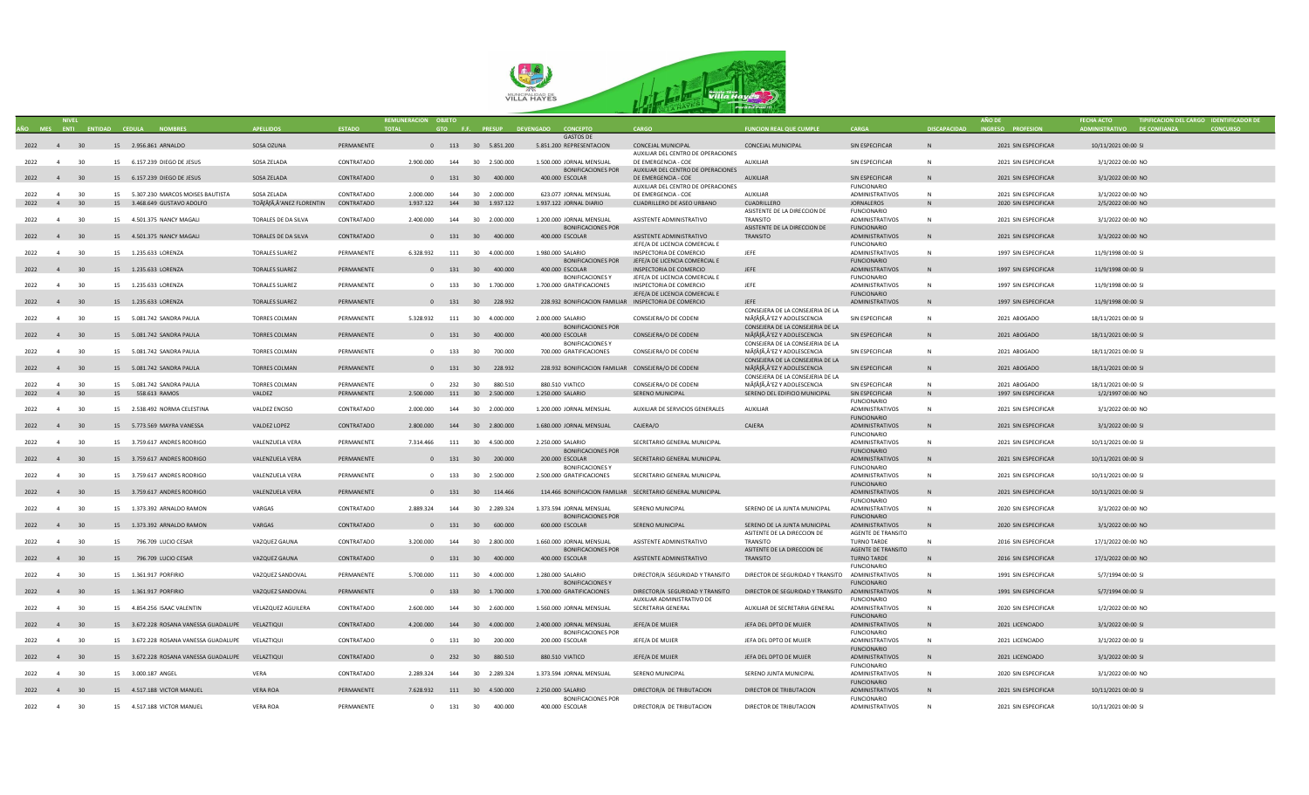

|           |                |    |                                                  |                          |               | REMUNERACION OBJETO           |     |            |                               |                                                       |                                                                                  |                                                  |                        |                     |                      |                             | TIPIFICACION DEL CARGO IDENTIFICADOR DE |
|-----------|----------------|----|--------------------------------------------------|--------------------------|---------------|-------------------------------|-----|------------|-------------------------------|-------------------------------------------------------|----------------------------------------------------------------------------------|--------------------------------------------------|------------------------|---------------------|----------------------|-----------------------------|-----------------------------------------|
|           |                |    | AÑO MES ENTI ENTIDAD CEDULA NOMBRES              | <b>APELLIDOS</b>         | <b>ESTADO</b> | <b>TOTAL</b>                  |     |            |                               | GTO F.F. PRESUP DEVENGADO CONCEPTO                    | CARGO                                                                            | <b>FUNCION REAL QUE CUMPLE</b>                   | <b>CARGA</b>           | <b>DISCAPACIDAD</b> | INGRESO PROFESION    | ADMINISTRATIVO DE CONFIANZA | <b>CONCURSO</b>                         |
|           |                |    |                                                  |                          |               |                               |     |            |                               | <b>GASTOS DE</b>                                      |                                                                                  |                                                  |                        |                     |                      |                             |                                         |
| 2022 4 30 |                |    | 15 2.956.861 ARNALDO                             | SOSA OZUNA               | PERMANENTE    |                               |     |            |                               | 0 113 30 5.851.200 5.851.200 REPRESENTACION           | CONCEJAL MUNICIPAL                                                               | CONCEJAL MUNICIPAL                               | SIN ESPECIFICAR        | $\mathsf{N}$        | 2021 SIN ESPECIFICAR | 10/11/2021 00:00 SI         |                                         |
|           |                |    |                                                  |                          |               |                               |     |            |                               |                                                       | AUXILIAR DEL CENTRO DE OPERACIONES                                               |                                                  |                        |                     |                      |                             |                                         |
| 2022 4    |                | 30 | 15 6.157.239 DIEGO DE JESUS                      | SOSA ZELADA              | CONTRATADO    | 2.900.000                     |     |            | 144 30 2.500,000              | 1.500.000 JORNAL MENSUAL                              | DE EMERGENCIA - COE                                                              | AUXILIAR                                         | SIN ESPECIFICAR        | N                   | 2021 SIN ESPECIFICAR | 3/1/2022 00:00 NO           |                                         |
|           |                |    |                                                  |                          |               |                               |     |            |                               | <b>BONIFICACIONES POR</b>                             | AUXILIAR DEL CENTRO DE OPERACIONES                                               |                                                  |                        |                     |                      |                             |                                         |
|           | 2022 4 30      |    | 15 6.157.239 DIEGO DE JESUS                      | SOSA ZELADA              | CONTRATADO    |                               |     |            | 131 30 400.000                | 400.000 ESCOLAR                                       | DE EMERGENCIA - COE                                                              | <b>AUXILIAR</b>                                  | SIN ESPECIFICAR        | N                   | 2021 SIN ESPECIFICAR | 3/1/2022 00:00 NO           |                                         |
|           |                |    |                                                  |                          |               |                               |     |            |                               |                                                       | AUXILIAR DEL CENTRO DE OPERACIONES                                               |                                                  | <b>FUNCIONARIO</b>     |                     |                      |                             |                                         |
| 2022      | $\overline{4}$ | 30 | 15 5.307.230 MARCOS MOISES BAUTISTA              | SOSA ZELADA              | CONTRATADO    | 2.000.000                     | 144 |            | 30 2.000.000                  | 623.077 JORNAL MENSUAL                                | DE EMERGENCIA - COE                                                              | AUXILIAR                                         | ADMINISTRATIVOS        | $\mathbb{N}$        | 2021 SIN ESPECIFICAR | 3/1/2022 00:00 NO           |                                         |
|           | 2022 4 30      |    | 15 3.468.649 GUSTAVO ADOLFO                      | TOÃfÂfÃ,Â'ANEZ FLORENTIN | CONTRATADO    | 1.937.122                     |     |            | 144 30 1.937.122              | 1.937.122 JORNAL DIARIO                               | CUADRILLERO DE ASEO URBANO                                                       | CUADRILLERO                                      | <b>JORNALEROS</b>      | N                   | 2020 SIN ESPECIFICAR | 2/5/2022 00:00 NO           |                                         |
|           |                |    |                                                  |                          |               |                               |     |            |                               |                                                       |                                                                                  | ASISTENTE DE LA DIRECCION DE                     | <b>FUNCIONARIO</b>     |                     |                      |                             |                                         |
| 2022      | 4              | 30 | 15 4.501.375 NANCY MAGALI                        | TORALES DE DA SILVA      | CONTRATADO    | 2,400,000                     |     |            | 144 30 2.000.000              | 1.200.000 JORNAL MENSUAL                              | ASISTENTE ADMINISTRATIVO                                                         | <b>TRANSITO</b>                                  | ADMINISTRATIVOS        | N                   | 2021 SIN ESPECIFICAR | 3/1/2022 00:00 NO           |                                         |
|           |                |    |                                                  |                          |               |                               |     |            |                               | <b>BONIFICACIONES POR</b>                             |                                                                                  | ASISTENTE DE LA DIRECCION DE                     | <b>FUNCIONARIO</b>     |                     |                      |                             |                                         |
| 2022 4    |                | 30 | 15 4.501.375 NANCY MAGALI                        | TORALES DE DA SILVA      | CONTRATADO    |                               |     |            | 0 131 30 400.000              | 400.000 ESCOLAR                                       | ASISTENTE ADMINISTRATIVO                                                         | TRANSITO                                         | <b>ADMINISTRATIVOS</b> | N                   | 2021 SIN ESPECIFICAR | 3/1/2022 00:00 NO           |                                         |
|           |                |    |                                                  |                          |               |                               |     |            |                               |                                                       | JEFE/A DE LICENCIA COMERCIAL E                                                   |                                                  | <b>FUNCIONARIO</b>     |                     |                      |                             |                                         |
| 2022      | $\overline{4}$ | 30 | 15 1.235.633 LORENZA                             | <b>TORALES SUAREZ</b>    | PERMANENTE    | 6.328.932                     |     |            | 111 30 4.000.000              | 1.980.000 SALARIO                                     | INSPECTORIA DE COMERCIO                                                          | JEFE                                             | ADMINISTRATIVOS        | N                   | 1997 SIN ESPECIFICAR | 11/9/1998 00:00 SI          |                                         |
|           |                |    |                                                  |                          |               |                               |     |            |                               | <b>BONIFICACIONES POR</b>                             | JEFE/A DE LICENCIA COMERCIAL E                                                   |                                                  | <b>FUNCIONARIO</b>     |                     |                      |                             |                                         |
|           | 2022 4 30      |    | 15 1.235.633 LORENZA                             | <b>TORALES SUAREZ</b>    | PERMANENTE    |                               |     |            | 0 131 30 400.000              | 400.000 ESCOLAR                                       | INSPECTORIA DE COMERCIO                                                          | JEFE                                             | ADMINISTRATIVOS        | N                   | 1997 SIN ESPECIFICAR | 11/9/1998 00:00 SI          |                                         |
|           |                |    |                                                  |                          |               |                               |     |            |                               | <b>BONIFICACIONES Y</b>                               | JEFE/A DE LICENCIA COMERCIAL E                                                   |                                                  | <b>FUNCIONARIO</b>     |                     |                      |                             |                                         |
| 2022      | $\overline{a}$ | 30 | 15 1.235.633 LORENZA                             | <b>TORALES SUAREZ</b>    | PERMANENTE    | $\Omega$                      | 133 |            | 30 1.700.000                  | 1.700.000 GRATIFICACIONES                             | INSPECTORIA DE COMERCIO                                                          | JEFE                                             | ADMINISTRATIVOS        | N                   | 1997 SIN ESPECIFICAR | 11/9/1998 00:00 SI          |                                         |
|           |                |    |                                                  |                          |               |                               |     |            |                               |                                                       | JEFE/A DE LICENCIA COMERCIAL E                                                   |                                                  | <b>FUNCIONARIO</b>     |                     |                      |                             |                                         |
|           | 2022 4 30      |    | 15 1.235.633 LORENZA                             | <b>TORALES SUAREZ</b>    | PERMANENTE    |                               |     |            | 0 131 30 228.932              | 228.932 BONIFICACION FAMILIAR INSPECTORIA DE COMERCIO |                                                                                  | <b>JEFE</b>                                      | ADMINISTRATIVOS        | N                   | 1997 SIN ESPECIFICAR | 11/9/1998 00:00 SI          |                                         |
|           |                |    |                                                  |                          |               |                               |     |            |                               |                                                       |                                                                                  | CONSEJERA DE LA CONSEJERIA DE LA                 |                        |                     |                      |                             |                                         |
| 2022      | $\overline{4}$ | 30 | 15 5.081.742 SANDRA PAULA                        | <b>TORRES COLMAN</b>     | PERMANENTE    | 5.328.932  111  30  4.000.000 |     |            |                               | 2.000.000 SALARIO                                     | CONSEJERA/O DE CODENI                                                            | NIÃÃ,Â'EZ Y ADOLESCENCIA                         | SIN ESPECIFICAR        | N                   | 2021 ABOGADO         | 18/11/2021 00:00 SI         |                                         |
|           |                |    |                                                  |                          |               |                               |     |            |                               | <b>BONIFICACIONES POR</b>                             |                                                                                  | CONSEJERA DE LA CONSEJERIA DE LA                 |                        |                     |                      |                             |                                         |
| 2022 4    |                | 30 | 15 5.081.742 SANDRA PAULA                        | <b>TORRES COLMAN</b>     | PERMANENTE    |                               |     |            | 0 131 30 400.000              | 400.000 ESCOLAR                                       | CONSEJERA/O DE CODENI                                                            | NIÃfÂfÃ,Â'EZ Y ADOLESCENCIA                      | SIN ESPECIFICAR        | N                   | 2021 ABOGADO         | 18/11/2021 00:00 SI         |                                         |
|           |                |    |                                                  |                          |               |                               |     |            |                               | <b>BONIFICACIONESY</b>                                |                                                                                  | CONSEJERA DE LA CONSEJERIA DE LA                 |                        |                     |                      |                             |                                         |
| 2022      | $\overline{4}$ | 30 | 15 5.081.742 SANDRA PAULA                        | <b>TORRES COLMAN</b>     | PERMANENTE    |                               |     |            | 0 133 30 700.000              | 700.000 GRATIFICACIONES                               | CONSEJERA/O DE CODENI                                                            | NIÃfÂfÃ,Â'EZ Y ADOLESCENCIA                      | SIN ESPECIFICAR        | N                   | 2021 ABOGADO         | 18/11/2021 00:00 SI         |                                         |
|           |                |    |                                                  |                          |               |                               |     |            |                               |                                                       |                                                                                  | CONSEJERA DE LA CONSEJERIA DE LA                 |                        |                     |                      |                             |                                         |
|           | 2022 4 30      |    | 15 5.081.742 SANDRA PAULA                        | <b>TORRES COLMAN</b>     | PERMANENTE    |                               |     |            | 0 131 30 228.932              | 228.932 BONIFICACION FAMILIAR CONSEJERA/O DE CODENI   |                                                                                  | NIÃfÂfÃ,Â'EZ Y ADOLESCENCIA                      | SIN ESPECIFICAR        | N                   | 2021 ABOGADO         | 18/11/2021 00:00 SI         |                                         |
|           |                |    |                                                  |                          |               |                               |     |            |                               |                                                       |                                                                                  | CONSEJERA DE LA CONSEJERIA DE LA                 |                        |                     |                      |                             |                                         |
| 2022      | $\overline{a}$ | 30 | 15 5.081.742 SANDRA PAULA                        | <b>TORRES COLMAN</b>     | PERMANENTE    |                               |     | $0$ 232 30 | 880.510                       | 880.510 VIATICO                                       | CONSEJERA/O DE CODENI                                                            | NIÃfÂfÃ,Â'EZ Y ADOLESCENCIA                      | SIN ESPECIFICAR        | N                   | 2021 ABOGADO         | 18/11/2021 00:00 SI         |                                         |
|           | 2022 4 30      |    | 15 558.613 RAMOS                                 | VALDEZ                   | PERMANENTE    | 2.500.000 111 30 2.500.000    |     |            |                               | 1.250.000 SALARIO                                     | SERENO MUNICIPAL                                                                 | SERENO DEL EDIFICIO MUNICIPAL                    | SIN ESPECIFICAR        | N                   | 1997 SIN ESPECIFICAR | 1/2/1997 00:00 NO           |                                         |
|           |                |    |                                                  |                          |               |                               |     |            |                               |                                                       |                                                                                  |                                                  | <b>FUNCIONARIO</b>     |                     |                      |                             |                                         |
| 2022      | $\overline{4}$ | 30 | 15 2.538.492 NORMA CELESTINA                     | VALDEZ ENCISO            | CONTRATADO    | 2.000.000                     |     |            | 144 30 2.000.000              | 1.200.000 JORNAL MENSUAL                              | AUXILIAR DE SERVICIOS GENERALES                                                  | <b>AUXILIAR</b>                                  | ADMINISTRATIVOS        | N                   | 2021 SIN ESPECIFICAR | 3/1/2022 00:00 NO           |                                         |
|           |                |    |                                                  |                          |               |                               |     |            |                               |                                                       |                                                                                  |                                                  | <b>FUNCIONARIO</b>     |                     |                      |                             |                                         |
| 2022 4    |                | 30 | 15 5.773.569 MAYRA VANESSA                       | VALDEZ LOPEZ             | CONTRATADO    | 2.800.000                     |     |            | 144 30 2.800.000              | 1.680.000 JORNAL MENSUAL                              | CAJERA/O                                                                         | CAJERA                                           | ADMINISTRATIVOS        | N                   | 2021 SIN ESPECIFICAR | 3/1/2022 00:00 SI           |                                         |
|           |                |    |                                                  |                          |               |                               |     |            |                               |                                                       |                                                                                  |                                                  | <b>FUNCIONARIO</b>     |                     |                      |                             |                                         |
| 2022      | $\overline{4}$ | 30 | 15 3.759.617 ANDRES RODRIGO                      | VALENZUELA VERA          | PERMANENTE    | 7.314.466                     |     |            | 111 30 4.500.000              | 2.250.000 SALARIO                                     | SECRETARIO GENERAL MUNICIPAL                                                     |                                                  | ADMINISTRATIVOS        | $\mathbb N$         | 2021 SIN ESPECIFICAR | 10/11/2021 00:00 SI         |                                         |
|           |                |    |                                                  |                          |               |                               |     |            |                               | <b>BONIFICACIONES POR</b>                             |                                                                                  |                                                  | <b>FUNCIONARIO</b>     |                     |                      |                             |                                         |
|           | 2022 4 30      |    | 15 3.759.617 ANDRES RODRIGO                      | VALENZUELA VERA          | PERMANENTE    |                               |     |            | 0 131 30 200.000              | 200,000 ESCOLAR                                       | SECRETARIO GENERAL MUNICIPAL                                                     |                                                  | ADMINISTRATIVOS        | N <sub>N</sub>      | 2021 SIN ESPECIFICAR | 10/11/2021 00:00 SI         |                                         |
|           |                |    |                                                  |                          |               |                               |     |            |                               | <b>BONIFICACIONES Y</b>                               |                                                                                  |                                                  | <b>FUNCIONARIO</b>     |                     |                      |                             |                                         |
| 2022      | $\overline{a}$ | 30 | 15 3.759.617 ANDRES RODRIGO                      | VALENZUELA VERA          | PFRMANFNTF    |                               |     |            | 0 133 30 2.500.000            | 2.500.000 GRATIFICACIONES                             | SECRETARIO GENERAL MUNICIPAL                                                     |                                                  | ADMINISTRATIVOS        | N                   | 2021 SIN ESPECIFICAR | 10/11/2021 00:00 SI         |                                         |
|           |                |    |                                                  |                          |               |                               |     |            |                               |                                                       |                                                                                  |                                                  | <b>FUNCIONARIO</b>     |                     |                      |                             |                                         |
| 2022 4    |                | 30 | 15 3.759.617 ANDRES RODRIGO                      | VALENZUELA VERA          | PERMANENTE    |                               |     |            | 0 131 30 114.466              |                                                       | 114.466 BONIFICACION FAMILIAR SECRETARIO GENERAL MUNICIPAL                       |                                                  | ADMINISTRATIVOS        | N                   | 2021 SIN ESPECIFICAR | 10/11/2021 00:00 SI         |                                         |
|           |                |    |                                                  |                          |               |                               |     |            |                               |                                                       |                                                                                  |                                                  | <b>FUNCIONARIO</b>     |                     |                      |                             |                                         |
| 2022      | $\overline{4}$ | 30 | 15 1.373.392 ARNALDO RAMON                       | VARGAS                   | CONTRATADO    | 2.889.324                     | 144 |            | 30 2.289.324                  | 1.373.594 JORNAL MENSUAL                              | SERENO MUNICIPAL                                                                 | SERENO DE LA JUNTA MUNICIPAL                     | ADMINISTRATIVOS        | <b>N</b>            | 2020 SIN ESPECIFICAR | 3/1/2022 00:00 NO           |                                         |
|           |                |    |                                                  |                          |               |                               |     |            |                               | <b>BONIFICACIONES POR</b>                             |                                                                                  |                                                  | <b>FUNCIONARIO</b>     |                     |                      |                             |                                         |
|           | 2022 4 30      |    | 15 1.373.392 ARNALDO RAMON                       | VARGAS                   | CONTRATADO    |                               |     |            | 0 131 30 600.000              | 600.000 ESCOLAR                                       | SERENO MUNICIPAL                                                                 | SERENO DE LA JUNTA MUNICIPAL                     | ADMINISTRATIVOS        | N                   | 2020 SIN ESPECIFICAR | 3/1/2022 00:00 NO           |                                         |
|           |                |    |                                                  |                          |               |                               |     |            |                               |                                                       |                                                                                  | ASITENTE DE LA DIRECCION DE                      | AGENTE DE TRANSITO     |                     |                      |                             |                                         |
| 2022      | 4 <sup>1</sup> | 30 | 15 796.709 LUCIO CESAR                           | VAZQUEZ GAUNA            | CONTRATADO    | 3.200.000                     |     |            | 144 30 2.800.000              | 1.660.000 JORNAL MENSUAL                              | ASISTENTE ADMINISTRATIVO                                                         | TRANSITO                                         | <b>TURNO TARDE</b>     | N                   | 2016 SIN ESPECIFICAR | 17/1/2022 00:00 NO          |                                         |
|           |                |    |                                                  |                          |               |                               |     |            |                               | <b>BONIFICACIONES POR</b>                             |                                                                                  | ASITENTE DE LA DIRECCION DE                      | AGENTE DE TRANSITO     |                     |                      |                             |                                         |
|           | 2022 4 30      |    | 15 796.709 LUCIO CESAR                           | VAZQUEZ GAUNA            | CONTRATADO    |                               |     |            | 0 131 30 400.000              | 400.000 ESCOLAR                                       | ASISTENTE ADMINISTRATIVO                                                         | TRANSITO                                         | <b>TURNO TARDE</b>     | $\mathsf{N}$        | 2016 SIN ESPECIFICAR | 17/1/2022 00:00 NO          |                                         |
|           |                |    |                                                  |                          |               |                               |     |            |                               |                                                       |                                                                                  |                                                  | <b>FUNCIONARIO</b>     |                     |                      |                             |                                         |
| 2022 4    |                | 30 | 15  1.361.917  PORFIRIO                          | VAZQUEZ SANDOVAL         | PERMANENTE    | 5.700.000 111 30 4.000.000    |     |            |                               | 1.280.000 SALARIO                                     | DIRECTOR/A SEGURIDAD Y TRANSITO                                                  | DIRECTOR DE SEGURIDAD Y TRANSITO ADMINISTRATIVOS |                        | N                   | 1991 SIN ESPECIFICAR | 5/7/1994 00:00 SI           |                                         |
|           |                |    |                                                  |                          |               |                               |     |            |                               | <b>BONIFICACIONESY</b>                                |                                                                                  |                                                  | <b>FUNCIONARIO</b>     |                     |                      |                             |                                         |
| 2022 4    |                | 30 | 15  1.361.917  PORFIRIO                          | VAZQUEZ SANDOVAL         | PERMANENTE    |                               |     |            | 133 30 1.700.000              | 1.700.000 GRATIFICACIONES                             | DIRECTOR/A SEGURIDAD Y TRANSITO DIRECTOR DE SEGURIDAD Y TRANSITO ADMINISTRATIVOS |                                                  |                        | N                   | 1991 SIN ESPECIFICAR | 5/7/1994 00:00 SI           |                                         |
|           |                |    |                                                  |                          |               |                               |     |            |                               |                                                       | AUXILIAR ADMINISTRATIVO DE                                                       |                                                  | <b>FUNCIONARIO</b>     |                     |                      |                             |                                         |
| 2022      | $\overline{4}$ | 30 | 15 4.854.256 ISAAC VALENTIN                      | VELAZQUEZ AGUILERA       | CONTRATADO    | 2.600.000                     | 144 |            | 30 2.600.000                  | 1.560.000 JORNAL MENSUAL                              | SECRETARIA GENERAL                                                               | AUXILIAR DE SECRETARIA GENERAL                   | ADMINISTRATIVOS        | $\mathbb{N}$        | 2020 SIN ESPECIFICAR | 1/2/2022 00:00 NO           |                                         |
|           |                |    |                                                  |                          |               |                               |     |            |                               |                                                       |                                                                                  |                                                  | <b>FUNCIONARIO</b>     |                     |                      |                             |                                         |
|           | 2022 4 30      |    | 15 3.672.228 ROSANA VANESSA GUADALUPE            | VELAZTIQUI               | CONTRATADO    |                               |     |            | 4.200.000 144 30 4.000.000    | 2.400.000 JORNAL MENSUAL                              | JEFE/A DE MUJER                                                                  | JEFA DEL DPTO DE MUJER                           | <b>ADMINISTRATIVOS</b> | N                   | 2021 LICENCIADO      | 3/1/2022 00:00 SI           |                                         |
|           |                |    |                                                  |                          |               |                               |     |            |                               | <b>BONIFICACIONES POR</b>                             |                                                                                  |                                                  | <b>FUNCIONARIO</b>     |                     |                      |                             |                                         |
| 2022      | $\sim$ 4       | 30 | 15 3.672.228 ROSANA VANESSA GUADALUPE            | VELAZTIQUI               | CONTRATADO    |                               | 131 |            | 30 200.000                    | 200.000 ESCOLAR                                       | JEFE/A DE MUJER                                                                  | JEFA DEL DPTO DE MUJER                           | ADMINISTRATIVOS        | $\mathbb N$         | 2021 LICENCIADO      | 3/1/2022 00:00 SI           |                                         |
|           |                |    |                                                  |                          |               |                               |     |            |                               |                                                       |                                                                                  |                                                  | <b>FUNCIONARIO</b>     |                     |                      |                             |                                         |
|           | 2022 4 30      |    | 15 3.672.228 ROSANA VANESSA GUADALUPE VELAZTIQUI |                          | CONTRATADO    |                               |     |            | 0 232 30 880.510              | 880,510 VIATICO                                       | <b>IFFF/A DF MUJFR</b>                                                           | JEFA DEL DPTO DE MUJER                           | ADMINISTRATIVOS        | N                   | 2021 LICENCIADO      | 3/1/2022 00:00 SI           |                                         |
|           |                |    |                                                  |                          |               |                               |     |            |                               |                                                       |                                                                                  |                                                  | <b>FUNCIONARIO</b>     |                     |                      |                             |                                         |
| 2022      | $\overline{a}$ | 30 | 15 3.000.187 ANGEL                               | VFRA                     | CONTRATADO    | 2.289.324                     | 144 |            | 30 2.289.324                  | 1.373.594 IORNAI MENSUAL                              | SERENO MUNICIPAL                                                                 | SERENO IUNTA MUNICIPAL                           | ADMINISTRATIVOS        | <b>N</b>            | 2020 SIN ESPECIFICAR | 3/1/2022 00:00 NO           |                                         |
|           |                |    |                                                  |                          |               |                               |     |            |                               |                                                       |                                                                                  |                                                  | <b>FUNCIONARIO</b>     |                     |                      |                             |                                         |
|           | 2022 4 30      |    | 15 4.517.188 VICTOR MANUEL                       | <b>VERA ROA</b>          | PERMANENTE    |                               |     |            | 7.628.932  111  30  4.500.000 | 2.250.000 SALARIO                                     | DIRECTOR/A DE TRIBUTACION                                                        | DIRECTOR DE TRIBUTACION                          | ADMINISTRATIVOS        | N <sub>N</sub>      | 2021 SIN ESPECIFICAR | 10/11/2021 00:00 SI         |                                         |
|           |                |    |                                                  |                          |               |                               |     |            |                               | <b>BONIFICACIONES POR</b>                             |                                                                                  |                                                  | <b>FUNCIONARIO</b>     |                     |                      |                             |                                         |
|           | 2022 4 30      |    | 15 4.517.188 VICTOR MANUEL                       | <b>VERA ROA</b>          | PERMANENTE    |                               |     | $0$ 131 30 | 400.000                       | 400.000 ESCOLAR                                       | DIRECTOR/A DE TRIBUTACION                                                        | DIRECTOR DE TRIBUTACION                          | ADMINISTRATIVOS        |                     | 2021 SIN ESPECIFICAR | 10/11/2021 00:00 SI         |                                         |
|           |                |    |                                                  |                          |               |                               |     |            |                               |                                                       |                                                                                  |                                                  |                        |                     |                      |                             |                                         |